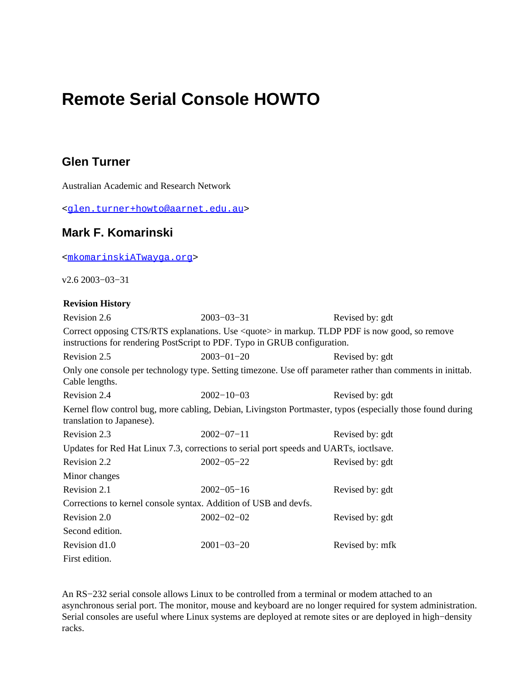# **Glen Turner**

Australian Academic and Research Network

<[glen.turner+howto@aarnet.edu.au](mailto:glen.turner+howto@aarnet.edu.au)>

# **Mark F. Komarinski**

<[mkomarinskiATwayga.org>](mailto:mkomarinskiATwayga.org)

v2.6 2003−03−31

## **Revision History**

Revision 2.6 2003−03−31 Revised by: gdt Correct opposing CTS/RTS explanations. Use <quote> in markup. TLDP PDF is now good, so remove instructions for rendering PostScript to PDF. Typo in GRUB configuration. Revision 2.5 2003−01−20 Revised by: gdt Only one console per technology type. Setting timezone. Use off parameter rather than comments in inittab. Cable lengths. Revision 2.4 2002−10−03 Revised by: gdt Kernel flow control bug, more cabling, Debian, Livingston Portmaster, typos (especially those found during translation to Japanese). Revision 2.3 2002−07−11 Revised by: gdt Updates for Red Hat Linux 7.3, corrections to serial port speeds and UARTs, ioctlsave. Revision 2.2 2002−05−22 Revised by: gdt Minor changes Revision 2.1 2002−05−16 Revised by: gdt Corrections to kernel console syntax. Addition of USB and devfs. Revision 2.0 2002−02−02 Revised by: gdt Second edition. Revision d1.0 2001−03−20 Revised by: mfk First edition.

An RS−232 serial console allows Linux to be controlled from a terminal or modem attached to an asynchronous serial port. The monitor, mouse and keyboard are no longer required for system administration. Serial consoles are useful where Linux systems are deployed at remote sites or are deployed in high−density racks.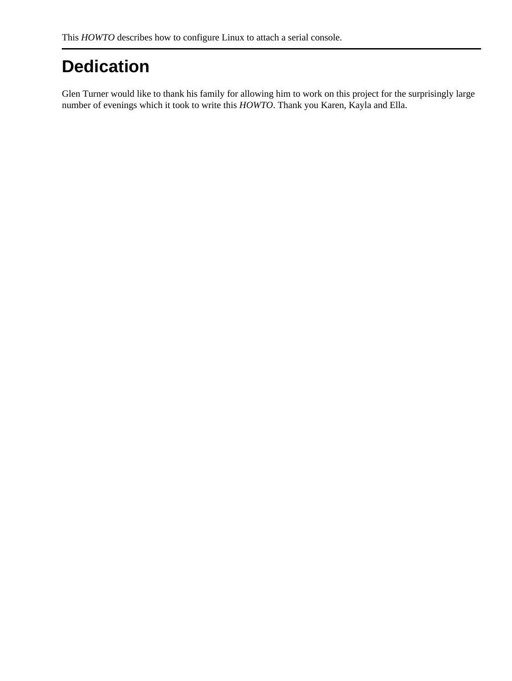# **Dedication**

Glen Turner would like to thank his family for allowing him to work on this project for the surprisingly large number of evenings which it took to write this *HOWTO*. Thank you Karen, Kayla and Ella.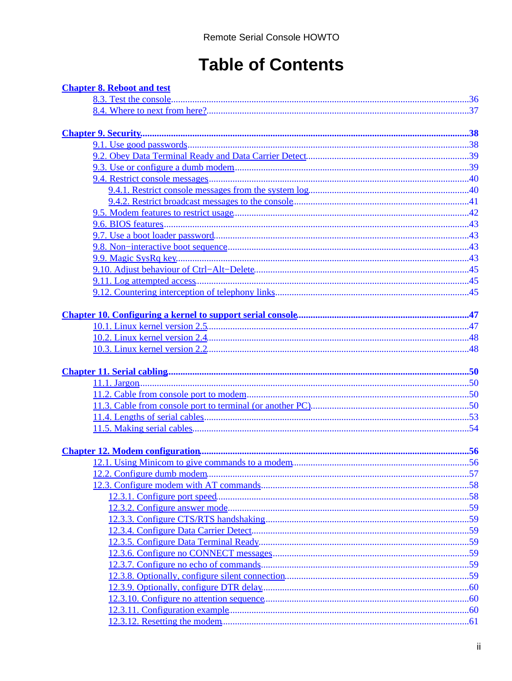| <b>Chapter 8. Reboot and test</b> |  |
|-----------------------------------|--|
|                                   |  |
|                                   |  |
|                                   |  |
|                                   |  |
|                                   |  |
|                                   |  |
|                                   |  |
|                                   |  |
|                                   |  |
|                                   |  |
|                                   |  |
|                                   |  |
|                                   |  |
|                                   |  |
|                                   |  |
|                                   |  |
|                                   |  |
|                                   |  |
|                                   |  |
|                                   |  |
|                                   |  |
|                                   |  |
|                                   |  |
|                                   |  |
|                                   |  |
|                                   |  |
|                                   |  |
|                                   |  |
|                                   |  |
|                                   |  |
|                                   |  |
|                                   |  |
|                                   |  |
|                                   |  |
|                                   |  |
|                                   |  |
|                                   |  |
|                                   |  |
|                                   |  |
|                                   |  |
|                                   |  |
|                                   |  |
|                                   |  |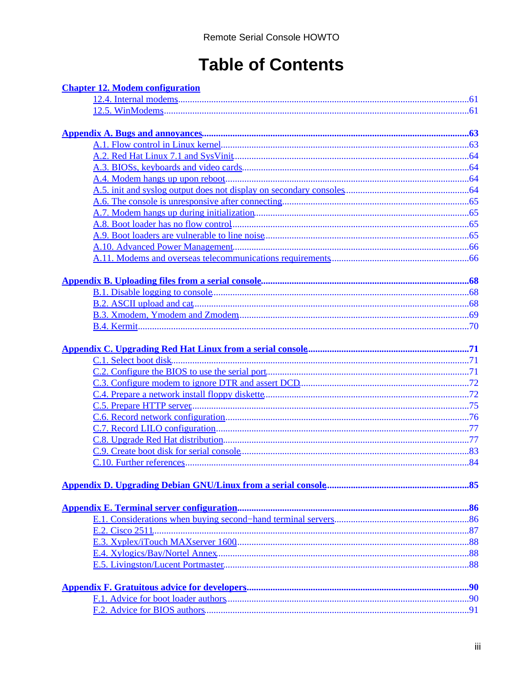| <b>Chapter 12. Modem configuration</b> |  |
|----------------------------------------|--|
|                                        |  |
|                                        |  |
|                                        |  |
|                                        |  |
|                                        |  |
|                                        |  |
|                                        |  |
|                                        |  |
|                                        |  |
|                                        |  |
|                                        |  |
|                                        |  |
|                                        |  |
|                                        |  |
|                                        |  |
|                                        |  |
|                                        |  |
|                                        |  |
|                                        |  |
|                                        |  |
|                                        |  |
|                                        |  |
|                                        |  |
|                                        |  |
|                                        |  |
|                                        |  |
|                                        |  |
|                                        |  |
|                                        |  |
|                                        |  |
|                                        |  |
|                                        |  |
|                                        |  |
|                                        |  |
|                                        |  |
|                                        |  |
|                                        |  |
|                                        |  |
|                                        |  |
|                                        |  |
|                                        |  |
|                                        |  |
|                                        |  |
|                                        |  |
|                                        |  |
|                                        |  |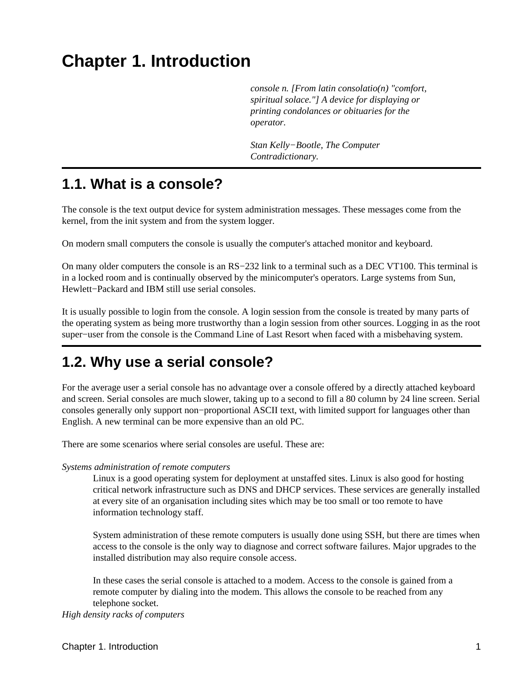# <span id="page-6-0"></span>**Chapter 1. Introduction**

*console n. [From latin consolatio(n) "comfort, spiritual solace."] A device for displaying or printing condolances or obituaries for the operator.*

*Stan Kelly−Bootle, The Computer Contradictionary.*

# <span id="page-6-1"></span>**1.1. What is a console?**

The console is the text output device for system administration messages. These messages come from the kernel, from the init system and from the system logger.

On modern small computers the console is usually the computer's attached monitor and keyboard.

On many older computers the console is an RS−232 link to a terminal such as a DEC VT100. This terminal is in a locked room and is continually observed by the minicomputer's operators. Large systems from Sun, Hewlett−Packard and IBM still use serial consoles.

It is usually possible to login from the console. A login session from the console is treated by many parts of the operating system as being more trustworthy than a login session from other sources. Logging in as the root super−user from the console is the Command Line of Last Resort when faced with a misbehaving system.

# <span id="page-6-2"></span>**1.2. Why use a serial console?**

For the average user a serial console has no advantage over a console offered by a directly attached keyboard and screen. Serial consoles are much slower, taking up to a second to fill a 80 column by 24 line screen. Serial consoles generally only support non−proportional ASCII text, with limited support for languages other than English. A new terminal can be more expensive than an old PC.

There are some scenarios where serial consoles are useful. These are:

*Systems administration of remote computers*

Linux is a good operating system for deployment at unstaffed sites. Linux is also good for hosting critical network infrastructure such as DNS and DHCP services. These services are generally installed at every site of an organisation including sites which may be too small or too remote to have information technology staff.

System administration of these remote computers is usually done using SSH, but there are times when access to the console is the only way to diagnose and correct software failures. Major upgrades to the installed distribution may also require console access.

In these cases the serial console is attached to a modem. Access to the console is gained from a remote computer by dialing into the modem. This allows the console to be reached from any telephone socket.

*High density racks of computers*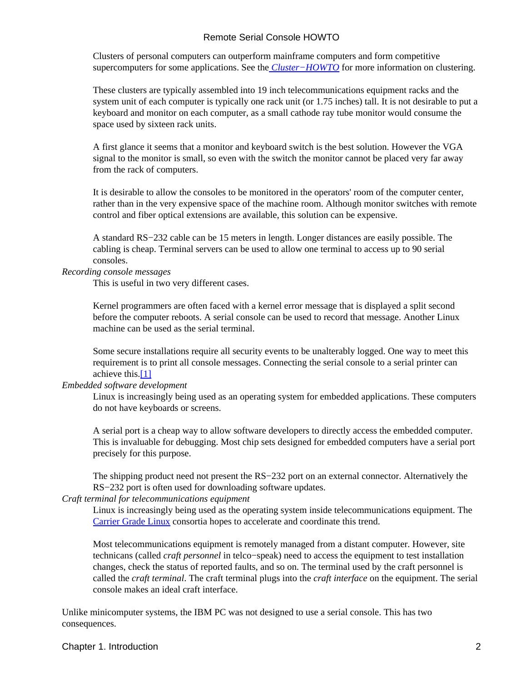Clusters of personal computers can outperform mainframe computers and form competitive supercomputers for some applications. See the *[Cluster−HOWTO](http://www.tldp.org/HOWTO/Cluster-HOWTO.html)* for more information on clustering.

These clusters are typically assembled into 19 inch telecommunications equipment racks and the system unit of each computer is typically one rack unit (or 1.75 inches) tall. It is not desirable to put a keyboard and monitor on each computer, as a small cathode ray tube monitor would consume the space used by sixteen rack units.

A first glance it seems that a monitor and keyboard switch is the best solution. However the VGA signal to the monitor is small, so even with the switch the monitor cannot be placed very far away from the rack of computers.

It is desirable to allow the consoles to be monitored in the operators' room of the computer center, rather than in the very expensive space of the machine room. Although monitor switches with remote control and fiber optical extensions are available, this solution can be expensive.

A standard RS−232 cable can be 15 meters in length. Longer distances are easily possible. The cabling is cheap. Terminal servers can be used to allow one terminal to access up to 90 serial consoles.

### *Recording console messages*

This is useful in two very different cases.

Kernel programmers are often faced with a kernel error message that is displayed a split second before the computer reboots. A serial console can be used to record that message. Another Linux machine can be used as the serial terminal.

Some secure installations require all security events to be unalterably logged. One way to meet this requirement is to print all console messages. Connecting the serial console to a serial printer can achieve this. $[1]$ 

## *Embedded software development*

Linux is increasingly being used as an operating system for embedded applications. These computers do not have keyboards or screens.

A serial port is a cheap way to allow software developers to directly access the embedded computer. This is invaluable for debugging. Most chip sets designed for embedded computers have a serial port precisely for this purpose.

The shipping product need not present the RS−232 port on an external connector. Alternatively the RS−232 port is often used for downloading software updates.

## *Craft terminal for telecommunications equipment*

Linux is increasingly being used as the operating system inside telecommunications equipment. The [Carrier Grade Linux](http://www.osdlab.org/projects/cgl/) consortia hopes to accelerate and coordinate this trend.

Most telecommunications equipment is remotely managed from a distant computer. However, site technicans (called *craft personnel* in telco−speak) need to access the equipment to test installation changes, check the status of reported faults, and so on. The terminal used by the craft personnel is called the *craft terminal*. The craft terminal plugs into the *craft interface* on the equipment. The serial console makes an ideal craft interface.

Unlike minicomputer systems, the IBM PC was not designed to use a serial console. This has two consequences.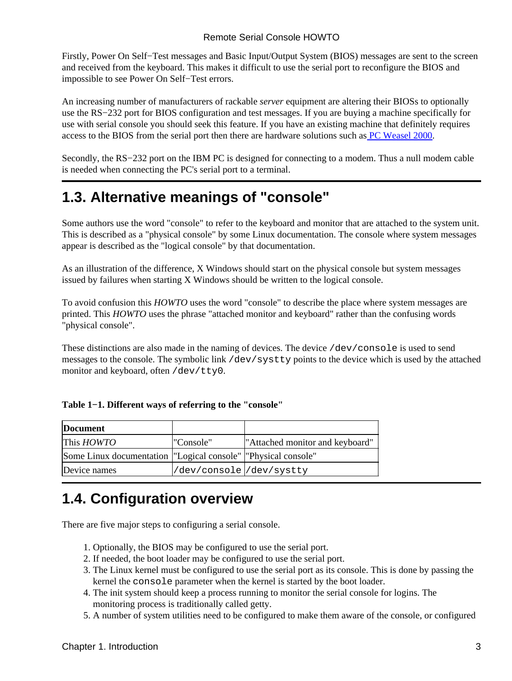Firstly, Power On Self−Test messages and Basic Input/Output System (BIOS) messages are sent to the screen and received from the keyboard. This makes it difficult to use the serial port to reconfigure the BIOS and impossible to see Power On Self−Test errors.

An increasing number of manufacturers of rackable *server* equipment are altering their BIOSs to optionally use the RS−232 port for BIOS configuration and test messages. If you are buying a machine specifically for use with serial console you should seek this feature. If you have an existing machine that definitely requires access to the BIOS from the serial port then there are hardware solutions such a[s PC Weasel 2000](http://www.realweasel.com/).

Secondly, the RS−232 port on the IBM PC is designed for connecting to a modem. Thus a null modem cable is needed when connecting the PC's serial port to a terminal.

# <span id="page-8-0"></span>**1.3. Alternative meanings of "console"**

Some authors use the word "console" to refer to the keyboard and monitor that are attached to the system unit. This is described as a "physical console" by some Linux documentation. The console where system messages appear is described as the "logical console" by that documentation.

As an illustration of the difference, X Windows should start on the physical console but system messages issued by failures when starting X Windows should be written to the logical console.

To avoid confusion this *HOWTO* uses the word "console" to describe the place where system messages are printed. This *HOWTO* uses the phrase "attached monitor and keyboard" rather than the confusing words "physical console".

These distinctions are also made in the naming of devices. The device /dev/console is used to send messages to the console. The symbolic link /dev/systty points to the device which is used by the attached monitor and keyboard, often /dev/tty0.

| Document                                                        |                         |                                 |
|-----------------------------------------------------------------|-------------------------|---------------------------------|
| This <i>HOWTO</i>                                               | "Console"               | "Attached monitor and keyboard" |
| Some Linux documentation  "Logical console"  "Physical console" |                         |                                 |
| Device names                                                    | /dev/console/dev/systty |                                 |

| Table 1-1. Different ways of referring to the "console" |  |  |  |
|---------------------------------------------------------|--|--|--|
|                                                         |  |  |  |

# <span id="page-8-1"></span>**1.4. Configuration overview**

There are five major steps to configuring a serial console.

- 1. Optionally, the BIOS may be configured to use the serial port.
- 2. If needed, the boot loader may be configured to use the serial port.
- 3. The Linux kernel must be configured to use the serial port as its console. This is done by passing the kernel the console parameter when the kernel is started by the boot loader.
- 4. The init system should keep a process running to monitor the serial console for logins. The monitoring process is traditionally called getty.
- 5. A number of system utilities need to be configured to make them aware of the console, or configured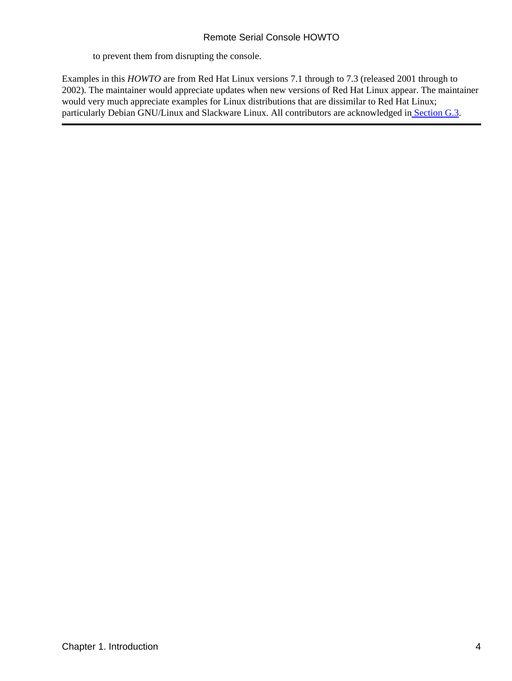to prevent them from disrupting the console.

Examples in this *HOWTO* are from Red Hat Linux versions 7.1 through to 7.3 (released 2001 through to 2002). The maintainer would appreciate updates when new versions of Red Hat Linux appear. The maintainer would very much appreciate examples for Linux distributions that are dissimilar to Red Hat Linux; particularly Debian GNU/Linux and Slackware Linux. All contributors are acknowledged in [Section G.3](#page-99-0).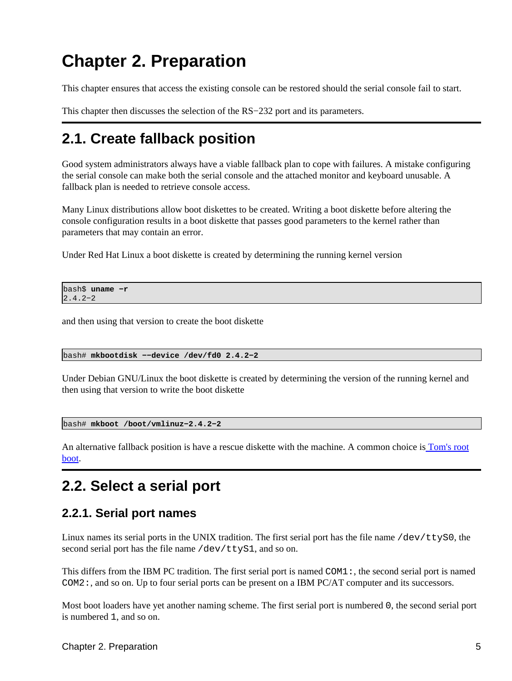# <span id="page-10-0"></span>**Chapter 2. Preparation**

This chapter ensures that access the existing console can be restored should the serial console fail to start.

This chapter then discusses the selection of the RS−232 port and its parameters.

# <span id="page-10-1"></span>**2.1. Create fallback position**

Good system administrators always have a viable fallback plan to cope with failures. A mistake configuring the serial console can make both the serial console and the attached monitor and keyboard unusable. A fallback plan is needed to retrieve console access.

Many Linux distributions allow boot diskettes to be created. Writing a boot diskette before altering the console configuration results in a boot diskette that passes good parameters to the kernel rather than parameters that may contain an error.

Under Red Hat Linux a boot diskette is created by determining the running kernel version

bash\$ **uname −r** 2.4.2−2

and then using that version to create the boot diskette

bash# **mkbootdisk −−device /dev/fd0 2.4.2−2**

Under Debian GNU/Linux the boot diskette is created by determining the version of the running kernel and then using that version to write the boot diskette

bash# **mkboot /boot/vmlinuz−2.4.2−2**

An alternative fallback position is have a rescue diskette with the machine. A common choice is [Tom's root](http://www.toms.net/rb/) [boot.](http://www.toms.net/rb/)

# <span id="page-10-2"></span>**2.2. Select a serial port**

# <span id="page-10-3"></span>**2.2.1. Serial port names**

Linux names its serial ports in the UNIX tradition. The first serial port has the file name  $/$ dev/ttyS0, the second serial port has the file name /dev/ttyS1, and so on.

This differs from the IBM PC tradition. The first serial port is named COM1:, the second serial port is named COM2:, and so on. Up to four serial ports can be present on a IBM PC/AT computer and its successors.

Most boot loaders have yet another naming scheme. The first serial port is numbered 0, the second serial port is numbered 1, and so on.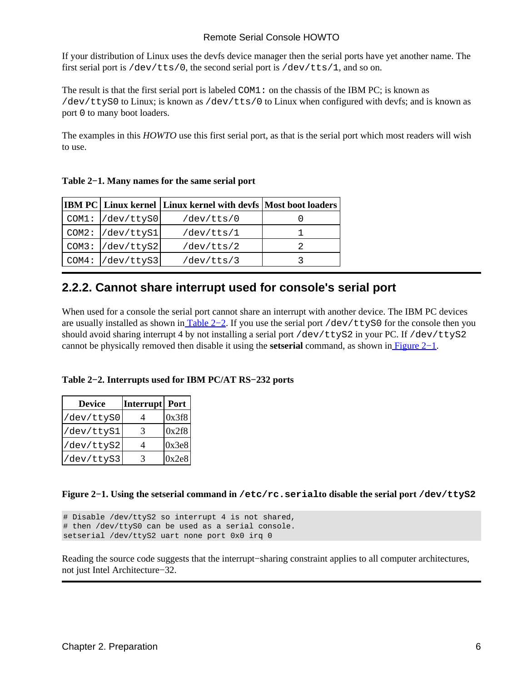If your distribution of Linux uses the devfs device manager then the serial ports have yet another name. The first serial port is /dev/tts/0, the second serial port is /dev/tts/1, and so on.

The result is that the first serial port is labeled COM1: on the chassis of the IBM PC; is known as /dev/ttyS0 to Linux; is known as /dev/tts/0 to Linux when configured with devfs; and is known as port 0 to many boot loaders.

The examples in this *HOWTO* use this first serial port, as that is the serial port which most readers will wish to use.

|                  | <b>IBM PC</b> Linux kernel Linux kernel with devfs Most boot loaders |  |
|------------------|----------------------------------------------------------------------|--|
| COM1: /dev/ttyS0 | /dev/tts/0                                                           |  |
| COM2: /dev/ttyS1 | /dev/tts/1                                                           |  |
| COM3: /dev/ttyS2 | /dev/tts/2                                                           |  |
| COM4: /dev/ttyS3 | $/\text{dev/tts}/3$                                                  |  |

## **Table 2−1. Many names for the same serial port**

# <span id="page-11-0"></span>**2.2.2. Cannot share interrupt used for console's serial port**

When used for a console the serial port cannot share an interrupt with another device. The IBM PC devices are usually installed as shown in Table 2–2. If you use the serial port /dev/ttyS0 for the console then you should avoid sharing interrupt 4 by not installing a serial port /dev/ttyS2 in your PC. If /dev/ttyS2 cannot be physically removed then disable it using the **setserial** command, as shown in [Figure 2−1](#page-11-2).

<span id="page-11-1"></span>**Table 2−2. Interrupts used for IBM PC/AT RS−232 ports**

| <b>Device</b> | Interrupt   Port |       |
|---------------|------------------|-------|
| /dev/ttyS0    |                  | 0x3f8 |
| /dev/ttyS1    | 3                | 0x2f8 |
| /dev/ttyS2    |                  | 0x3e8 |
| /dev/ttyS3    | 3                | 0x2e8 |

## <span id="page-11-2"></span>**Figure 2−1. Using the setserial command in /etc/rc.serialto disable the serial port /dev/ttyS2**

# Disable /dev/ttyS2 so interrupt 4 is not shared, # then /dev/ttyS0 can be used as a serial console. setserial /dev/ttyS2 uart none port 0x0 irq 0

Reading the source code suggests that the interrupt−sharing constraint applies to all computer architectures, not just Intel Architecture−32.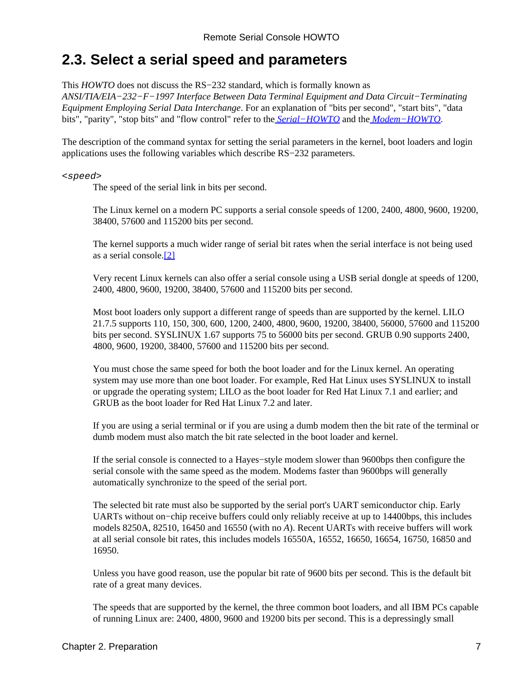# <span id="page-12-0"></span>**2.3. Select a serial speed and parameters**

This *HOWTO* does not discuss the RS−232 standard, which is formally known as *ANSI/TIA/EIA−232−F−1997 Interface Between Data Terminal Equipment and Data Circuit−Terminating Equipment Employing Serial Data Interchange*. For an explanation of "bits per second", "start bits", "data bits", "parity", "stop bits" and "flow control" refer to the *[Serial−HOWTO](http://www.tldp.org/HOWTO/Serial-HOWTO.html)* and the *[Modem−HOWTO](http://www.tldp.org/HOWTO/Modem-HOWTO.html)*.

The description of the command syntax for setting the serial parameters in the kernel, boot loaders and login applications uses the following variables which describe RS−232 parameters.

<speed>

The speed of the serial link in bits per second.

The Linux kernel on a modern PC supports a serial console speeds of 1200, 2400, 4800, 9600, 19200, 38400, 57600 and 115200 bits per second.

The kernel supports a much wider range of serial bit rates when the serial interface is not being used as a serial console[.\[2\]](#page-100-3)

Very recent Linux kernels can also offer a serial console using a USB serial dongle at speeds of 1200, 2400, 4800, 9600, 19200, 38400, 57600 and 115200 bits per second.

Most boot loaders only support a different range of speeds than are supported by the kernel. LILO 21.7.5 supports 110, 150, 300, 600, 1200, 2400, 4800, 9600, 19200, 38400, 56000, 57600 and 115200 bits per second. SYSLINUX 1.67 supports 75 to 56000 bits per second. GRUB 0.90 supports 2400, 4800, 9600, 19200, 38400, 57600 and 115200 bits per second.

You must chose the same speed for both the boot loader and for the Linux kernel. An operating system may use more than one boot loader. For example, Red Hat Linux uses SYSLINUX to install or upgrade the operating system; LILO as the boot loader for Red Hat Linux 7.1 and earlier; and GRUB as the boot loader for Red Hat Linux 7.2 and later.

If you are using a serial terminal or if you are using a dumb modem then the bit rate of the terminal or dumb modem must also match the bit rate selected in the boot loader and kernel.

If the serial console is connected to a Hayes−style modem slower than 9600bps then configure the serial console with the same speed as the modem. Modems faster than 9600bps will generally automatically synchronize to the speed of the serial port.

The selected bit rate must also be supported by the serial port's UART semiconductor chip. Early UARTs without on−chip receive buffers could only reliably receive at up to 14400bps, this includes models 8250A, 82510, 16450 and 16550 (with no *A*). Recent UARTs with receive buffers will work at all serial console bit rates, this includes models 16550A, 16552, 16650, 16654, 16750, 16850 and 16950.

Unless you have good reason, use the popular bit rate of 9600 bits per second. This is the default bit rate of a great many devices.

The speeds that are supported by the kernel, the three common boot loaders, and all IBM PCs capable of running Linux are: 2400, 4800, 9600 and 19200 bits per second. This is a depressingly small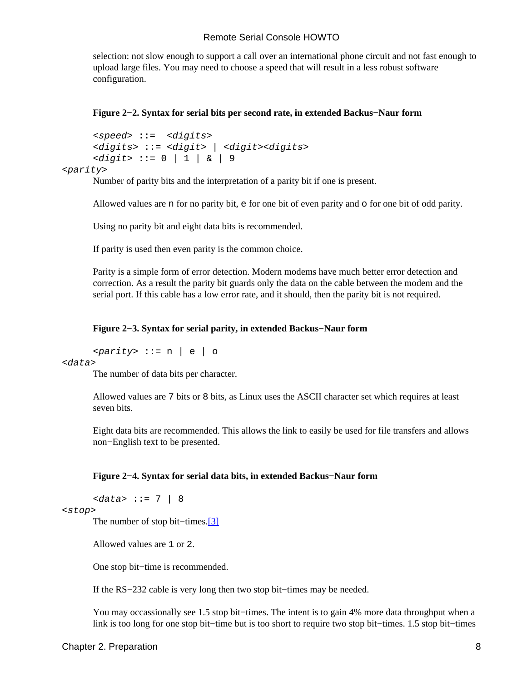selection: not slow enough to support a call over an international phone circuit and not fast enough to upload large files. You may need to choose a speed that will result in a less robust software configuration.

### **Figure 2−2. Syntax for serial bits per second rate, in extended Backus−Naur form**

```
<speed> ::= <digits>
<digits> ::= <digit> | <digit><digits>
\langle \text{digit} \rangle ::= 0 | 1 | & | 9
```
<parity>

Number of parity bits and the interpretation of a parity bit if one is present.

Allowed values are n for no parity bit, e for one bit of even parity and o for one bit of odd parity.

Using no parity bit and eight data bits is recommended.

If parity is used then even parity is the common choice.

Parity is a simple form of error detection. Modern modems have much better error detection and correction. As a result the parity bit guards only the data on the cable between the modem and the serial port. If this cable has a low error rate, and it should, then the parity bit is not required.

### **Figure 2−3. Syntax for serial parity, in extended Backus−Naur form**

$$
\langle parity \rangle :: = n \mid e \mid o
$$

<data>

The number of data bits per character.

Allowed values are 7 bits or 8 bits, as Linux uses the ASCII character set which requires at least seven bits.

Eight data bits are recommended. This allows the link to easily be used for file transfers and allows non−English text to be presented.

#### **Figure 2−4. Syntax for serial data bits, in extended Backus−Naur form**

```
<data> ::= 7 | 8
```
#### <stop>

The number of stop bit–times.[\[3\]](#page-100-4)

Allowed values are 1 or 2.

One stop bit−time is recommended.

If the RS−232 cable is very long then two stop bit−times may be needed.

You may occassionally see 1.5 stop bit−times. The intent is to gain 4% more data throughput when a link is too long for one stop bit−time but is too short to require two stop bit−times. 1.5 stop bit−times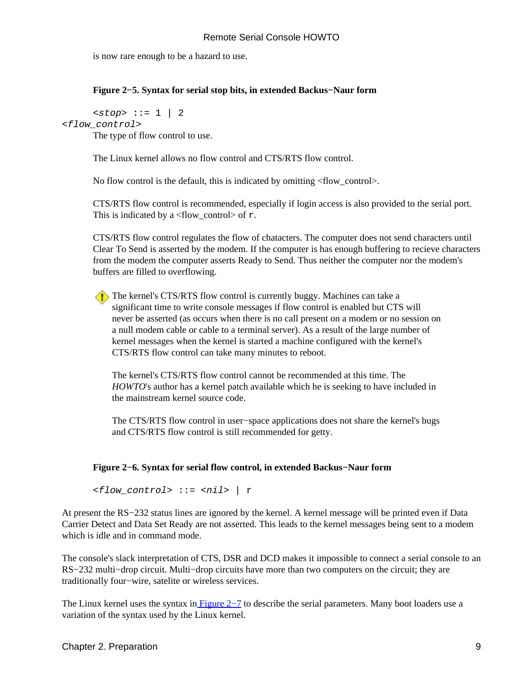is now rare enough to be a hazard to use.

## **Figure 2−5. Syntax for serial stop bits, in extended Backus−Naur form**

 $$  ::= 1 | 2 <flow\_control>

The type of flow control to use.

The Linux kernel allows no flow control and CTS/RTS flow control.

No flow control is the default, this is indicated by omitting <flow\_control>.

CTS/RTS flow control is recommended, especially if login access is also provided to the serial port. This is indicated by a  $\langle$  flow control $>$  of r.

CTS/RTS flow control regulates the flow of chatacters. The computer does not send characters until Clear To Send is asserted by the modem. If the computer is has enough buffering to recieve characters from the modem the computer asserts Ready to Send. Thus neither the computer nor the modem's buffers are filled to overflowing.

The kernel's CTS/RTS flow control is currently buggy. Machines can take a significant time to write console messages if flow control is enabled but CTS will never be asserted (as occurs when there is no call present on a modem or no session on a null modem cable or cable to a terminal server). As a result of the large number of kernel messages when the kernel is started a machine configured with the kernel's CTS/RTS flow control can take many minutes to reboot.

The kernel's CTS/RTS flow control cannot be recommended at this time. The *HOWTO*'s author has a kernel patch available which he is seeking to have included in the mainstream kernel source code.

The CTS/RTS flow control in user−space applications does not share the kernel's bugs and CTS/RTS flow control is still recommended for getty.

### **Figure 2−6. Syntax for serial flow control, in extended Backus−Naur form**

 $<$ flow\_control> ::=  $<$ nil> | r

At present the RS−232 status lines are ignored by the kernel. A kernel message will be printed even if Data Carrier Detect and Data Set Ready are not asserted. This leads to the kernel messages being sent to a modem which is idle and in command mode.

The console's slack interpretation of CTS, DSR and DCD makes it impossible to connect a serial console to an RS−232 multi−drop circuit. Multi−drop circuits have more than two computers on the circuit; they are traditionally four−wire, satelite or wireless services.

The Linux kernel uses the syntax in Figure 2–7 to describe the serial parameters. Many boot loaders use a variation of the syntax used by the Linux kernel.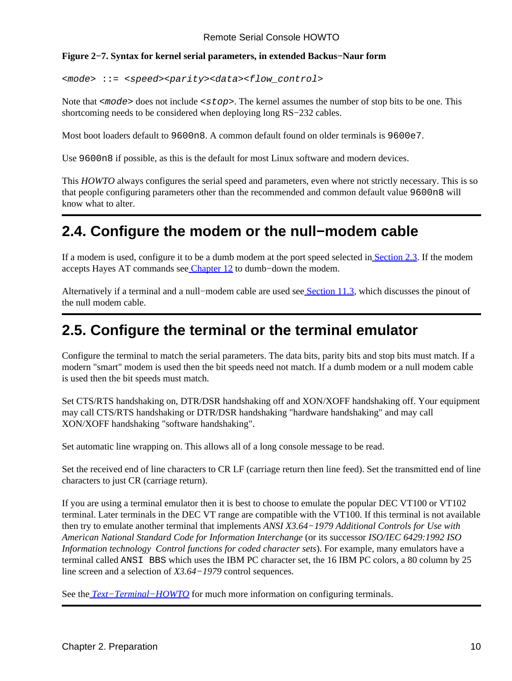## <span id="page-15-2"></span>**Figure 2−7. Syntax for kernel serial parameters, in extended Backus−Naur form**

<mode> ::= <speed><parity><data><flow\_control>

Note that  $\langle \text{mode}\rangle$  does not include  $\langle \text{stop}\rangle$ . The kernel assumes the number of stop bits to be one. This shortcoming needs to be considered when deploying long RS−232 cables.

Most boot loaders default to 9600n8. A common default found on older terminals is 9600e7.

Use 9600n8 if possible, as this is the default for most Linux software and modern devices.

This *HOWTO* always configures the serial speed and parameters, even where not strictly necessary. This is so that people configuring parameters other than the recommended and common default value 9600n8 will know what to alter.

# <span id="page-15-0"></span>**2.4. Configure the modem or the null−modem cable**

If a modem is used, configure it to be a dumb modem at the port speed selected i[n Section 2.3.](#page-12-0) If the modem accepts Hayes AT commands se[e Chapter 12](#page-61-0) to dumb−down the modem.

Alternatively if a terminal and a null−modem cable are used see [Section 11.3,](#page-55-3) which discusses the pinout of the null modem cable.

# <span id="page-15-1"></span>**2.5. Configure the terminal or the terminal emulator**

Configure the terminal to match the serial parameters. The data bits, parity bits and stop bits must match. If a modern "smart" modem is used then the bit speeds need not match. If a dumb modem or a null modem cable is used then the bit speeds must match.

Set CTS/RTS handshaking on, DTR/DSR handshaking off and XON/XOFF handshaking off. Your equipment may call CTS/RTS handshaking or DTR/DSR handshaking "hardware handshaking" and may call XON/XOFF handshaking "software handshaking".

Set automatic line wrapping on. This allows all of a long console message to be read.

Set the received end of line characters to CR LF (carriage return then line feed). Set the transmitted end of line characters to just CR (carriage return).

If you are using a terminal emulator then it is best to choose to emulate the popular DEC VT100 or VT102 terminal. Later terminals in the DEC VT range are compatible with the VT100. If this terminal is not available then try to emulate another terminal that implements *ANSI X3.64−1979 Additional Controls for Use with American National Standard Code for Information Interchange* (or its successor *ISO/IEC 6429:1992 ISO Information technology Control functions for coded character sets*). For example, many emulators have a terminal called ANSI BBS which uses the IBM PC character set, the 16 IBM PC colors, a 80 column by 25 line screen and a selection of *X3.64−1979* control sequences.

See the *Text−Terminal–HOWTO* for much more information on configuring terminals.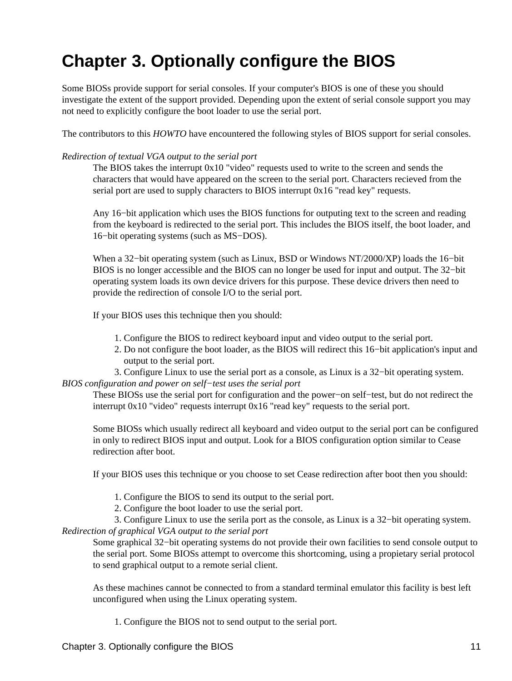# <span id="page-16-0"></span>**Chapter 3. Optionally configure the BIOS**

Some BIOSs provide support for serial consoles. If your computer's BIOS is one of these you should investigate the extent of the support provided. Depending upon the extent of serial console support you may not need to explicitly configure the boot loader to use the serial port.

The contributors to this *HOWTO* have encountered the following styles of BIOS support for serial consoles.

### *Redirection of textual VGA output to the serial port*

The BIOS takes the interrupt 0x10 "video" requests used to write to the screen and sends the characters that would have appeared on the screen to the serial port. Characters recieved from the serial port are used to supply characters to BIOS interrupt 0x16 "read key" requests.

Any 16−bit application which uses the BIOS functions for outputing text to the screen and reading from the keyboard is redirected to the serial port. This includes the BIOS itself, the boot loader, and 16−bit operating systems (such as MS−DOS).

When a 32−bit operating system (such as Linux, BSD or Windows NT/2000/XP) loads the 16−bit BIOS is no longer accessible and the BIOS can no longer be used for input and output. The 32−bit operating system loads its own device drivers for this purpose. These device drivers then need to provide the redirection of console I/O to the serial port.

If your BIOS uses this technique then you should:

- 1. Configure the BIOS to redirect keyboard input and video output to the serial port.
- 2. Do not configure the boot loader, as the BIOS will redirect this 16-bit application's input and output to the serial port.

3. Configure Linux to use the serial port as a console, as Linux is a 32−bit operating system. *BIOS configuration and power on self−test uses the serial port*

These BIOSs use the serial port for configuration and the power−on self−test, but do not redirect the interrupt 0x10 "video" requests interrupt 0x16 "read key" requests to the serial port.

Some BIOSs which usually redirect all keyboard and video output to the serial port can be configured in only to redirect BIOS input and output. Look for a BIOS configuration option similar to Cease redirection after boot.

If your BIOS uses this technique or you choose to set Cease redirection after boot then you should:

1. Configure the BIOS to send its output to the serial port.

2. Configure the boot loader to use the serial port.

3. Configure Linux to use the serila port as the console, as Linux is a 32−bit operating system.

*Redirection of graphical VGA output to the serial port*

Some graphical 32−bit operating systems do not provide their own facilities to send console output to the serial port. Some BIOSs attempt to overcome this shortcoming, using a propietary serial protocol to send graphical output to a remote serial client.

As these machines cannot be connected to from a standard terminal emulator this facility is best left unconfigured when using the Linux operating system.

1. Configure the BIOS not to send output to the serial port.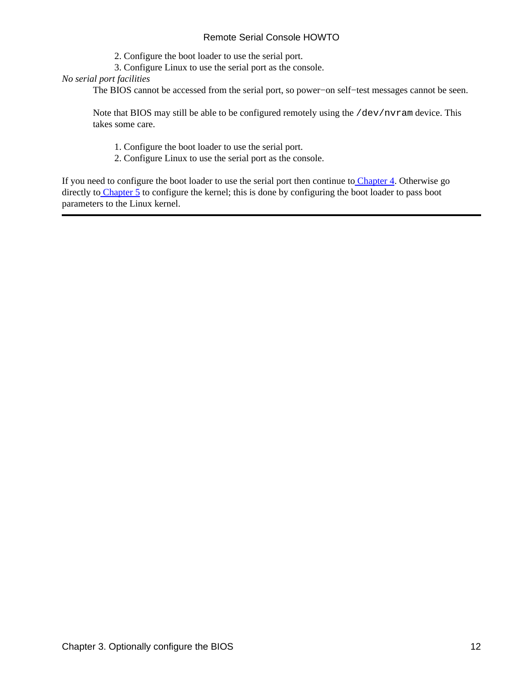2. Configure the boot loader to use the serial port.

3. Configure Linux to use the serial port as the console.

*No serial port facilities*

The BIOS cannot be accessed from the serial port, so power−on self−test messages cannot be seen.

Note that BIOS may still be able to be configured remotely using the /dev/nvram device. This takes some care.

- 1. Configure the boot loader to use the serial port.
- 2. Configure Linux to use the serial port as the console.

If you need to configure the boot loader to use the serial port then continue to [Chapter 4](#page-18-0). Otherwise go directly to [Chapter 5](#page-24-0) to configure the kernel; this is done by configuring the boot loader to pass boot parameters to the Linux kernel.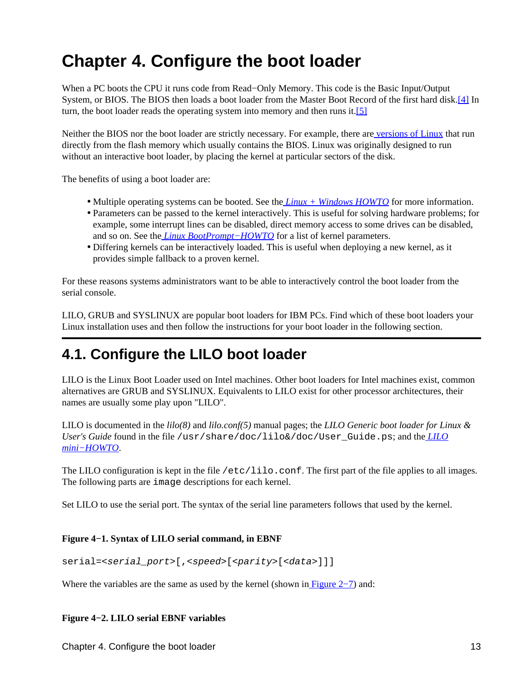# <span id="page-18-0"></span>**Chapter 4. Configure the boot loader**

When a PC boots the CPU it runs code from Read−Only Memory. This code is the Basic Input/Output System, or BIOS. The BIOS then loads a boot loader from the Master Boot Record of the first hard disk[.\[4\]](#page-100-5) In turn, the boot loader reads the operating system into memory and then runs it.[\[5\]](#page-100-6)

Neither the BIOS nor the boot loader are strictly necessary. For example, there are [versions of Linux](http://www.acl.lanl.gov/linuxbios/) that run directly from the flash memory which usually contains the BIOS. Linux was originally designed to run without an interactive boot loader, by placing the kernel at particular sectors of the disk.

The benefits of using a boot loader are:

- Multiple operating systems can be booted. See the *[Linux + Windows HOWTO](http://www.tldp.org/HOWTO/Linux+Windows-HOWTO/)* for more information.
- Parameters can be passed to the kernel interactively. This is useful for solving hardware problems; for example, some interrupt lines can be disabled, direct memory access to some drives can be disabled, and so on. See the *[Linux BootPrompt−HOWTO](http://www.tldp.org/HOWTO/BootPrompt-HOWTO.html)* for a list of kernel parameters.
- Differing kernels can be interactively loaded. This is useful when deploying a new kernel, as it provides simple fallback to a proven kernel.

For these reasons systems administrators want to be able to interactively control the boot loader from the serial console.

LILO, GRUB and SYSLINUX are popular boot loaders for IBM PCs. Find which of these boot loaders your Linux installation uses and then follow the instructions for your boot loader in the following section.

# <span id="page-18-1"></span>**4.1. Configure the LILO boot loader**

LILO is the Linux Boot Loader used on Intel machines. Other boot loaders for Intel machines exist, common alternatives are GRUB and SYSLINUX. Equivalents to LILO exist for other processor architectures, their names are usually some play upon "LILO".

LILO is documented in the *lilo(8)* and *lilo.conf(5)* manual pages; the *LILO Generic boot loader for Linux & User's Guide* found in the file /usr/share/doc/lilo&/doc/User\_Guide.ps; and the *[LILO](http://www.tldp.org/HOWTO/mini/LILO.html) [mini−HOWTO](http://www.tldp.org/HOWTO/mini/LILO.html)*.

The LILO configuration is kept in the file  $/etc/1$  ilo.conf. The first part of the file applies to all images. The following parts are image descriptions for each kernel.

Set LILO to use the serial port. The syntax of the serial line parameters follows that used by the kernel.

## **Figure 4−1. Syntax of LILO serial command, in EBNF**

serial=<serial\_port>[,<speed>[<parity>[<data>]]]

Where the variables are the same as used by the kernel (shown in Figure  $2-7$ ) and:

## <span id="page-18-2"></span>**Figure 4−2. LILO serial EBNF variables**

Chapter 4. Configure the boot loader 13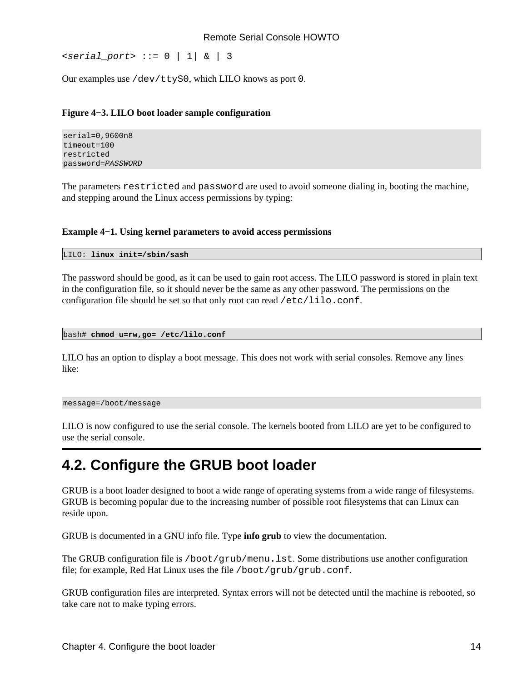$\epsilon$ serial\_port> ::= 0 | 1| & | 3

Our examples use /dev/ttyS0, which LILO knows as port 0.

### **Figure 4−3. LILO boot loader sample configuration**

```
serial=0,9600n8
timeout=100
restricted
password=PASSWORD
```
The parameters restricted and password are used to avoid someone dialing in, booting the machine, and stepping around the Linux access permissions by typing:

### **Example 4−1. Using kernel parameters to avoid access permissions**

LILO: **linux init=/sbin/sash**

The password should be good, as it can be used to gain root access. The LILO password is stored in plain text in the configuration file, so it should never be the same as any other password. The permissions on the configuration file should be set so that only root can read  $/etc/lilo.comf$ .

bash# **chmod u=rw,go= /etc/lilo.conf**

LILO has an option to display a boot message. This does not work with serial consoles. Remove any lines like:

message=/boot/message

LILO is now configured to use the serial console. The kernels booted from LILO are yet to be configured to use the serial console.

# <span id="page-19-0"></span>**4.2. Configure the GRUB boot loader**

GRUB is a boot loader designed to boot a wide range of operating systems from a wide range of filesystems. GRUB is becoming popular due to the increasing number of possible root filesystems that can Linux can reside upon.

GRUB is documented in a GNU info file. Type **info grub** to view the documentation.

The GRUB configuration file is /boot/grub/menu.lst. Some distributions use another configuration file; for example, Red Hat Linux uses the file /boot/grub/grub.conf.

GRUB configuration files are interpreted. Syntax errors will not be detected until the machine is rebooted, so take care not to make typing errors.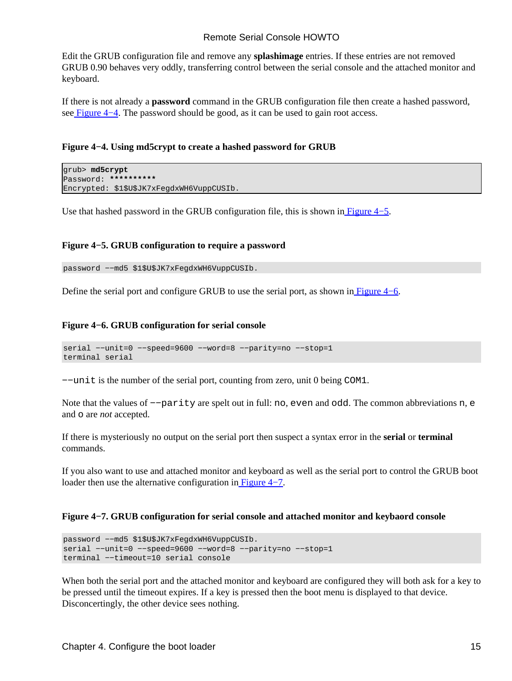Edit the GRUB configuration file and remove any **splashimage** entries. If these entries are not removed GRUB 0.90 behaves very oddly, transferring control between the serial console and the attached monitor and keyboard.

If there is not already a **password** command in the GRUB configuration file then create a hashed password, se[e Figure 4−4.](#page-20-0) The password should be good, as it can be used to gain root access.

### <span id="page-20-0"></span>**Figure 4−4. Using md5crypt to create a hashed password for GRUB**

```
grub> md5crypt
Password: **********
Encrypted: $1$U$JK7xFegdxWH6VuppCUSIb.
```
Use that hashed password in the GRUB configuration file, this is shown in Figure  $4-5$ .

### <span id="page-20-1"></span>**Figure 4−5. GRUB configuration to require a password**

```
password −−md5 $1$U$JK7xFegdxWH6VuppCUSIb.
```
Define the serial port and configure GRUB to use the serial port, as shown in Figure 4–6.

#### <span id="page-20-2"></span>**Figure 4−6. GRUB configuration for serial console**

```
serial −−unit=0 −−speed=9600 −−word=8 −−parity=no −−stop=1
terminal serial
```
−−unit is the number of the serial port, counting from zero, unit 0 being COM1.

Note that the values of −−parity are spelt out in full: no, even and odd. The common abbreviations n, e and o are *not* accepted.

If there is mysteriously no output on the serial port then suspect a syntax error in the **serial** or **terminal** commands.

If you also want to use and attached monitor and keyboard as well as the serial port to control the GRUB boot loader then use the alternative configuration i[n Figure 4−7.](#page-20-3)

#### <span id="page-20-3"></span>**Figure 4−7. GRUB configuration for serial console and attached monitor and keybaord console**

```
password −−md5 $1$U$JK7xFegdxWH6VuppCUSIb.
serial −−unit=0 −−speed=9600 −−word=8 −−parity=no −−stop=1
terminal −−timeout=10 serial console
```
When both the serial port and the attached monitor and keyboard are configured they will both ask for a key to be pressed until the timeout expires. If a key is pressed then the boot menu is displayed to that device. Disconcertingly, the other device sees nothing.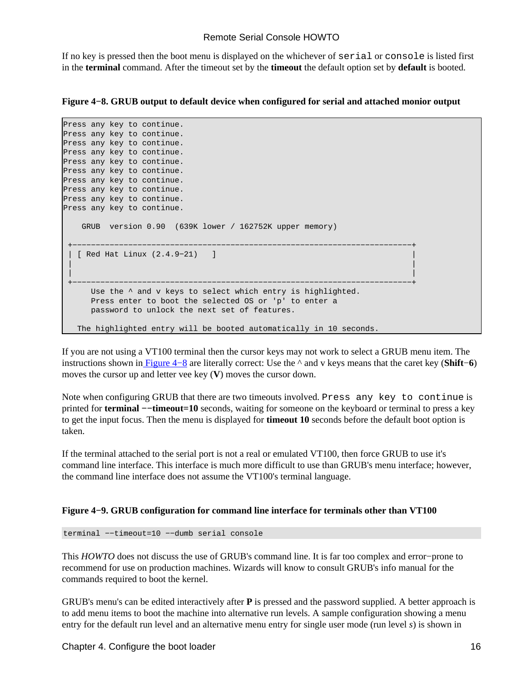If no key is pressed then the boot menu is displayed on the whichever of serial or console is listed first in the **terminal** command. After the timeout set by the **timeout** the default option set by **default** is booted.

<span id="page-21-0"></span>**Figure 4−8. GRUB output to default device when configured for serial and attached monior output**

```
Press any key to continue.
Press any key to continue.
Press any key to continue.
Press any key to continue.
Press any key to continue.
Press any key to continue.
Press any key to continue.
Press any key to continue.
Press any key to continue.
Press any key to continue.
    GRUB version 0.90 (639K lower / 162752K upper memory)
 +−−−−−−−−−−−−−−−−−−−−−−−−−−−−−−−−−−−−−−−−−−−−−−−−−−−−−−−−−−−−−−−−−−−−−−−−−+
   | [ Red Hat Linux (2.4.9−21) ] | 
 | |
 | |
 +−−−−−−−−−−−−−−−−−−−−−−−−−−−−−−−−−−−−−−−−−−−−−−−−−−−−−−−−−−−−−−−−−−−−−−−−−+
     Use the ^ and v keys to select which entry is highlighted.
     Press enter to boot the selected OS or 'p' to enter a
      password to unlock the next set of features.
   The highlighted entry will be booted automatically in 10 seconds.
```
If you are not using a VT100 terminal then the cursor keys may not work to select a GRUB menu item. The instructions shown i[n Figure 4−8](#page-21-0) are literally correct: Use the ^ and v keys means that the caret key (**Shift**−**6**) moves the cursor up and letter vee key (**V**) moves the cursor down.

Note when configuring GRUB that there are two timeouts involved. Press any key to continue is printed for **terminal −−timeout=10** seconds, waiting for someone on the keyboard or terminal to press a key to get the input focus. Then the menu is displayed for **timeout 10** seconds before the default boot option is taken.

If the terminal attached to the serial port is not a real or emulated VT100, then force GRUB to use it's command line interface. This interface is much more difficult to use than GRUB's menu interface; however, the command line interface does not assume the VT100's terminal language.

## **Figure 4−9. GRUB configuration for command line interface for terminals other than VT100**

terminal −−timeout=10 −−dumb serial console

This *HOWTO* does not discuss the use of GRUB's command line. It is far too complex and error−prone to recommend for use on production machines. Wizards will know to consult GRUB's info manual for the commands required to boot the kernel.

GRUB's menu's can be edited interactively after **P** is pressed and the password supplied. A better approach is to add menu items to boot the machine into alternative run levels. A sample configuration showing a menu entry for the default run level and an alternative menu entry for single user mode (run level *s*) is shown in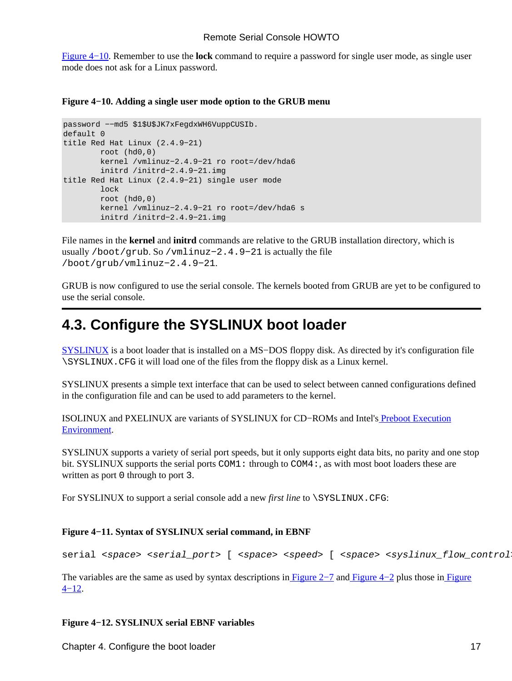[Figure 4−10](#page-22-1). Remember to use the **lock** command to require a password for single user mode, as single user mode does not ask for a Linux password.

<span id="page-22-1"></span>**Figure 4−10. Adding a single user mode option to the GRUB menu**

```
password −−md5 $1$U$JK7xFegdxWH6VuppCUSIb.
default 0
title Red Hat Linux (2.4.9−21)
        root (hd0,0)
        kernel /vmlinuz−2.4.9−21 ro root=/dev/hda6
        initrd /initrd−2.4.9−21.img
title Red Hat Linux (2.4.9−21) single user mode
         lock
         root (hd0,0)
         kernel /vmlinuz−2.4.9−21 ro root=/dev/hda6 s
         initrd /initrd−2.4.9−21.img
```
File names in the **kernel** and **initrd** commands are relative to the GRUB installation directory, which is usually /boot/grub. So /vmlinuz−2.4.9−21 is actually the file /boot/grub/vmlinuz−2.4.9−21.

GRUB is now configured to use the serial console. The kernels booted from GRUB are yet to be configured to use the serial console.

# <span id="page-22-0"></span>**4.3. Configure the SYSLINUX boot loader**

[SYSLINUX](http://syslinux.zytor.com/) is a boot loader that is installed on a MS−DOS floppy disk. As directed by it's configuration file \SYSLINUX.CFG it will load one of the files from the floppy disk as a Linux kernel.

SYSLINUX presents a simple text interface that can be used to select between canned configurations defined in the configuration file and can be used to add parameters to the kernel.

ISOLINUX and PXELINUX are variants of SYSLINUX for CD−ROMs and Intel'[s Preboot Execution](http://developer.intel.com/ial/wfm/) [Environment](http://developer.intel.com/ial/wfm/).

SYSLINUX supports a variety of serial port speeds, but it only supports eight data bits, no parity and one stop bit. SYSLINUX supports the serial ports COM1: through to COM4:, as with most boot loaders these are written as port 0 through to port 3.

For SYSLINUX to support a serial console add a new *first line* to \SYSLINUX.CFG:

## **Figure 4−11. Syntax of SYSLINUX serial command, in EBNF**

serial <space> <serial\_port> [ <space> <speed> [ <space> <syslinux\_flow\_control

The variables are the same as used by syntax descriptions i[n Figure](#page-22-2) 2–7 and Figure 4–2 plus those in Figure [4−12.](#page-22-2)

## <span id="page-22-2"></span>**Figure 4−12. SYSLINUX serial EBNF variables**

Chapter 4. Configure the boot loader 17 and 17 and 17 and 17 and 17 and 17 and 17 and 17 and 17 and 17 and 17 and 17 and 17 and 17 and 17 and 17 and 17 and 17 and 17 and 17 and 17 and 17 and 17 and 17 and 17 and 17 and 17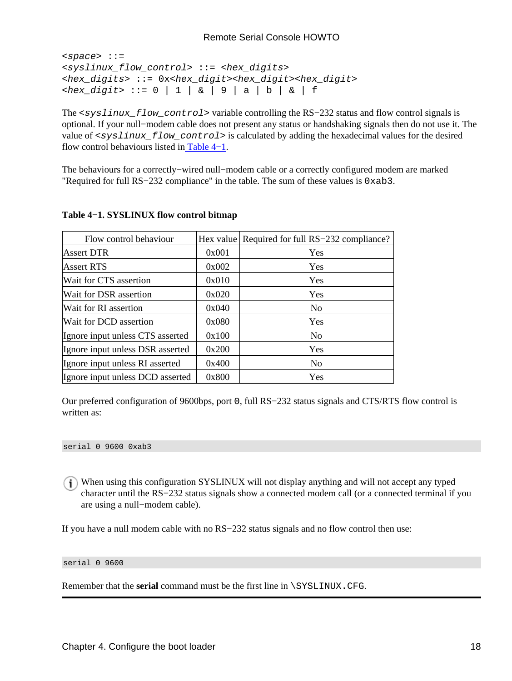```
<space> ::=  
<syslinux_flow_control> ::= <hex_digits>
\epsilonhex digits> ::= 0x\epsilonhex digit>\epsilonhex digit>
\langlehex digit> ::= 0 | 1 | & | 9 | a | b | & | f
```
The <syslinux\_flow\_control> variable controlling the RS−232 status and flow control signals is optional. If your null−modem cable does not present any status or handshaking signals then do not use it. The value of  $\leq$ syslinux  $f$ low  $control$  is calculated by adding the hexadecimal values for the desired flow control behaviours listed in [Table 4−1.](#page-23-0)

The behaviours for a correctly−wired null−modem cable or a correctly configured modem are marked "Required for full RS−232 compliance" in the table. The sum of these values is 0xab3.

| Flow control behaviour           | Hex value | Required for full RS-232 compliance? |
|----------------------------------|-----------|--------------------------------------|
| <b>Assert DTR</b>                | 0x001     | Yes                                  |
| <b>Assert RTS</b>                | 0x002     | Yes                                  |
| Wait for CTS assertion           | 0x010     | Yes                                  |
| Wait for DSR assertion           | 0x020     | Yes                                  |
| Wait for RI assertion            | 0x040     | N <sub>0</sub>                       |
| Wait for DCD assertion           | 0x080     | Yes                                  |
| Ignore input unless CTS asserted | 0x100     | N <sub>0</sub>                       |
| Ignore input unless DSR asserted | 0x200     | Yes                                  |
| Ignore input unless RI asserted  | 0x400     | N <sub>0</sub>                       |
| Ignore input unless DCD asserted | 0x800     | Yes                                  |

# <span id="page-23-0"></span>**Table 4−1. SYSLINUX flow control bitmap**

Our preferred configuration of 9600bps, port 0, full RS−232 status signals and CTS/RTS flow control is written as:

serial 0 9600 0xab3

When using this configuration SYSLINUX will not display anything and will not accept any typed character until the RS−232 status signals show a connected modem call (or a connected terminal if you are using a null−modem cable).

If you have a null modem cable with no RS−232 status signals and no flow control then use:

### serial 0 9600

Remember that the **serial** command must be the first line in \SYSLINUX.CFG.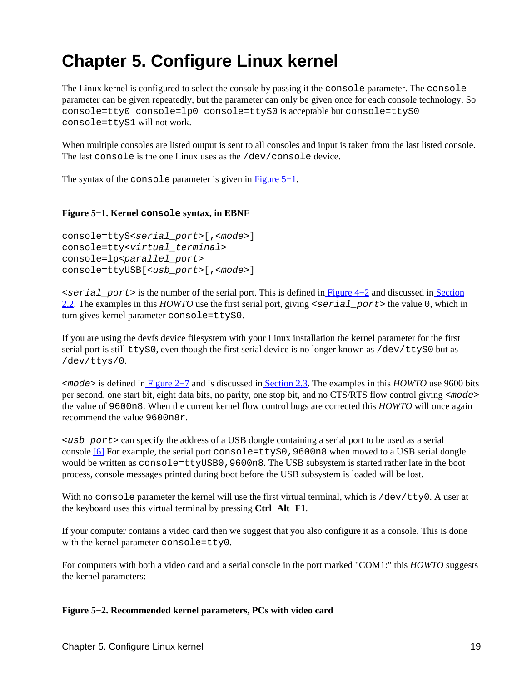# <span id="page-24-0"></span>**Chapter 5. Configure Linux kernel**

The Linux kernel is configured to select the console by passing it the console parameter. The console parameter can be given repeatedly, but the parameter can only be given once for each console technology. So console=tty0 console=lp0 console=ttyS0 is acceptable but console=ttyS0 console=ttyS1 will not work.

When multiple consoles are listed output is sent to all consoles and input is taken from the last listed console. The last console is the one Linux uses as the /dev/console device.

The syntax of the console parameter is given in [Figure 5−1](#page-24-1).

## <span id="page-24-1"></span>**Figure 5−1. Kernel console syntax, in EBNF**

```
console=ttyS<serial_port>[,<mode>]
console=tty<virtual_terminal>
console=lp<parallel_port>
console=ttyUSB[<usb_port>[,<mode>]
```
 $\le$ serial port> is the number of the serial port. This is defined in Figure 4–2 and discussed i[n Section](#page-10-2) [2.2.](#page-10-2) The examples in this *HOWTO* use the first serial port, giving <serial\_port> the value 0, which in turn gives kernel parameter console=ttyS0.

If you are using the devfs device filesystem with your Linux installation the kernel parameter for the first serial port is still ttyS0, even though the first serial device is no longer known as /dev/ttyS0 but as /dev/ttys/0.

<mode> is defined in [Figure 2−7](#page-15-2) and is discussed i[n Section 2.3](#page-12-0). The examples in this *HOWTO* use 9600 bits per second, one start bit, eight data bits, no parity, one stop bit, and no CTS/RTS flow control giving <mode> the value of 9600n8. When the current kernel flow control bugs are corrected this *HOWTO* will once again recommend the value 9600n8r.

 $\langle$ usb\_port  $>$  can specify the address of a USB dongle containing a serial port to be used as a serial console[.\[6\]](#page-100-7) For example, the serial port console=ttyS0,9600n8 when moved to a USB serial dongle would be written as console=ttyUSB0,9600n8. The USB subsystem is started rather late in the boot process, console messages printed during boot before the USB subsystem is loaded will be lost.

With no console parameter the kernel will use the first virtual terminal, which is /dev/tty0. A user at the keyboard uses this virtual terminal by pressing **Ctrl**−**Alt**−**F1**.

If your computer contains a video card then we suggest that you also configure it as a console. This is done with the kernel parameter console=tty0.

For computers with both a video card and a serial console in the port marked "COM1:" this *HOWTO* suggests the kernel parameters:

## **Figure 5−2. Recommended kernel parameters, PCs with video card**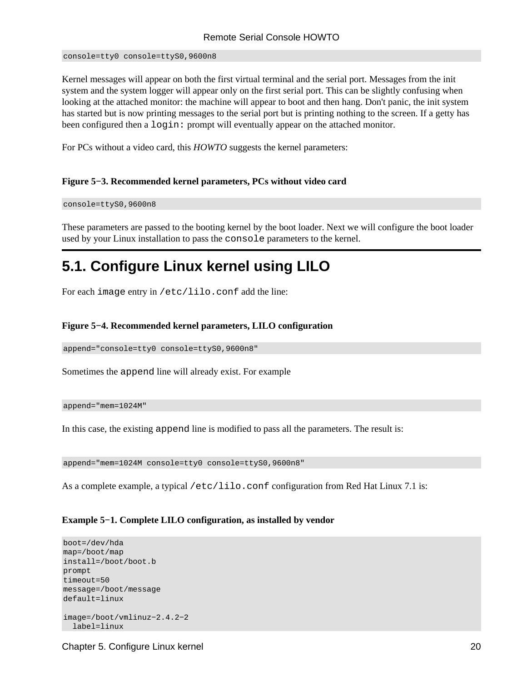console=tty0 console=ttyS0,9600n8

Kernel messages will appear on both the first virtual terminal and the serial port. Messages from the init system and the system logger will appear only on the first serial port. This can be slightly confusing when looking at the attached monitor: the machine will appear to boot and then hang. Don't panic, the init system has started but is now printing messages to the serial port but is printing nothing to the screen. If a getty has been configured then a login: prompt will eventually appear on the attached monitor.

For PCs without a video card, this *HOWTO* suggests the kernel parameters:

## **Figure 5−3. Recommended kernel parameters, PCs without video card**

console=ttyS0,9600n8

These parameters are passed to the booting kernel by the boot loader. Next we will configure the boot loader used by your Linux installation to pass the console parameters to the kernel.

# <span id="page-25-0"></span>**5.1. Configure Linux kernel using LILO**

For each image entry in /etc/lilo.conf add the line:

## **Figure 5−4. Recommended kernel parameters, LILO configuration**

append="console=tty0 console=ttyS0,9600n8"

Sometimes the append line will already exist. For example

append="mem=1024M"

In this case, the existing append line is modified to pass all the parameters. The result is:

append="mem=1024M console=tty0 console=ttyS0,9600n8"

As a complete example, a typical /etc/lilo.conf configuration from Red Hat Linux 7.1 is:

## **Example 5−1. Complete LILO configuration, as installed by vendor**

```
boot=/dev/hda
map=/boot/map
install=/boot/boot.b
prompt
timeout=50
message=/boot/message
default=linux
image=/boot/vmlinuz−2.4.2−2
   label=linux
```
## Chapter 5. Configure Linux kernel 20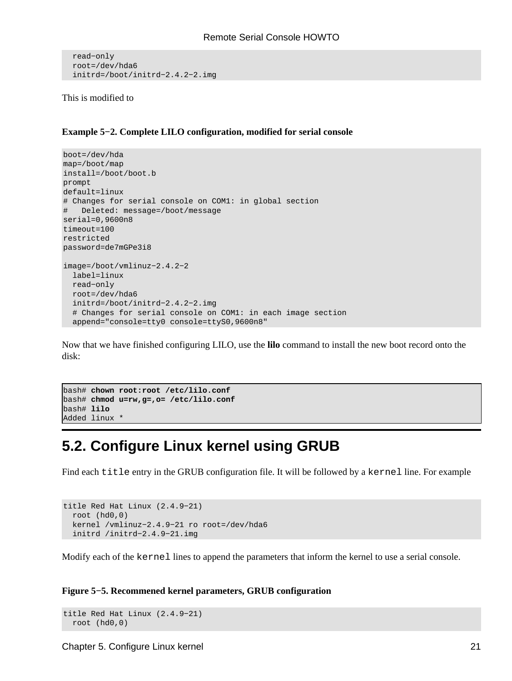```
 read−only
 root=/dev/hda6
 initrd=/boot/initrd−2.4.2−2.img
```
This is modified to

**Example 5−2. Complete LILO configuration, modified for serial console**

```
boot=/dev/hda
map=/boot/map
install=/boot/boot.b
prompt
default=linux
# Changes for serial console on COM1: in global section
  Deleted: message=/boot/message
serial=0,9600n8
timeout=100
restricted
password=de7mGPe3i8
image=/boot/vmlinuz−2.4.2−2
  label=linux
  read−only
   root=/dev/hda6
   initrd=/boot/initrd−2.4.2−2.img
   # Changes for serial console on COM1: in each image section
   append="console=tty0 console=ttyS0,9600n8"
```
Now that we have finished configuring LILO, use the **lilo** command to install the new boot record onto the disk:

```
bash# chown root:root /etc/lilo.conf
bash# chmod u=rw,g=,o= /etc/lilo.conf
bash# lilo
Added linux *
```
# <span id="page-26-0"></span>**5.2. Configure Linux kernel using GRUB**

Find each title entry in the GRUB configuration file. It will be followed by a kernel line. For example

```
title Red Hat Linux (2.4.9−21)
   root (hd0,0)
   kernel /vmlinuz−2.4.9−21 ro root=/dev/hda6
   initrd /initrd−2.4.9−21.img
```
Modify each of the kernel lines to append the parameters that inform the kernel to use a serial console.

### **Figure 5−5. Recommened kernel parameters, GRUB configuration**

```
title Red Hat Linux (2.4.9−21)
  root (hd0,0)
```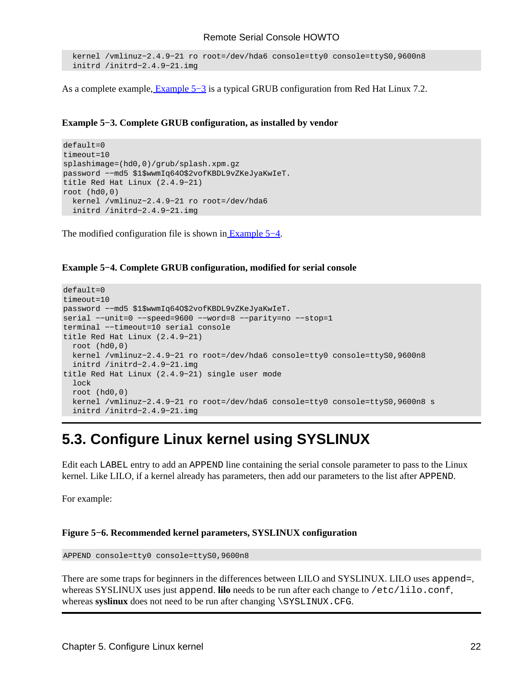```
 kernel /vmlinuz−2.4.9−21 ro root=/dev/hda6 console=tty0 console=ttyS0,9600n8
 initrd /initrd−2.4.9−21.img
```
As a complete example, [Example 5−3](#page-27-1) is a typical GRUB configuration from Red Hat Linux 7.2.

#### <span id="page-27-1"></span>**Example 5−3. Complete GRUB configuration, as installed by vendor**

```
default=0
timeout=10
splashimage=(hd0,0)/grub/splash.xpm.gz
password −−md5 $1$wwmIq64O$2vofKBDL9vZKeJyaKwIeT.
title Red Hat Linux (2.4.9−21)
root (hd0,0)
   kernel /vmlinuz−2.4.9−21 ro root=/dev/hda6
  initrd /initrd−2.4.9−21.img
```
The modified configuration file is shown in [Example 5−4.](#page-27-2)

#### <span id="page-27-2"></span>**Example 5−4. Complete GRUB configuration, modified for serial console**

```
default=0
timeout=10
password −−md5 $1$wwmIq64O$2vofKBDL9vZKeJyaKwIeT.
serial −−unit=0 −−speed=9600 −−word=8 −−parity=no −−stop=1
terminal −−timeout=10 serial console
title Red Hat Linux (2.4.9−21)
   root (hd0,0)
  kernel /vmlinuz−2.4.9−21 ro root=/dev/hda6 console=tty0 console=ttyS0,9600n8
   initrd /initrd−2.4.9−21.img
title Red Hat Linux (2.4.9−21) single user mode
   lock
   root (hd0,0)
   kernel /vmlinuz−2.4.9−21 ro root=/dev/hda6 console=tty0 console=ttyS0,9600n8 s
   initrd /initrd−2.4.9−21.img
```
# <span id="page-27-0"></span>**5.3. Configure Linux kernel using SYSLINUX**

Edit each LABEL entry to add an APPEND line containing the serial console parameter to pass to the Linux kernel. Like LILO, if a kernel already has parameters, then add our parameters to the list after APPEND.

For example:

#### **Figure 5−6. Recommended kernel parameters, SYSLINUX configuration**

```
APPEND console=tty0 console=ttyS0,9600n8
```
There are some traps for beginners in the differences between LILO and SYSLINUX. LILO uses append=, whereas SYSLINUX uses just append. **lilo** needs to be run after each change to /etc/lilo.conf, whereas **syslinux** does not need to be run after changing \SYSLINUX.CFG.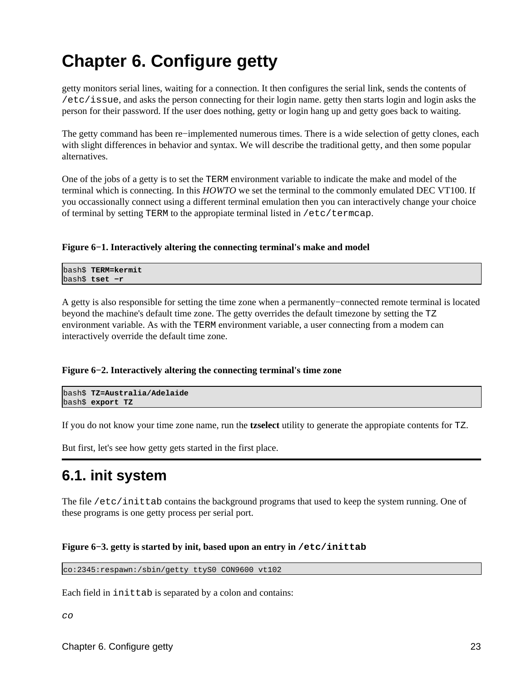# <span id="page-28-0"></span>**Chapter 6. Configure getty**

getty monitors serial lines, waiting for a connection. It then configures the serial link, sends the contents of /etc/issue, and asks the person connecting for their login name. getty then starts login and login asks the person for their password. If the user does nothing, getty or login hang up and getty goes back to waiting.

The getty command has been re−implemented numerous times. There is a wide selection of getty clones, each with slight differences in behavior and syntax. We will describe the traditional getty, and then some popular alternatives.

One of the jobs of a getty is to set the TERM environment variable to indicate the make and model of the terminal which is connecting. In this *HOWTO* we set the terminal to the commonly emulated DEC VT100. If you occassionally connect using a different terminal emulation then you can interactively change your choice of terminal by setting TERM to the appropiate terminal listed in /etc/termcap.

### **Figure 6−1. Interactively altering the connecting terminal's make and model**

| bash\$ TERM=kermit |
|--------------------|
| bash\$ tset -r     |

A getty is also responsible for setting the time zone when a permanently−connected remote terminal is located beyond the machine's default time zone. The getty overrides the default timezone by setting the TZ environment variable. As with the TERM environment variable, a user connecting from a modem can interactively override the default time zone.

### **Figure 6−2. Interactively altering the connecting terminal's time zone**

```
bash$ TZ=Australia/Adelaide
bash$ export TZ
```
If you do not know your time zone name, run the **tzselect** utility to generate the appropiate contents for TZ.

But first, let's see how getty gets started in the first place.

# <span id="page-28-1"></span>**6.1. init system**

The file /etc/inittab contains the background programs that used to keep the system running. One of these programs is one getty process per serial port.

## <span id="page-28-2"></span>**Figure 6−3. getty is started by init, based upon an entry in /etc/inittab**

```
co:2345:respawn:/sbin/getty ttyS0 CON9600 vt102
```
Each field in inittab is separated by a colon and contains:

 $CO$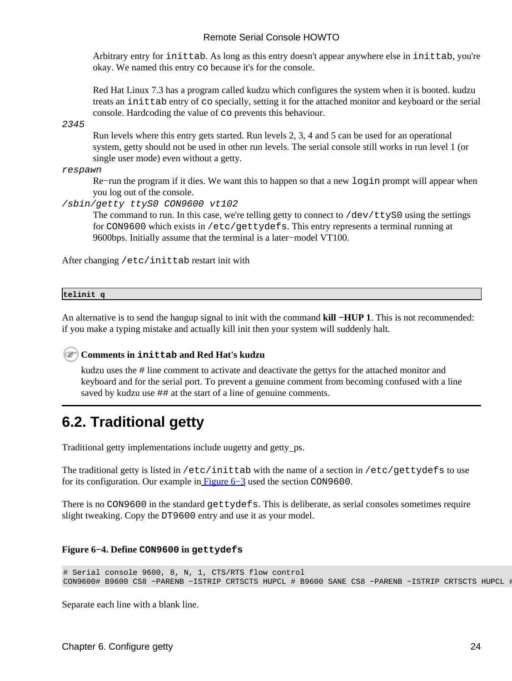Arbitrary entry for inittab. As long as this entry doesn't appear anywhere else in inittab, you're okay. We named this entry co because it's for the console.

Red Hat Linux 7.3 has a program called kudzu which configures the system when it is booted. kudzu treats an inittab entry of co specially, setting it for the attached monitor and keyboard or the serial console. Hardcoding the value of co prevents this behaviour.

2345

Run levels where this entry gets started. Run levels 2, 3, 4 and 5 can be used for an operational system, getty should not be used in other run levels. The serial console still works in run level 1 (or single user mode) even without a getty.

respawn

Re−run the program if it dies. We want this to happen so that a new login prompt will appear when you log out of the console.

/sbin/getty ttyS0 CON9600 vt102

The command to run. In this case, we're telling getty to connect to  $/dev/t$ tyS0 using the settings for CON9600 which exists in /etc/gettydefs. This entry represents a terminal running at 9600bps. Initially assume that the terminal is a later−model VT100.

After changing /etc/inittab restart init with

#### **telinit q**

An alternative is to send the hangup signal to init with the command **kill −HUP 1**. This is not recommended: if you make a typing mistake and actually kill init then your system will suddenly halt.

## **Comments in inittab and Red Hat's kudzu**

kudzu uses the # line comment to activate and deactivate the gettys for the attached monitor and keyboard and for the serial port. To prevent a genuine comment from becoming confused with a line saved by kudzu use ## at the start of a line of genuine comments.

# <span id="page-29-0"></span>**6.2. Traditional getty**

Traditional getty implementations include uugetty and getty\_ps.

The traditional getty is listed in /etc/inittab with the name of a section in /etc/gettydefs to use for its configuration. Our example in [Figure 6−3](#page-28-2) used the section CON9600.

There is no CON9600 in the standard gettydefs. This is deliberate, as serial consoles sometimes require slight tweaking. Copy the DT9600 entry and use it as your model.

### <span id="page-29-1"></span>**Figure 6−4. Define CON9600 in gettydefs**

```
# Serial console 9600, 8, N, 1, CTS/RTS flow control
CON9600# B9600 CS8 -PARENB -ISTRIP CRTSCTS HUPCL # B9600 SANE CS8 -PARENB -ISTRIP CRTSCTS HUPCL #
```
Separate each line with a blank line.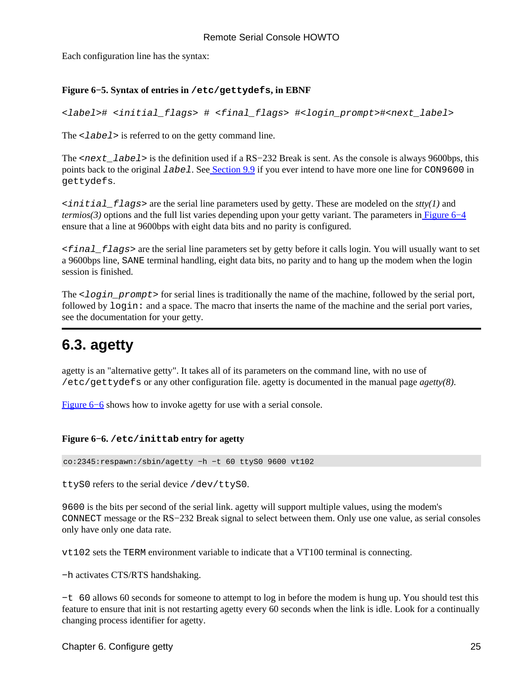Each configuration line has the syntax:

# **Figure 6−5. Syntax of entries in /etc/gettydefs, in EBNF**

```
<label># <initial_flags> # <final_flags> #<login_prompt>#<next_label>
```
The  $\langle$  label  $\rangle$  is referred to on the getty command line.

The <next label> is the definition used if a RS−232 Break is sent. As the console is always 9600bps, this points back to the original *label*. Se[e Section 9.9](#page-48-3) if you ever intend to have more one line for CON9600 in gettydefs.

 $\le$ initial\_flags> are the serial line parameters used by getty. These are modeled on the *stty(1)* and *termios(3)* options and the full list varies depending upon your getty variant. The parameters i[n Figure 6−4](#page-29-1) ensure that a line at 9600bps with eight data bits and no parity is configured.

 $\epsilon$  and  $\epsilon$  are the serial line parameters set by getty before it calls login. You will usually want to set a 9600bps line, SANE terminal handling, eight data bits, no parity and to hang up the modem when the login session is finished.

The <login\_prompt> for serial lines is traditionally the name of the machine, followed by the serial port, followed by  $login:$  and a space. The macro that inserts the name of the machine and the serial port varies, see the documentation for your getty.

# <span id="page-30-0"></span>**6.3. agetty**

agetty is an "alternative getty". It takes all of its parameters on the command line, with no use of /etc/gettydefs or any other configuration file. agetty is documented in the manual page *agetty(8)*.

[Figure 6−6](#page-30-1) shows how to invoke agetty for use with a serial console.

## <span id="page-30-1"></span>**Figure 6−6. /etc/inittab entry for agetty**

co:2345:respawn:/sbin/agetty −h −t 60 ttyS0 9600 vt102

ttyS0 refers to the serial device /dev/ttyS0.

9600 is the bits per second of the serial link. agetty will support multiple values, using the modem's CONNECT message or the RS−232 Break signal to select between them. Only use one value, as serial consoles only have only one data rate.

vt102 sets the TERM environment variable to indicate that a VT100 terminal is connecting.

−h activates CTS/RTS handshaking.

−t 60 allows 60 seconds for someone to attempt to log in before the modem is hung up. You should test this feature to ensure that init is not restarting agetty every 60 seconds when the link is idle. Look for a continually changing process identifier for agetty.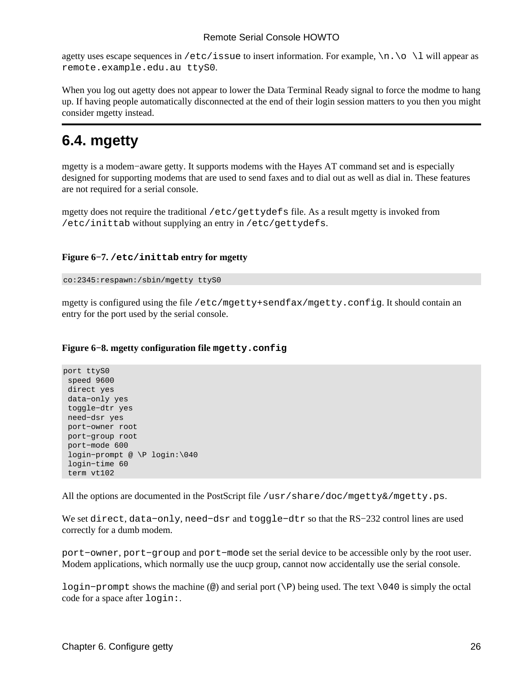```
agetty uses escape sequences in /etc/issue to insert information. For example, \n.\o \l will appear as
remote.example.edu.au ttyS0.
```
When you log out agetty does not appear to lower the Data Terminal Ready signal to force the modme to hang up. If having people automatically disconnected at the end of their login session matters to you then you might consider mgetty instead.

# <span id="page-31-0"></span>**6.4. mgetty**

mgetty is a modem−aware getty. It supports modems with the Hayes AT command set and is especially designed for supporting modems that are used to send faxes and to dial out as well as dial in. These features are not required for a serial console.

mgetty does not require the traditional /etc/gettydefs file. As a result mgetty is invoked from /etc/inittab without supplying an entry in /etc/gettydefs.

### **Figure 6−7. /etc/inittab entry for mgetty**

```
co:2345:respawn:/sbin/mgetty ttyS0
```
mgetty is configured using the file /etc/mgetty+sendfax/mgetty.config. It should contain an entry for the port used by the serial console.

## **Figure 6−8. mgetty configuration file mgetty.config**

```
port ttyS0
  speed 9600
  direct yes
  data−only yes
  toggle−dtr yes
  need−dsr yes
  port−owner root
  port−group root
  port−mode 600
  login−prompt @ \P login:\040
  login−time 60
  term vt102
```
All the options are documented in the PostScript file /usr/share/doc/mgetty&/mgetty.ps.

We set direct, data−only, need−dsr and toggle−dtr so that the RS−232 control lines are used correctly for a dumb modem.

port−owner, port−group and port−mode set the serial device to be accessible only by the root user. Modem applications, which normally use the uucp group, cannot now accidentally use the serial console.

login−prompt shows the machine (@) and serial port (\P) being used. The text \040 is simply the octal code for a space after login:.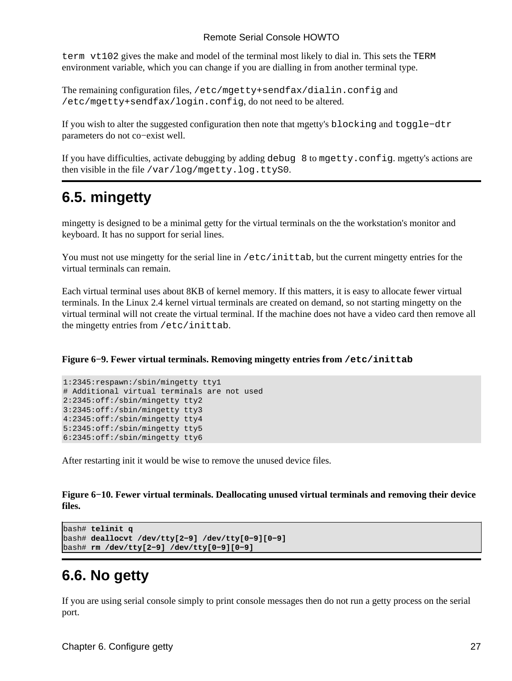term vt102 gives the make and model of the terminal most likely to dial in. This sets the TERM environment variable, which you can change if you are dialling in from another terminal type.

The remaining configuration files, /etc/mgetty+sendfax/dialin.config and /etc/mgetty+sendfax/login.config, do not need to be altered.

If you wish to alter the suggested configuration then note that mgetty's blocking and toggle−dtr parameters do not co−exist well.

If you have difficulties, activate debugging by adding debug 8 to mgetty.config. mgetty's actions are then visible in the file /var/log/mgetty.log.ttyS0.

# <span id="page-32-0"></span>**6.5. mingetty**

mingetty is designed to be a minimal getty for the virtual terminals on the the workstation's monitor and keyboard. It has no support for serial lines.

You must not use mingetty for the serial line in /etc/inittab, but the current mingetty entries for the virtual terminals can remain.

Each virtual terminal uses about 8KB of kernel memory. If this matters, it is easy to allocate fewer virtual terminals. In the Linux 2.4 kernel virtual terminals are created on demand, so not starting mingetty on the virtual terminal will not create the virtual terminal. If the machine does not have a video card then remove all the mingetty entries from /etc/inittab.

### **Figure 6−9. Fewer virtual terminals. Removing mingetty entries from /etc/inittab**

```
1:2345:respawn:/sbin/mingetty tty1
# Additional virtual terminals are not used
2:2345:off:/sbin/mingetty tty2
3:2345:off:/sbin/mingetty tty3
4:2345:off:/sbin/mingetty tty4
5:2345:off:/sbin/mingetty tty5
6:2345:off:/sbin/mingetty tty6
```
After restarting init it would be wise to remove the unused device files.

### **Figure 6−10. Fewer virtual terminals. Deallocating unused virtual terminals and removing their device files.**

```
bash# telinit q
bash# deallocvt /dev/tty[2−9] /dev/tty[0−9][0−9]
bash# rm /dev/tty[2−9] /dev/tty[0−9][0−9]
```
# <span id="page-32-1"></span>**6.6. No getty**

If you are using serial console simply to print console messages then do not run a getty process on the serial port.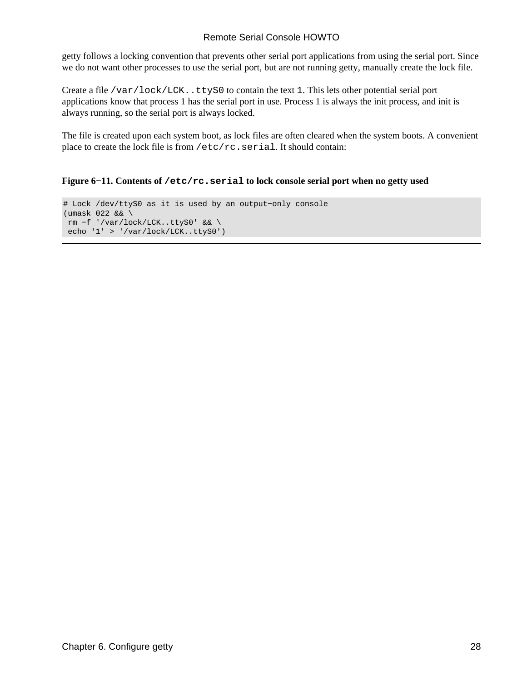getty follows a locking convention that prevents other serial port applications from using the serial port. Since we do not want other processes to use the serial port, but are not running getty, manually create the lock file.

Create a file /var/lock/LCK..ttyS0 to contain the text 1. This lets other potential serial port applications know that process 1 has the serial port in use. Process 1 is always the init process, and init is always running, so the serial port is always locked.

The file is created upon each system boot, as lock files are often cleared when the system boots. A convenient place to create the lock file is from /etc/rc.serial. It should contain:

## **Figure 6−11. Contents of /etc/rc.serial to lock console serial port when no getty used**

# Lock /dev/ttyS0 as it is used by an output−only console (umask 022 && \ rm −f '/var/lock/LCK..ttyS0' && \ echo '1' > '/var/lock/LCK..ttyS0')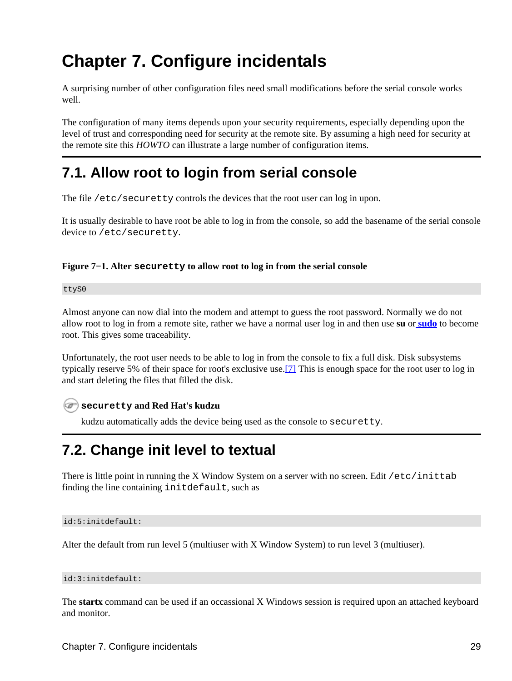# <span id="page-34-0"></span>**Chapter 7. Configure incidentals**

A surprising number of other configuration files need small modifications before the serial console works well.

The configuration of many items depends upon your security requirements, especially depending upon the level of trust and corresponding need for security at the remote site. By assuming a high need for security at the remote site this *HOWTO* can illustrate a large number of configuration items.

# <span id="page-34-1"></span>**7.1. Allow root to login from serial console**

The file /etc/securetty controls the devices that the root user can log in upon.

It is usually desirable to have root be able to log in from the console, so add the basename of the serial console device to /etc/securetty.

## **Figure 7−1. Alter securetty to allow root to log in from the serial console**

ttyS0

Almost anyone can now dial into the modem and attempt to guess the root password. Normally we do not allow root to log in from a remote site, rather we have a normal user log in and then use **su** or **[sudo](http://www.courtesan.com/sudo/)** to become root. This gives some traceability.

Unfortunately, the root user needs to be able to log in from the console to fix a full disk. Disk subsystems typically reserve 5% of their space for root's exclusive use[.\[7\]](#page-100-8) This is enough space for the root user to log in and start deleting the files that filled the disk.

# **securetty and Red Hat's kudzu**

kudzu automatically adds the device being used as the console to securetty.

# <span id="page-34-2"></span>**7.2. Change init level to textual**

There is little point in running the X Window System on a server with no screen. Edit /etc/inittab finding the line containing initdefault, such as

id:5:initdefault:

Alter the default from run level 5 (multiuser with X Window System) to run level 3 (multiuser).

#### id:3:initdefault:

The **startx** command can be used if an occassional X Windows session is required upon an attached keyboard and monitor.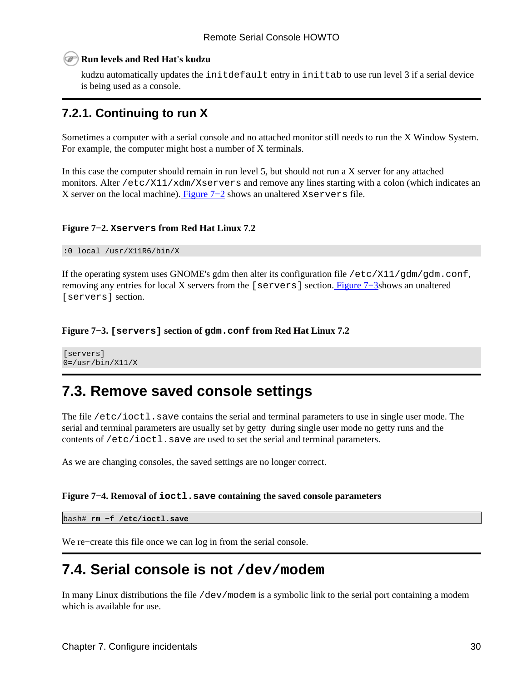# **Run levels and Red Hat's kudzu**

kudzu automatically updates the initdefault entry in inittab to use run level 3 if a serial device is being used as a console.

# <span id="page-35-0"></span>**7.2.1. Continuing to run X**

Sometimes a computer with a serial console and no attached monitor still needs to run the X Window System. For example, the computer might host a number of X terminals.

In this case the computer should remain in run level 5, but should not run a X server for any attached monitors. Alter /etc/X11/xdm/Xservers and remove any lines starting with a colon (which indicates an X server on the local machine)[. Figure 7−2](#page-35-3) shows an unaltered Xservers file.

## <span id="page-35-3"></span>**Figure 7−2. Xservers from Red Hat Linux 7.2**

:0 local /usr/X11R6/bin/X

If the operating system uses GNOME's gdm then alter its configuration file /etc/X11/gdm/gdm.conf, removing any entries for local X servers from the [servers] section[. Figure 7−3s](#page-35-4)hows an unaltered [servers] section.

## <span id="page-35-4"></span>**Figure 7−3. [servers] section of gdm.conf from Red Hat Linux 7.2**

[servers] 0=/usr/bin/X11/X

# <span id="page-35-1"></span>**7.3. Remove saved console settings**

The file /etc/ioctl.save contains the serial and terminal parameters to use in single user mode. The serial and terminal parameters are usually set by getty during single user mode no getty runs and the contents of /etc/ioctl.save are used to set the serial and terminal parameters.

As we are changing consoles, the saved settings are no longer correct.

## **Figure 7−4. Removal of ioctl.save containing the saved console parameters**

bash# **rm −f /etc/ioctl.save**

We re−create this file once we can log in from the serial console.

# <span id="page-35-2"></span>**7.4. Serial console is not /dev/modem**

In many Linux distributions the file /dev/modem is a symbolic link to the serial port containing a modem which is available for use.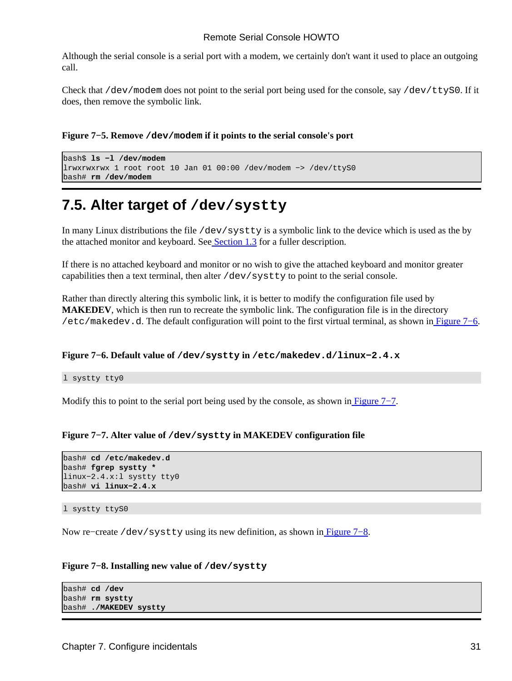Although the serial console is a serial port with a modem, we certainly don't want it used to place an outgoing call.

Check that /dev/modem does not point to the serial port being used for the console, say /dev/ttyS0. If it does, then remove the symbolic link.

#### **Figure 7−5. Remove /dev/modem if it points to the serial console's port**

```
bash$ ls −l /dev/modem
lrwxrwxrwx 1 root root 10 Jan 01 00:00 /dev/modem −> /dev/ttyS0
bash# rm /dev/modem
```
### **7.5. Alter target of /dev/systty**

In many Linux distributions the file /dev/systty is a symbolic link to the device which is used as the by the attached monitor and keyboard. Se[e Section 1.3](#page-8-0) for a fuller description.

If there is no attached keyboard and monitor or no wish to give the attached keyboard and monitor greater capabilities then a text terminal, then alter /dev/systty to point to the serial console.

Rather than directly altering this symbolic link, it is better to modify the configuration file used by **MAKEDEV**, which is then run to recreate the symbolic link. The configuration file is in the directory /etc/makedev.d. The default configuration will point to the first virtual terminal, as shown in [Figure 7−6](#page-36-0).

#### <span id="page-36-0"></span>**Figure 7−6. Default value of /dev/systty in /etc/makedev.d/linux−2.4.x**

l systty tty0

Modify this to point to the serial port being used by the console, as shown in Figure  $7-7$ .

#### <span id="page-36-1"></span>**Figure 7−7. Alter value of /dev/systty in MAKEDEV configuration file**

```
bash# cd /etc/makedev.d
bash# fgrep systty *
linux−2.4.x:l systty tty0
bash# vi linux−2.4.x
```
l systty ttyS0

Now re−create /dev/systty using its new definition, as shown i[n Figure 7−8.](#page-36-2)

#### <span id="page-36-2"></span>**Figure 7−8. Installing new value of /dev/systty**

```
bash# cd /dev
bash# rm systty
bash# ./MAKEDEV systty
```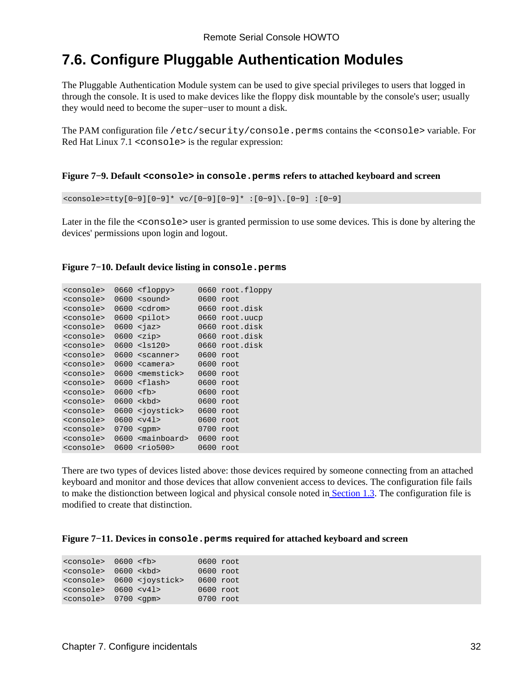### **7.6. Configure Pluggable Authentication Modules**

The Pluggable Authentication Module system can be used to give special privileges to users that logged in through the console. It is used to make devices like the floppy disk mountable by the console's user; usually they would need to become the super−user to mount a disk.

The PAM configuration file /etc/security/console.perms contains the <console> variable. For Red Hat Linux 7.1 <console> is the regular expression:

#### **Figure 7−9. Default <console> in console.perms refers to attached keyboard and screen**

```
<console>=tty[0−9][0−9]* vc/[0−9][0−9]* :[0−9]\.[0−9] :[0−9]
```
Later in the file the <console> user is granted permission to use some devices. This is done by altering the devices' permissions upon login and logout.

#### **Figure 7−10. Default device listing in console.perms**

| <console></console> | 0660 | <floppy></floppy>       | 0660 | root.floppy |
|---------------------|------|-------------------------|------|-------------|
| <console></console> | 0600 | <sound></sound>         | 0600 | root        |
| <console></console> | 0600 | <cdrom></cdrom>         | 0660 | root.disk   |
| <console></console> | 0600 | <pilot></pilot>         | 0660 | root.uucp   |
| <console></console> | 0600 | <jaz></jaz>             | 0660 | root.disk   |
| <console></console> | 0600 | $<$ zip>                | 0660 | root.disk   |
| <console></console> | 0600 | $<$ ls120>              | 0660 | root.disk   |
| <console></console> | 0600 | <scanner></scanner>     | 0600 | root        |
| <console></console> | 0600 | <camera></camera>       | 0600 | root        |
| <console></console> | 0600 | <memstick></memstick>   | 0600 | root        |
| <console></console> | 0600 | $<$ flash $>$           | 0600 | root        |
| <console></console> | 0600 | $<$ fb>                 | 0600 | root        |
| <console></console> | 0600 | <kbd></kbd>             | 0600 | root        |
| <console></console> | 0600 | <joystick></joystick>   | 0600 | root        |
| <console></console> | 0600 | $<$ v4l>                | 0600 | root        |
| <console></console> | 0700 | $<$ qpm $>$             | 0700 | root        |
| <console></console> | 0600 | <mainboard></mainboard> | 0600 | root        |
| <console></console> | 0600 | $<$ rio $500>$          | 0600 | root        |
|                     |      |                         |      |             |

There are two types of devices listed above: those devices required by someone connecting from an attached keyboard and monitor and those devices that allow convenient access to devices. The configuration file fails to make the distionction between logical and physical console noted i[n Section 1.3](#page-8-0). The configuration file is modified to create that distinction.

#### **Figure 7−11. Devices in console.perms required for attached keyboard and screen**

| <console> 0600 <fb></fb></console>   |                                                | 0600 root |
|--------------------------------------|------------------------------------------------|-----------|
| <console> 0600 <kbd></kbd></console> |                                                | 0600 root |
|                                      | <console> 0600 <joystick></joystick></console> | 0600 root |
| <console> 0600 <v41></v41></console> |                                                | 0600 root |
| <console> 0700 <qpm></qpm></console> |                                                | 0700 root |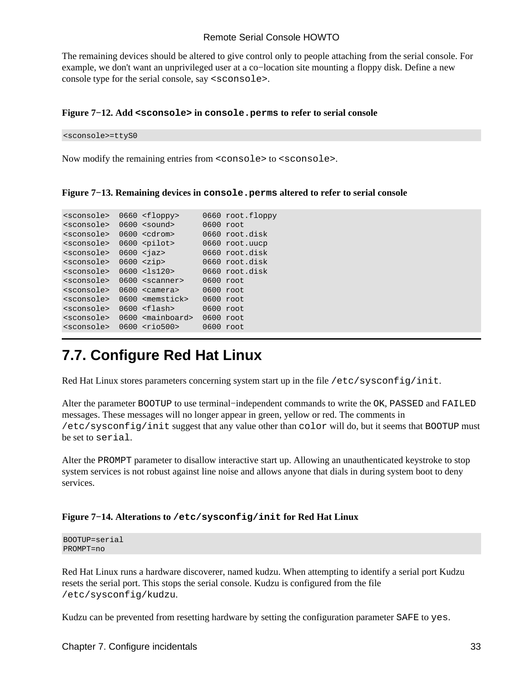The remaining devices should be altered to give control only to people attaching from the serial console. For example, we don't want an unprivileged user at a co−location site mounting a floppy disk. Define a new console type for the serial console, say <sconsole>.

#### **Figure 7−12. Add <sconsole> in console.perms to refer to serial console**

<sconsole>=ttyS0

Now modify the remaining entries from  $<$ console> to  $<$ sconsole>.

#### **Figure 7−13. Remaining devices in console.perms altered to refer to serial console**

| <sconsole></sconsole> |      | $0660$ <floppy></floppy>     |      | 0660 root.floppy |
|-----------------------|------|------------------------------|------|------------------|
| <sconsole></sconsole> |      | $0600$ $<$ sound>            | 0600 | root             |
| <sconsole></sconsole> |      | $0600 < cdr$ om $>$          |      | 0660 root.disk   |
| <sconsole></sconsole> |      | $0600$ $<$ pilot>            |      | 0660 root.uucp   |
| <sconsole></sconsole> |      | 0600 < jazz                  |      | 0660 root.disk   |
| ssconsole>            |      | 0600 < zip                   |      | 0660 root.disk   |
| <sconsole></sconsole> | 0600 | $<$ l $s120>$                |      | 0660 root.disk   |
| <sconsole></sconsole> | 0600 | <scanner></scanner>          |      | $0600$ root      |
| <sconsole></sconsole> | 0600 | <camera></camera>            |      | $0600$ root      |
| <sconsole></sconsole> |      | $0600$ <memstick></memstick> |      | $0600$ root      |
| ssconsole>            |      | $0600$ $\leq$ flash>         |      | $0600$ root      |
| <sconsole></sconsole> |      | $0600$ $<$ mainboard>        |      | $0600$ root      |
| <sconsole></sconsole> | 0600 | $<$ rio $500$ >              |      | $0600$ root      |
|                       |      |                              |      |                  |

## **7.7. Configure Red Hat Linux**

Red Hat Linux stores parameters concerning system start up in the file /etc/sysconfig/init.

Alter the parameter BOOTUP to use terminal−independent commands to write the OK, PASSED and FAILED messages. These messages will no longer appear in green, yellow or red. The comments in /etc/sysconfig/init suggest that any value other than color will do, but it seems that BOOTUP must be set to serial.

Alter the PROMPT parameter to disallow interactive start up. Allowing an unauthenticated keystroke to stop system services is not robust against line noise and allows anyone that dials in during system boot to deny services.

#### **Figure 7−14. Alterations to /etc/sysconfig/init for Red Hat Linux**

BOOTUP=serial PROMPT=no

Red Hat Linux runs a hardware discoverer, named kudzu. When attempting to identify a serial port Kudzu resets the serial port. This stops the serial console. Kudzu is configured from the file /etc/sysconfig/kudzu.

Kudzu can be prevented from resetting hardware by setting the configuration parameter SAFE to yes.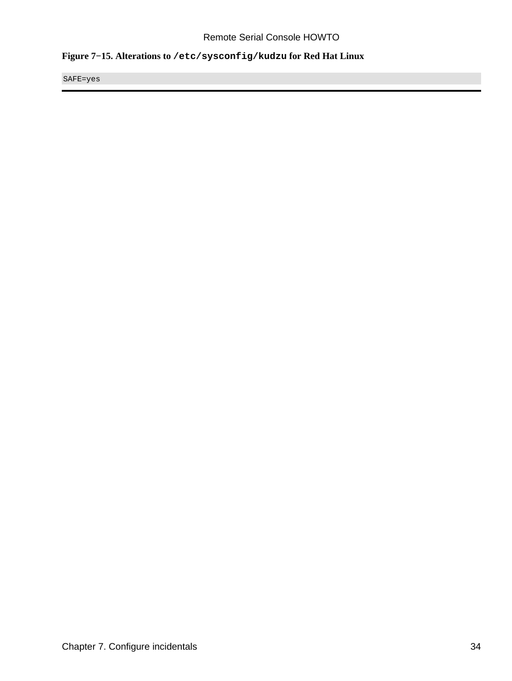### **Figure 7−15. Alterations to /etc/sysconfig/kudzu for Red Hat Linux**

SAFE=yes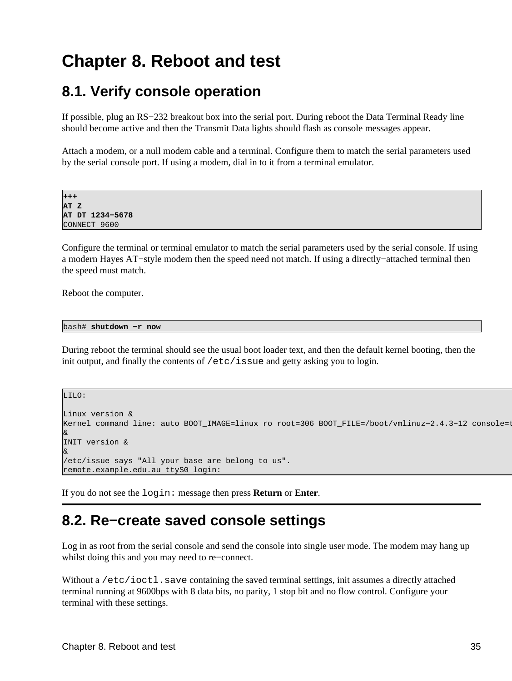# **Chapter 8. Reboot and test**

### **8.1. Verify console operation**

If possible, plug an RS−232 breakout box into the serial port. During reboot the Data Terminal Ready line should become active and then the Transmit Data lights should flash as console messages appear.

Attach a modem, or a null modem cable and a terminal. Configure them to match the serial parameters used by the serial console port. If using a modem, dial in to it from a terminal emulator.

**+++ AT Z AT DT 1234−5678** CONNECT 9600

Configure the terminal or terminal emulator to match the serial parameters used by the serial console. If using a modern Hayes AT−style modem then the speed need not match. If using a directly−attached terminal then the speed must match.

Reboot the computer.

```
bash# shutdown −r now
```
During reboot the terminal should see the usual boot loader text, and then the default kernel booting, then the init output, and finally the contents of /etc/issue and getty asking you to login.

```
LTT.0:
Linux version &
Kernel command line: auto BOOT IMAGE=linux ro root=306 BOOT FILE=/boot/vmlinuz−2.4.3−12 console=t
&
INIT version &
&
/etc/issue says "All your base are belong to us".
remote.example.edu.au ttyS0 login:
```
If you do not see the login: message then press **Return** or **Enter**.

# **8.2. Re−create saved console settings**

Log in as root from the serial console and send the console into single user mode. The modem may hang up whilst doing this and you may need to re−connect.

Without a /etc/ioctl.save containing the saved terminal settings, init assumes a directly attached terminal running at 9600bps with 8 data bits, no parity, 1 stop bit and no flow control. Configure your terminal with these settings.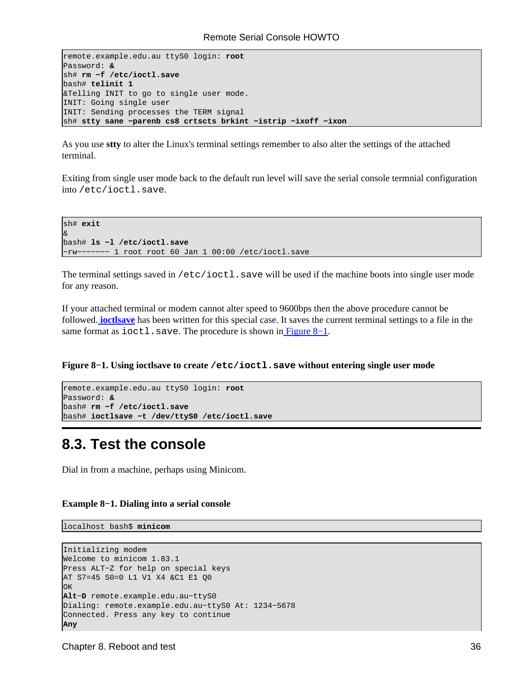```
remote.example.edu.au ttyS0 login: root
Password: &
sh# rm −f /etc/ioctl.save
bash# telinit 1
&Telling INIT to go to single user mode.
INIT: Going single user
INIT: Sending processes the TERM signal
sh# stty sane −parenb cs8 crtscts brkint −istrip −ixoff −ixon
```
As you use **stty** to alter the Linux's terminal settings remember to also alter the settings of the attached terminal.

Exiting from single user mode back to the default run level will save the serial console termnial configuration into /etc/ioctl.save.

```
sh# exit
&
bash# ls −l /etc/ioctl.save
−rw−−−−−−− 1 root root 60 Jan 1 00:00 /etc/ioctl.save
```
The terminal settings saved in  $/etc/joct1$ . save will be used if the machine boots into single user mode for any reason.

If your attached terminal or modem cannot alter speed to 9600bps then the above procedure cannot be followed. **[ioctlsave](http://www.aarnet.edu.au/network/software/ioctlsave/)** has been written for this special case. It saves the current terminal settings to a file in the same format as ioctl.save. The procedure is shown in Figure  $8-1$ .

#### <span id="page-41-0"></span>**Figure 8−1. Using ioctlsave to create /etc/ioctl.save without entering single user mode**

```
remote.example.edu.au ttyS0 login: root
Password: &
bash# rm −f /etc/ioctl.save
bash# ioctlsave −t /dev/ttyS0 /etc/ioctl.save
```
### **8.3. Test the console**

Dial in from a machine, perhaps using Minicom.

#### **Example 8−1. Dialing into a serial console**

localhost bash\$ **minicom**

```
Initializing modem
Welcome to minicom 1.83.1
Press ALT−Z for help on special keys
AT S7=45 S0=0 L1 V1 X4 &C1 E1 Q0 
OK
Alt−D remote.example.edu.au−ttyS0
Dialing: remote.example.edu.au−ttyS0 At: 1234−5678
Connected. Press any key to continue
Any
```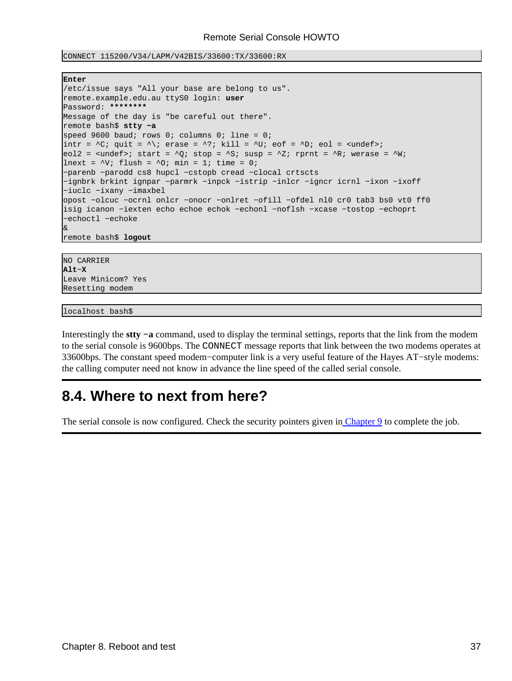CONNECT 115200/V34/LAPM/V42BIS/33600:TX/33600:RX

```
Enter
/etc/issue says "All your base are belong to us".
remote.example.edu.au ttyS0 login: user
Password: ********
Message of the day is "be careful out there".
remote bash$ stty −a
speed 9600 baud; rows 0; columns 0; line = 0;
intr = \text{C}; quit = \text{A}; erase = \text{A}?; kill = \text{A}U; eof = \text{A}D; eol = <undef>;
eol2 = <undef>; start = \triangle Q; stop = \triangle S; susp = \triangle Z; rprnt = \triangle R; werase = \triangle W;
lnext = \gamma; flush = \gamma; min = 1; time = 0;
−parenb −parodd cs8 hupcl −cstopb cread −clocal crtscts
−ignbrk brkint ignpar −parmrk −inpck −istrip −inlcr −igncr icrnl −ixon −ixoff
−iuclc −ixany −imaxbel
opost −olcuc −ocrnl onlcr −onocr −onlret −ofill −ofdel nl0 cr0 tab3 bs0 vt0 ff0
isig icanon −iexten echo echoe echok −echonl −noflsh −xcase −tostop −echoprt
−echoctl −echoke
&
remote bash$ logout
```
NO CARRIER **Alt**−**X** Leave Minicom? Yes Resetting modem

localhost bash\$

Interestingly the **stty −a** command, used to display the terminal settings, reports that the link from the modem to the serial console is 9600bps. The CONNECT message reports that link between the two modems operates at 33600bps. The constant speed modem−computer link is a very useful feature of the Hayes AT−style modems: the calling computer need not know in advance the line speed of the called serial console.

### **8.4. Where to next from here?**

The serial console is now configured. Check the security pointers given i[n Chapter 9](#page-43-0) to complete the job.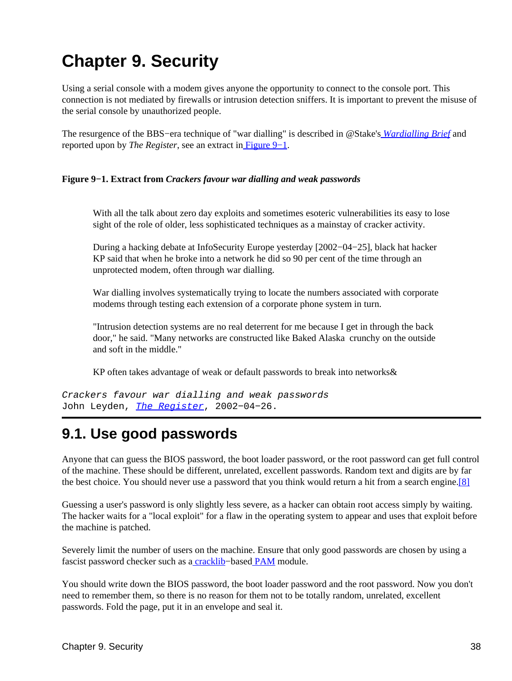# <span id="page-43-0"></span>**Chapter 9. Security**

Using a serial console with a modem gives anyone the opportunity to connect to the console port. This connection is not mediated by firewalls or intrusion detection sniffers. It is important to prevent the misuse of the serial console by unauthorized people.

The resurgence of the BBS−era technique of "war dialling" is described in @Stake's *[Wardialling Brief](http://www.atstake.com/research/reports/acrobat/wardialling_brief.pdf)* and reported upon by *The Register*, see an extract i[n Figure 9−1.](#page-43-1)

#### <span id="page-43-1"></span>**Figure 9−1. Extract from** *Crackers favour war dialling and weak passwords*

With all the talk about zero day exploits and sometimes esoteric vulnerabilities its easy to lose sight of the role of older, less sophisticated techniques as a mainstay of cracker activity.

During a hacking debate at InfoSecurity Europe yesterday [2002−04−25], black hat hacker KP said that when he broke into a network he did so 90 per cent of the time through an unprotected modem, often through war dialling.

War dialling involves systematically trying to locate the numbers associated with corporate modems through testing each extension of a corporate phone system in turn.

"Intrusion detection systems are no real deterrent for me because I get in through the back door," he said. "Many networks are constructed like Baked Alaska crunchy on the outside and soft in the middle."

KP often takes advantage of weak or default passwords to break into networks&

Crackers favour war dialling and weak passwords John Leyden, [The Register](http://www.theregister.co.uk/content/55/25044.html), 2002−04−26.

### **9.1. Use good passwords**

Anyone that can guess the BIOS password, the boot loader password, or the root password can get full control of the machine. These should be different, unrelated, excellent passwords. Random text and digits are by far the best choice. You should never use a password that you think would return a hit from a search engine.[\[8\]](#page-100-0)

Guessing a user's password is only slightly less severe, as a hacker can obtain root access simply by waiting. The hacker waits for a "local exploit" for a flaw in the operating system to appear and uses that exploit before the machine is patched.

Severely limit the number of users on the machine. Ensure that only good passwords are chosen by using a fascist password checker such as a [cracklib−](http://www.users.dircon.co.uk/~crypto/)base[d PAM](http://www.kernel.org/pub/linux/libs/Linux-PAM-html/pam.html) module.

You should write down the BIOS password, the boot loader password and the root password. Now you don't need to remember them, so there is no reason for them not to be totally random, unrelated, excellent passwords. Fold the page, put it in an envelope and seal it.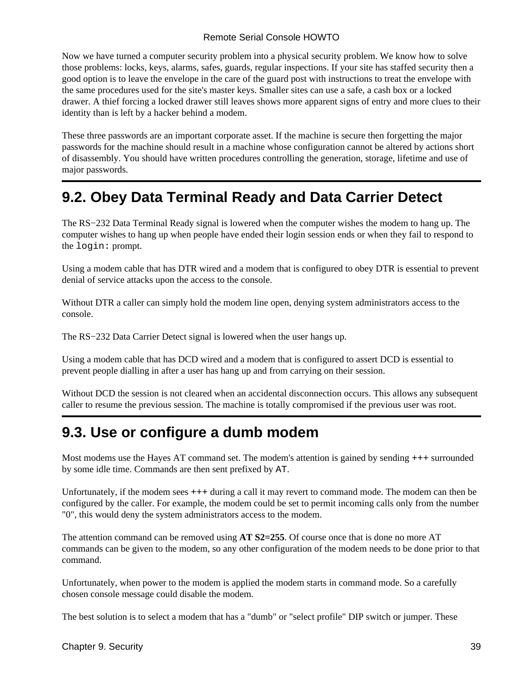Now we have turned a computer security problem into a physical security problem. We know how to solve those problems: locks, keys, alarms, safes, guards, regular inspections. If your site has staffed security then a good option is to leave the envelope in the care of the guard post with instructions to treat the envelope with the same procedures used for the site's master keys. Smaller sites can use a safe, a cash box or a locked drawer. A thief forcing a locked drawer still leaves shows more apparent signs of entry and more clues to their identity than is left by a hacker behind a modem.

These three passwords are an important corporate asset. If the machine is secure then forgetting the major passwords for the machine should result in a machine whose configuration cannot be altered by actions short of disassembly. You should have written procedures controlling the generation, storage, lifetime and use of major passwords.

# **9.2. Obey Data Terminal Ready and Data Carrier Detect**

The RS−232 Data Terminal Ready signal is lowered when the computer wishes the modem to hang up. The computer wishes to hang up when people have ended their login session ends or when they fail to respond to the login: prompt.

Using a modem cable that has DTR wired and a modem that is configured to obey DTR is essential to prevent denial of service attacks upon the access to the console.

Without DTR a caller can simply hold the modem line open, denying system administrators access to the console.

The RS−232 Data Carrier Detect signal is lowered when the user hangs up.

Using a modem cable that has DCD wired and a modem that is configured to assert DCD is essential to prevent people dialling in after a user has hang up and from carrying on their session.

Without DCD the session is not cleared when an accidental disconnection occurs. This allows any subsequent caller to resume the previous session. The machine is totally compromised if the previous user was root.

# **9.3. Use or configure a dumb modem**

Most modems use the Hayes AT command set. The modem's attention is gained by sending +++ surrounded by some idle time. Commands are then sent prefixed by AT.

Unfortunately, if the modem sees +++ during a call it may revert to command mode. The modem can then be configured by the caller. For example, the modem could be set to permit incoming calls only from the number "0", this would deny the system administrators access to the modem.

The attention command can be removed using **AT S2=255**. Of course once that is done no more AT commands can be given to the modem, so any other configuration of the modem needs to be done prior to that command.

Unfortunately, when power to the modem is applied the modem starts in command mode. So a carefully chosen console message could disable the modem.

The best solution is to select a modem that has a "dumb" or "select profile" DIP switch or jumper. These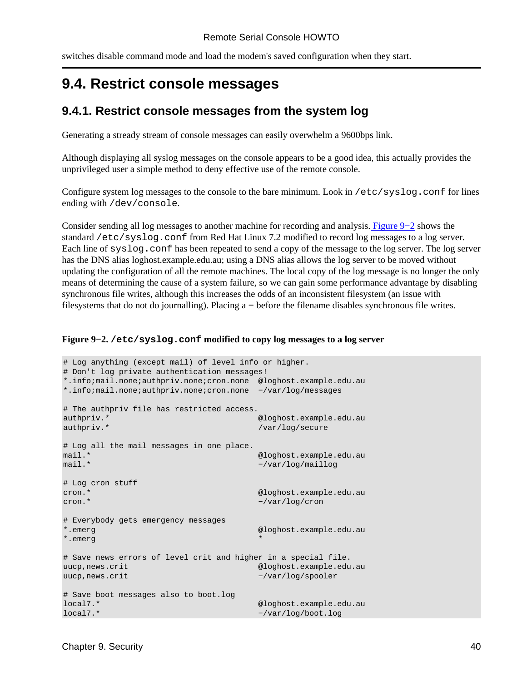switches disable command mode and load the modem's saved configuration when they start.

### **9.4. Restrict console messages**

### **9.4.1. Restrict console messages from the system log**

Generating a stready stream of console messages can easily overwhelm a 9600bps link.

Although displaying all syslog messages on the console appears to be a good idea, this actually provides the unprivileged user a simple method to deny effective use of the remote console.

Configure system log messages to the console to the bare minimum. Look in /etc/syslog.conf for lines ending with /dev/console.

Consider sending all log messages to another machine for recording and analysis. [Figure 9−2](#page-45-0) shows the standard /etc/syslog.conf from Red Hat Linux 7.2 modified to record log messages to a log server. Each line of syslog.conf has been repeated to send a copy of the message to the log server. The log server has the DNS alias loghost.example.edu.au; using a DNS alias allows the log server to be moved without updating the configuration of all the remote machines. The local copy of the log message is no longer the only means of determining the cause of a system failure, so we can gain some performance advantage by disabling synchronous file writes, although this increases the odds of an inconsistent filesystem (an issue with filesystems that do not do journalling). Placing a − before the filename disables synchronous file writes.

#### <span id="page-45-0"></span>**Figure 9−2. /etc/syslog.conf modified to copy log messages to a log server**

```
# Log anything (except mail) of level info or higher.
# Don't log private authentication messages!
*.info;mail.none;authpriv.none;cron.none @loghost.example.edu.au
*.info;mail.none;authpriv.none;cron.none −/var/log/messages
# The authpriv file has restricted access.
authpriv.* @loghost.example.edu.au
authpriv.* /var/log/secure
# Log all the mail messages in one place.
                                @loghost.example.edu.au
mail.* −/var/log/maillog
# Log cron stuff
cron.* @loghost.example.edu.au
cron.* −/var/log/cron
# Everybody gets emergency messages
*.emerg @loghost.example.edu.au
*.emerg *
# Save news errors of level crit and higher in a special file.
uucp, news.crit and all end of the control of the edu.au au end of the edu.au end of the edu.au end of the edu
uucp,news.crit −/var/log/spooler
# Save boot messages also to boot.log
local7.* @loghost.example.edu.au
local7.* −/var/log/boot.log
```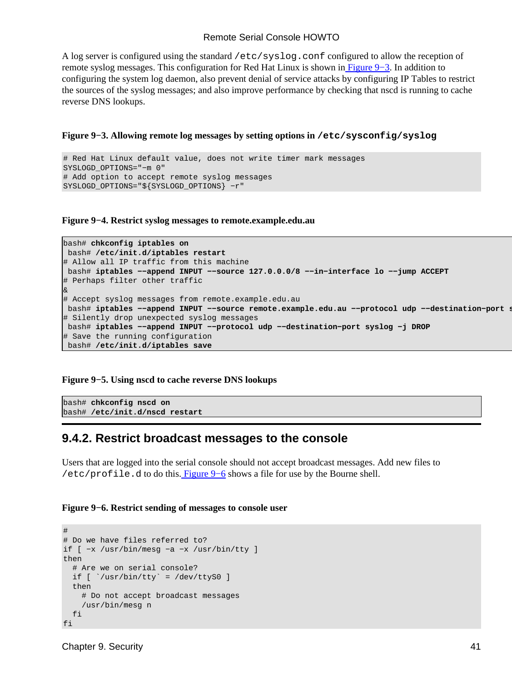A log server is configured using the standard /etc/syslog.conf configured to allow the reception of remote syslog messages. This configuration for Red Hat Linux is shown i[n Figure 9−3.](#page-46-0) In addition to configuring the system log daemon, also prevent denial of service attacks by configuring IP Tables to restrict the sources of the syslog messages; and also improve performance by checking that nscd is running to cache reverse DNS lookups.

#### <span id="page-46-0"></span>**Figure 9−3. Allowing remote log messages by setting options in /etc/sysconfig/syslog**

```
# Red Hat Linux default value, does not write timer mark messages
SYSLOGD_OPTIONS="−m 0"
# Add option to accept remote syslog messages
SYSLOGD_OPTIONS="${SYSLOGD_OPTIONS} −r"
```
#### **Figure 9−4. Restrict syslog messages to remote.example.edu.au**

```
bash# chkconfig iptables on
bash# /etc/init.d/iptables restart
# Allow all IP traffic from this machine
bash# iptables −−append INPUT −−source 127.0.0.0/8 −−in−interface lo −−jump ACCEPT
# Perhaps filter other traffic
&
# Accept syslog messages from remote.example.edu.au
bash# iptables −−append INPUT −−source remote.example.edu.au −−protocol udp −−destination−port syslog −j ACCEPT
# Silently drop unexpected syslog messages
bash# iptables −−append INPUT −−protocol udp −−destination−port syslog −j DROP
# Save the running configuration
bash# /etc/init.d/iptables save
```
#### **Figure 9−5. Using nscd to cache reverse DNS lookups**

bash# **chkconfig nscd on** bash# **/etc/init.d/nscd restart**

### **9.4.2. Restrict broadcast messages to the console**

Users that are logged into the serial console should not accept broadcast messages. Add new files to /etc/profile.d to do this. [Figure 9−6](#page-46-1) shows a file for use by the Bourne shell.

#### <span id="page-46-1"></span>**Figure 9−6. Restrict sending of messages to console user**

```
#
# Do we have files referred to?
if [ −x /usr/bin/mesg −a −x /usr/bin/tty ]
then
   # Are we on serial console?
   if [ `/usr/bin/tty` = /dev/ttyS0 ]
   then
     # Do not accept broadcast messages
     /usr/bin/mesg n
   fi
fi
```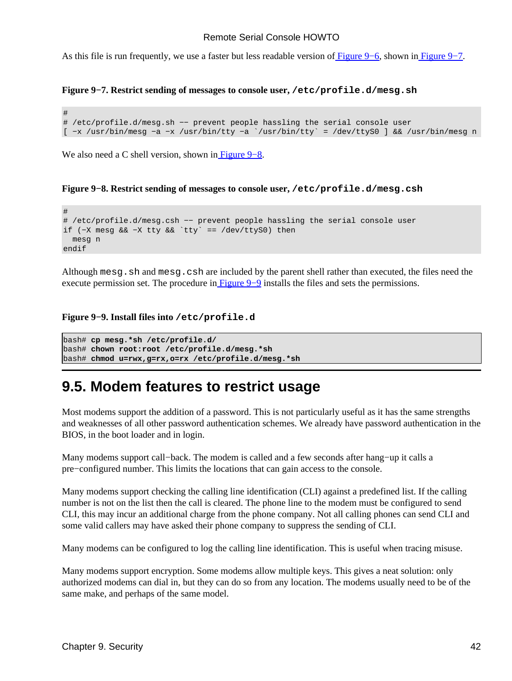As this file is run frequently, we use a faster but less readable version o[f Figure 9−6,](#page-46-1) shown i[n Figure 9−7.](#page-47-0)

<span id="page-47-0"></span>**Figure 9−7. Restrict sending of messages to console user, /etc/profile.d/mesg.sh**

```
#
# /etc/profile.d/mesg.sh −− prevent people hassling the serial console user
[ −x /usr/bin/mesg −a −x /usr/bin/tty −a `/usr/bin/tty` = /dev/ttyS0 ] && /usr/bin/mesg n
```
We also need a C shell version, shown in Figure  $9-8$ .

#### <span id="page-47-1"></span>**Figure 9−8. Restrict sending of messages to console user, /etc/profile.d/mesg.csh**

```
#
# /etc/profile.d/mesg.csh −− prevent people hassling the serial console user
if (−X mesg && −X tty && `tty` == /dev/ttyS0) then
  mesg n
endif
```
Although mesg.sh and mesg.csh are included by the parent shell rather than executed, the files need the execute permission set. The procedure in Figure 9–9 installs the files and sets the permissions.

#### <span id="page-47-2"></span>**Figure 9−9. Install files into /etc/profile.d**

```
bash# cp mesg.*sh /etc/profile.d/
bash# chown root:root /etc/profile.d/mesg.*sh
bash# chmod u=rwx,g=rx,o=rx /etc/profile.d/mesg.*sh
```
### **9.5. Modem features to restrict usage**

Most modems support the addition of a password. This is not particularly useful as it has the same strengths and weaknesses of all other password authentication schemes. We already have password authentication in the BIOS, in the boot loader and in login.

Many modems support call−back. The modem is called and a few seconds after hang−up it calls a pre−configured number. This limits the locations that can gain access to the console.

Many modems support checking the calling line identification (CLI) against a predefined list. If the calling number is not on the list then the call is cleared. The phone line to the modem must be configured to send CLI, this may incur an additional charge from the phone company. Not all calling phones can send CLI and some valid callers may have asked their phone company to suppress the sending of CLI.

Many modems can be configured to log the calling line identification. This is useful when tracing misuse.

Many modems support encryption. Some modems allow multiple keys. This gives a neat solution: only authorized modems can dial in, but they can do so from any location. The modems usually need to be of the same make, and perhaps of the same model.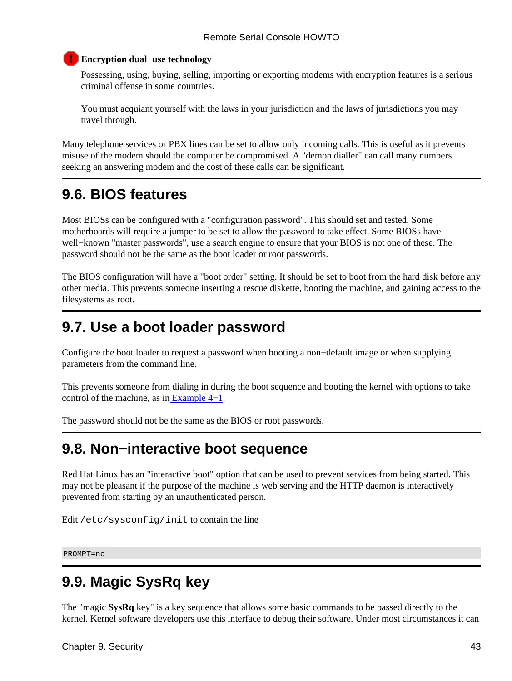### **Encryption dual−use technology**

Possessing, using, buying, selling, importing or exporting modems with encryption features is a serious criminal offense in some countries.

You must acquiant yourself with the laws in your jurisdiction and the laws of jurisdictions you may travel through.

Many telephone services or PBX lines can be set to allow only incoming calls. This is useful as it prevents misuse of the modem should the computer be compromised. A "demon dialler" can call many numbers seeking an answering modem and the cost of these calls can be significant.

# **9.6. BIOS features**

Most BIOSs can be configured with a "configuration password". This should set and tested. Some motherboards will require a jumper to be set to allow the password to take effect. Some BIOSs have well−known "master passwords", use a search engine to ensure that your BIOS is not one of these. The password should not be the same as the boot loader or root passwords.

The BIOS configuration will have a "boot order" setting. It should be set to boot from the hard disk before any other media. This prevents someone inserting a rescue diskette, booting the machine, and gaining access to the filesystems as root.

### **9.7. Use a boot loader password**

Configure the boot loader to request a password when booting a non−default image or when supplying parameters from the command line.

This prevents someone from dialing in during the boot sequence and booting the kernel with options to take control of the machine, as i[n Example 4−1](#page-19-0).

The password should not be the same as the BIOS or root passwords.

### **9.8. Non−interactive boot sequence**

Red Hat Linux has an "interactive boot" option that can be used to prevent services from being started. This may not be pleasant if the purpose of the machine is web serving and the HTTP daemon is interactively prevented from starting by an unauthenticated person.

Edit /etc/sysconfig/init to contain the line

PROMPT=no

# <span id="page-48-0"></span>**9.9. Magic SysRq key**

The "magic **SysRq** key" is a key sequence that allows some basic commands to be passed directly to the kernel. Kernel software developers use this interface to debug their software. Under most circumstances it can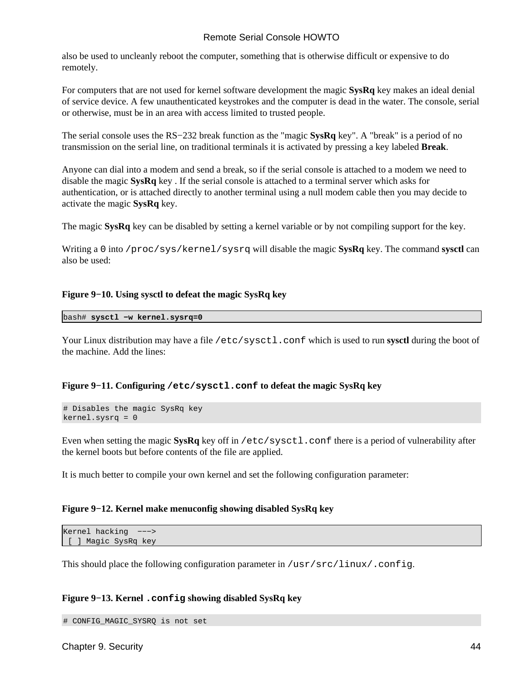also be used to uncleanly reboot the computer, something that is otherwise difficult or expensive to do remotely.

For computers that are not used for kernel software development the magic **SysRq** key makes an ideal denial of service device. A few unauthenticated keystrokes and the computer is dead in the water. The console, serial or otherwise, must be in an area with access limited to trusted people.

The serial console uses the RS−232 break function as the "magic **SysRq** key". A "break" is a period of no transmission on the serial line, on traditional terminals it is activated by pressing a key labeled **Break**.

Anyone can dial into a modem and send a break, so if the serial console is attached to a modem we need to disable the magic **SysRq** key . If the serial console is attached to a terminal server which asks for authentication, or is attached directly to another terminal using a null modem cable then you may decide to activate the magic **SysRq** key.

The magic **SysRq** key can be disabled by setting a kernel variable or by not compiling support for the key.

Writing a 0 into /proc/sys/kernel/sysrq will disable the magic **SysRq** key. The command **sysctl** can also be used:

#### **Figure 9−10. Using sysctl to defeat the magic SysRq key**

```
bash# sysctl −w kernel.sysrq=0
```
Your Linux distribution may have a file /etc/sysctl.conf which is used to run sysctl during the boot of the machine. Add the lines:

#### **Figure 9−11. Configuring /etc/sysctl.conf to defeat the magic SysRq key**

```
# Disables the magic SysRq key
kernel.sysrq = 0
```
Even when setting the magic **SysRq** key off in /etc/sysctl.conf there is a period of vulnerability after the kernel boots but before contents of the file are applied.

It is much better to compile your own kernel and set the following configuration parameter:

#### **Figure 9−12. Kernel make menuconfig showing disabled SysRq key**

```
Kernel hacking −−−>
 [ ] Magic SysRq key
```
This should place the following configuration parameter in  $/\text{usr}/\text{src}/\text{linux}/$ .config.

#### **Figure 9−13. Kernel .config showing disabled SysRq key**

```
# CONFIG_MAGIC_SYSRQ is not set
```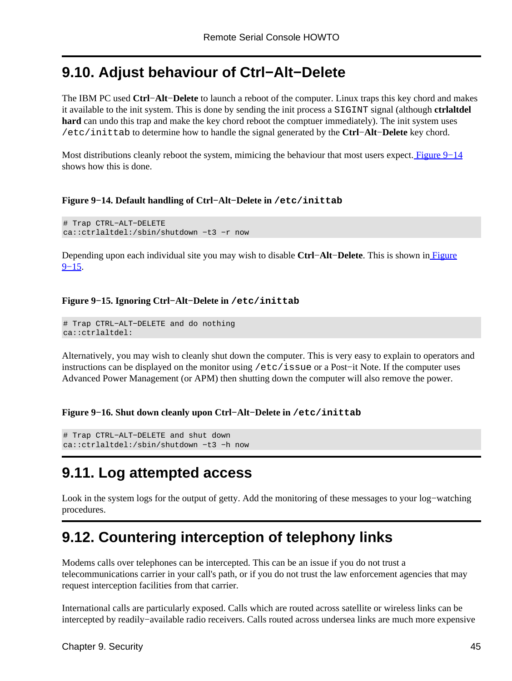### **9.10. Adjust behaviour of Ctrl−Alt−Delete**

The IBM PC used **Ctrl**−**Alt**−**Delete** to launch a reboot of the computer. Linux traps this key chord and makes it available to the init system. This is done by sending the init process a SIGINT signal (although **ctrlaltdel hard** can undo this trap and make the key chord reboot the comptuer immediately). The init system uses /etc/inittab to determine how to handle the signal generated by the **Ctrl**−**Alt**−**Delete** key chord.

Most distributions cleanly reboot the system, mimicing the behaviour that most users expect. Figure 9–14 shows how this is done.

#### <span id="page-50-0"></span>**Figure 9−14. Default handling of Ctrl−Alt−Delete in /etc/inittab**

```
# Trap CTRL−ALT−DELETE
ca::ctrlaltdel:/sbin/shutdown −t3 −r now
```
Depending upon each individual site you may wish to disable **Ctrl**−**Alt**−**Delete**. This is shown in [Figure](#page-50-1) [9−15.](#page-50-1)

#### <span id="page-50-1"></span>**Figure 9−15. Ignoring Ctrl−Alt−Delete in /etc/inittab**

```
# Trap CTRL−ALT−DELETE and do nothing
ca::ctrlaltdel:
```
Alternatively, you may wish to cleanly shut down the computer. This is very easy to explain to operators and instructions can be displayed on the monitor using /etc/issue or a Post−it Note. If the computer uses Advanced Power Management (or APM) then shutting down the computer will also remove the power.

#### **Figure 9−16. Shut down cleanly upon Ctrl−Alt−Delete in /etc/inittab**

```
# Trap CTRL−ALT−DELETE and shut down
ca::ctrlaltdel:/sbin/shutdown −t3 −h now
```
### **9.11. Log attempted access**

Look in the system logs for the output of getty. Add the monitoring of these messages to your log−watching procedures.

### **9.12. Countering interception of telephony links**

Modems calls over telephones can be intercepted. This can be an issue if you do not trust a telecommunications carrier in your call's path, or if you do not trust the law enforcement agencies that may request interception facilities from that carrier.

International calls are particularly exposed. Calls which are routed across satellite or wireless links can be intercepted by readily−available radio receivers. Calls routed across undersea links are much more expensive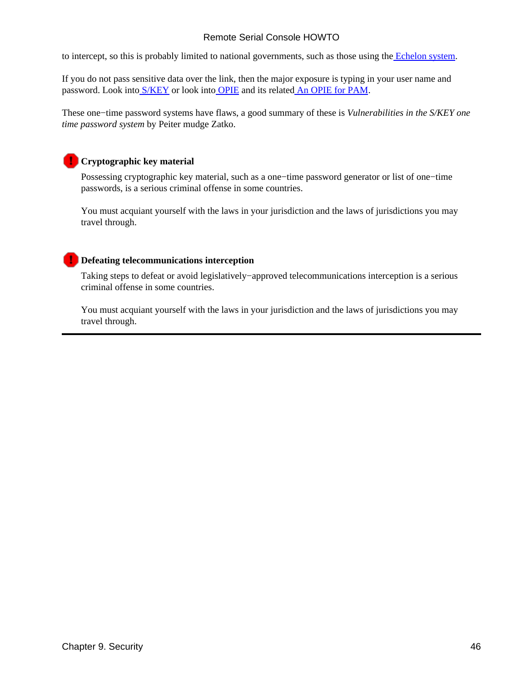to intercept, so this is probably limited to national governments, such as those using the [Echelon system](http://cryptome.org/cryptout.htm#Echelon).

If you do not pass sensitive data over the link, then the major exposure is typing in your user name and password. Look int[o S/KEY](http://freshmeat.net/projects/pam_skey/) or look into [OPIE](http://inner.net/opie/) and its relate[d An OPIE for PAM.](http://www.tho.org/~andy/pam-opie.html)

These one−time password systems have flaws, a good summary of these is *Vulnerabilities in the S/KEY one time password system* by Peiter mudge Zatko.

### **Cryptographic key material**

Possessing cryptographic key material, such as a one−time password generator or list of one−time passwords, is a serious criminal offense in some countries.

You must acquiant yourself with the laws in your jurisdiction and the laws of jurisdictions you may travel through.

### **Defeating telecommunications interception**

Taking steps to defeat or avoid legislatively−approved telecommunications interception is a serious criminal offense in some countries.

You must acquiant yourself with the laws in your jurisdiction and the laws of jurisdictions you may travel through.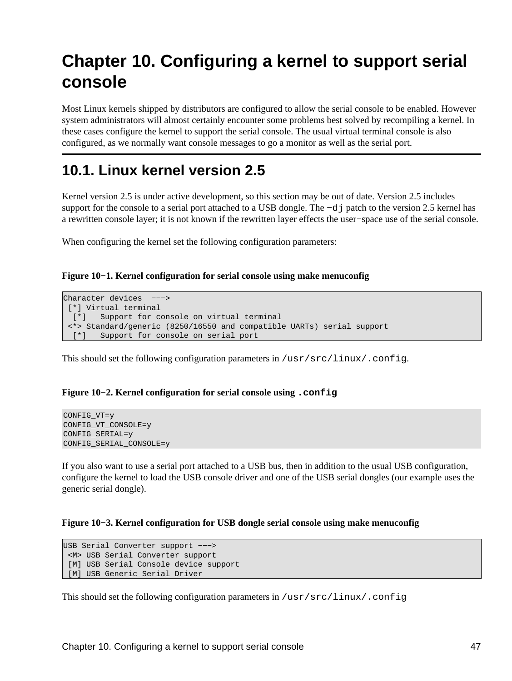# **Chapter 10. Configuring a kernel to support serial console**

Most Linux kernels shipped by distributors are configured to allow the serial console to be enabled. However system administrators will almost certainly encounter some problems best solved by recompiling a kernel. In these cases configure the kernel to support the serial console. The usual virtual terminal console is also configured, as we normally want console messages to go a monitor as well as the serial port.

# **10.1. Linux kernel version 2.5**

Kernel version 2.5 is under active development, so this section may be out of date. Version 2.5 includes support for the console to a serial port attached to a USB dongle. The −dj patch to the version 2.5 kernel has a rewritten console layer; it is not known if the rewritten layer effects the user−space use of the serial console.

When configuring the kernel set the following configuration parameters:

#### **Figure 10−1. Kernel configuration for serial console using make menuconfig**

```
Character devices −−−>
 [*] Virtual terminal
  [*] Support for console on virtual terminal
  <*> Standard/generic (8250/16550 and compatible UARTs) serial support
  [*] Support for console on serial port
```
This should set the following configuration parameters in /usr/src/linux/.config.

#### **Figure 10−2. Kernel configuration for serial console using .config**

CONFIG\_VT=y CONFIG\_VT\_CONSOLE=y CONFIG\_SERIAL=y CONFIG\_SERIAL\_CONSOLE=y

If you also want to use a serial port attached to a USB bus, then in addition to the usual USB configuration, configure the kernel to load the USB console driver and one of the USB serial dongles (our example uses the generic serial dongle).

### **Figure 10−3. Kernel configuration for USB dongle serial console using make menuconfig**

```
USB Serial Converter support −−−>
  <M> USB Serial Converter support
  [M] USB Serial Console device support
  [M] USB Generic Serial Driver
```
This should set the following configuration parameters in  $/\text{usr}/\text{src}/\text{linux}/\text{confiq}$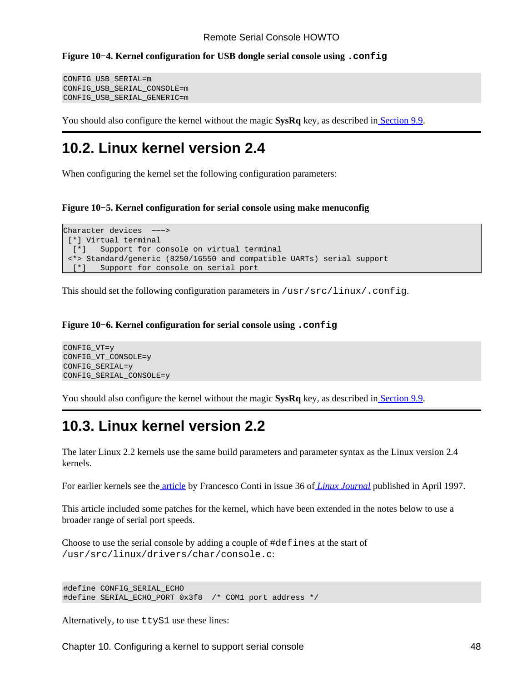### **Figure 10−4. Kernel configuration for USB dongle serial console using .config**

CONFIG\_USB\_SERIAL=m CONFIG\_USB\_SERIAL\_CONSOLE=m CONFIG\_USB\_SERIAL\_GENERIC=m

You should also configure the kernel without the magic **SysRq** key, as described in **Section 9.9**.

### **10.2. Linux kernel version 2.4**

When configuring the kernel set the following configuration parameters:

**Figure 10−5. Kernel configuration for serial console using make menuconfig**

```
Character devices −−−>
 [*] Virtual terminal
  [*] Support for console on virtual terminal
 <*> Standard/generic (8250/16550 and compatible UARTs) serial support
  [*] Support for console on serial port
```
This should set the following configuration parameters in  $/usr/src/linux/$ .config.

#### **Figure 10−6. Kernel configuration for serial console using .config**

CONFIG\_VT=y CONFIG\_VT\_CONSOLE=y CONFIG\_SERIAL=y CONFIG\_SERIAL\_CONSOLE=y

You should also configure the kernel without the magic **SysRq** key, as described i[n Section 9.9.](#page-48-0)

# **10.3. Linux kernel version 2.2**

The later Linux 2.2 kernels use the same build parameters and parameter syntax as the Linux version 2.4 kernels.

For earlier kernels see the [article](http://www.linuxjournal.com/article.php?sid=2040) by Francesco Conti in issue 36 of *[Linux Journal](http://www.linuxjournal.com/)* published in April 1997.

This article included some patches for the kernel, which have been extended in the notes below to use a broader range of serial port speeds.

Choose to use the serial console by adding a couple of #defines at the start of /usr/src/linux/drivers/char/console.c:

#define CONFIG\_SERIAL\_ECHO #define SERIAL\_ECHO\_PORT 0x3f8 /\* COM1 port address \*/

Alternatively, to use ttyS1 use these lines:

Chapter 10. Configuring a kernel to support serial console 48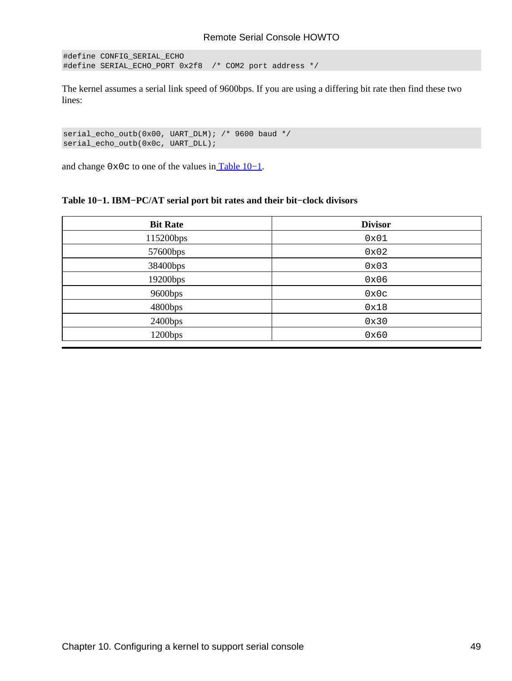#define CONFIG\_SERIAL\_ECHO #define SERIAL\_ECHO\_PORT 0x2f8 /\* COM2 port address \*/

The kernel assumes a serial link speed of 9600bps. If you are using a differing bit rate then find these two lines:

serial\_echo\_outb(0x00, UART\_DLM); /\* 9600 baud \*/ serial\_echo\_outb(0x0c, UART\_DLL);

and change 0x0c to one of the values i[n Table 10−1](#page-54-0).

#### <span id="page-54-0"></span>**Table 10−1. IBM−PC/AT serial port bit rates and their bit−clock divisors**

| <b>Bit Rate</b> | <b>Divisor</b> |
|-----------------|----------------|
| 115200bps       | 0x01           |
| 57600bps        | 0x02           |
| 38400bps        | 0x03           |
| 19200bps        | 0x06           |
| 9600bps         | 0x0c           |
| 4800bps         | 0x18           |
| 2400bps         | 0x30           |
| 1200bps         | 0x60           |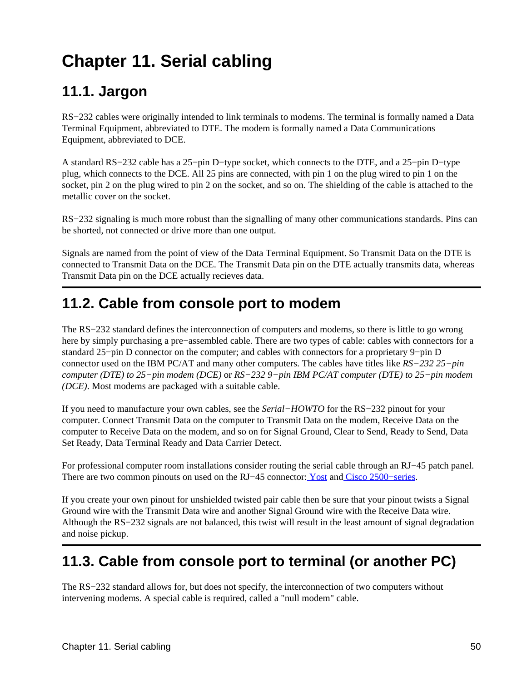# **Chapter 11. Serial cabling**

# **11.1. Jargon**

RS−232 cables were originally intended to link terminals to modems. The terminal is formally named a Data Terminal Equipment, abbreviated to DTE. The modem is formally named a Data Communications Equipment, abbreviated to DCE.

A standard RS−232 cable has a 25−pin D−type socket, which connects to the DTE, and a 25−pin D−type plug, which connects to the DCE. All 25 pins are connected, with pin 1 on the plug wired to pin 1 on the socket, pin 2 on the plug wired to pin 2 on the socket, and so on. The shielding of the cable is attached to the metallic cover on the socket.

RS−232 signaling is much more robust than the signalling of many other communications standards. Pins can be shorted, not connected or drive more than one output.

Signals are named from the point of view of the Data Terminal Equipment. So Transmit Data on the DTE is connected to Transmit Data on the DCE. The Transmit Data pin on the DTE actually transmits data, whereas Transmit Data pin on the DCE actually recieves data.

### **11.2. Cable from console port to modem**

The RS−232 standard defines the interconnection of computers and modems, so there is little to go wrong here by simply purchasing a pre−assembled cable. There are two types of cable: cables with connectors for a standard 25−pin D connector on the computer; and cables with connectors for a proprietary 9−pin D connector used on the IBM PC/AT and many other computers. The cables have titles like *RS−232 25−pin computer (DTE) to 25−pin modem (DCE)* or *RS−232 9−pin IBM PC/AT computer (DTE) to 25−pin modem (DCE)*. Most modems are packaged with a suitable cable.

If you need to manufacture your own cables, see the *Serial−HOWTO* for the RS−232 pinout for your computer. Connect Transmit Data on the computer to Transmit Data on the modem, Receive Data on the computer to Receive Data on the modem, and so on for Signal Ground, Clear to Send, Ready to Send, Data Set Ready, Data Terminal Ready and Data Carrier Detect.

For professional computer room installations consider routing the serial cable through an RJ−45 patch panel. There are two common pinouts on used on the RJ−45 connector: <u>Yost</u> and Cisco 2500–series.

If you create your own pinout for unshielded twisted pair cable then be sure that your pinout twists a Signal Ground wire with the Transmit Data wire and another Signal Ground wire with the Receive Data wire. Although the RS−232 signals are not balanced, this twist will result in the least amount of signal degradation and noise pickup.

# **11.3. Cable from console port to terminal (or another PC)**

The RS−232 standard allows for, but does not specify, the interconnection of two computers without intervening modems. A special cable is required, called a "null modem" cable.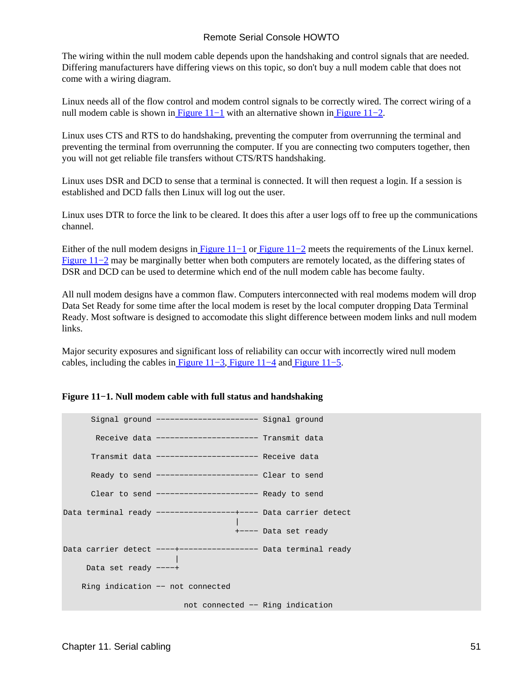The wiring within the null modem cable depends upon the handshaking and control signals that are needed. Differing manufacturers have differing views on this topic, so don't buy a null modem cable that does not come with a wiring diagram.

Linux needs all of the flow control and modem control signals to be correctly wired. The correct wiring of a null modem cable is shown in Figure  $11-1$  with an alternative shown in Figure 11–2.

Linux uses CTS and RTS to do handshaking, preventing the computer from overrunning the terminal and preventing the terminal from overrunning the computer. If you are connecting two computers together, then you will not get reliable file transfers without CTS/RTS handshaking.

Linux uses DSR and DCD to sense that a terminal is connected. It will then request a login. If a session is established and DCD falls then Linux will log out the user.

Linux uses DTR to force the link to be cleared. It does this after a user logs off to free up the communications channel.

Either of the null modem designs in [Figure 11−1](#page-56-0) o[r Figure 11−2](#page-56-1) meets the requirements of the Linux kernel. [Figure 11−2](#page-56-1) may be marginally better when both computers are remotely located, as the differing states of DSR and DCD can be used to determine which end of the null modem cable has become faulty.

All null modem designs have a common flaw. Computers interconnected with real modems modem will drop Data Set Ready for some time after the local modem is reset by the local computer dropping Data Terminal Ready. Most software is designed to accomodate this slight difference between modem links and null modem links.

Major security exposures and significant loss of reliability can occur with incorrectly wired null modem cables, including the cables i[n Figure 11−3](#page-57-0), [Figure 11−4](#page-58-0) and [Figure 11−5](#page-58-1).

### <span id="page-56-0"></span>**Figure 11−1. Null modem cable with full status and handshaking**

<span id="page-56-1"></span>

|                      | Signal ground --------------------- Signal ground              |                      |
|----------------------|----------------------------------------------------------------|----------------------|
|                      | Receive data --------------------- Transmit data               |                      |
|                      | Transmit data ---------------------- Receive data              |                      |
|                      | Ready to send --------------------- Clear to send              |                      |
|                      | Clear to send --------------------- Ready to send              |                      |
|                      | Data terminal ready -----------------+---- Data carrier detect |                      |
|                      |                                                                | +---- Data set ready |
|                      | Data carrier detect ----+----------------- Data terminal ready |                      |
| Data set ready ----+ |                                                                |                      |
|                      | Ring indication $--$ not connected                             |                      |
|                      | not connected -- Ring indication                               |                      |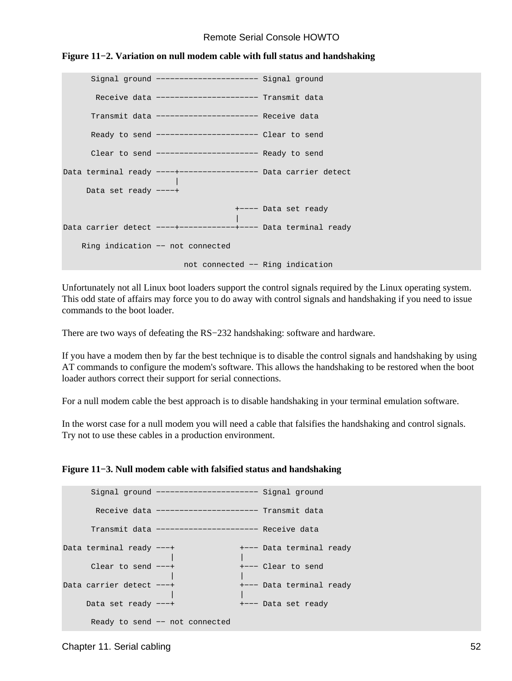

|                                                                | Signal ground --------------------- Signal ground |                      |
|----------------------------------------------------------------|---------------------------------------------------|----------------------|
|                                                                | Receive data ---------------------- Transmit data |                      |
|                                                                | Transmit data ---------------------- Receive data |                      |
|                                                                | Ready to send --------------------- Clear to send |                      |
|                                                                | Clear to send --------------------- Ready to send |                      |
| Data terminal ready ----+---------------- Data carrier detect  |                                                   |                      |
| Data set ready ----+                                           |                                                   |                      |
|                                                                |                                                   | +---- Data set ready |
| Data carrier detect ----+------------+---- Data terminal ready |                                                   |                      |
| Ring indication -- not connected                               |                                                   |                      |
|                                                                | not connected -- Ring indication                  |                      |

Unfortunately not all Linux boot loaders support the control signals required by the Linux operating system. This odd state of affairs may force you to do away with control signals and handshaking if you need to issue commands to the boot loader.

There are two ways of defeating the RS−232 handshaking: software and hardware.

If you have a modem then by far the best technique is to disable the control signals and handshaking by using AT commands to configure the modem's software. This allows the handshaking to be restored when the boot loader authors correct their support for serial connections.

For a null modem cable the best approach is to disable handshaking in your terminal emulation software.

In the worst case for a null modem you will need a cable that falsifies the handshaking and control signals. Try not to use these cables in a production environment.

#### <span id="page-57-0"></span>**Figure 11−3. Null modem cable with falsified status and handshaking**

|                            | Signal ground $--------------$ Signal ground      |                          |
|----------------------------|---------------------------------------------------|--------------------------|
|                            | Receive data ---------------------- Transmit data |                          |
|                            | Transmit data ---------------------- Receive data |                          |
| Data terminal ready $---+$ |                                                   | +--- Data terminal ready |
| Clear to send $---+$       |                                                   | +--- Clear to send       |
| Data carrier detect $---+$ |                                                   | +--- Data terminal ready |
| Data set ready ---+        |                                                   | +--- Data set ready      |
|                            | Ready to send -- not connected                    |                          |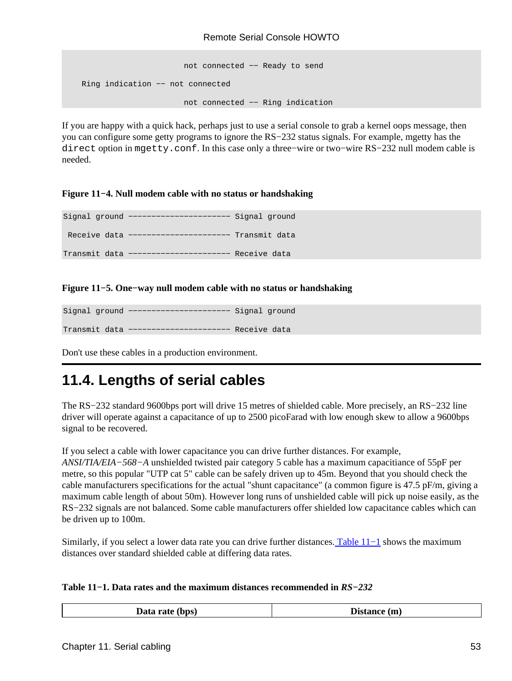```
 not connected −− Ready to send
 Ring indication −− not connected
                       not connected −− Ring indication
```
If you are happy with a quick hack, perhaps just to use a serial console to grab a kernel oops message, then you can configure some getty programs to ignore the RS−232 status signals. For example, mgetty has the direct option in mgetty.conf. In this case only a three−wire or two−wire RS−232 null modem cable is needed.

### <span id="page-58-0"></span>**Figure 11−4. Null modem cable with no status or handshaking**

|  | Signal ground $---------------$ Signal ground     |  |
|--|---------------------------------------------------|--|
|  | Receive data ---------------------- Transmit data |  |
|  | Transmit data ---------------------- Receive data |  |

### <span id="page-58-1"></span>**Figure 11−5. One−way null modem cable with no status or handshaking**

|  | $Signal$ $ground$ $------------- Signal$ $ground$ |  |
|--|---------------------------------------------------|--|
|  | Transmit data ---------------------- Receive data |  |

Don't use these cables in a production environment.

# **11.4. Lengths of serial cables**

The RS−232 standard 9600bps port will drive 15 metres of shielded cable. More precisely, an RS−232 line driver will operate against a capacitance of up to 2500 picoFarad with low enough skew to allow a 9600bps signal to be recovered.

If you select a cable with lower capacitance you can drive further distances. For example, *ANSI/TIA/EIA−568−A* unshielded twisted pair category 5 cable has a maximum capacitiance of 55pF per metre, so this popular "UTP cat 5" cable can be safely driven up to 45m. Beyond that you should check the cable manufacturers specifications for the actual "shunt capacitance" (a common figure is 47.5 pF/m, giving a maximum cable length of about 50m). However long runs of unshielded cable will pick up noise easily, as the RS−232 signals are not balanced. Some cable manufacturers offer shielded low capacitance cables which can be driven up to 100m.

Similarly, if you select a lower data rate you can drive further distances[. Table 11−1](#page-58-2) shows the maximum distances over standard shielded cable at differing data rates.

<span id="page-58-2"></span>

| Table 11–1. Data rates and the maximum distances recommended in RS-232 |  |
|------------------------------------------------------------------------|--|
|------------------------------------------------------------------------|--|

| Data rate (bps) | Distance (m) |
|-----------------|--------------|
|                 |              |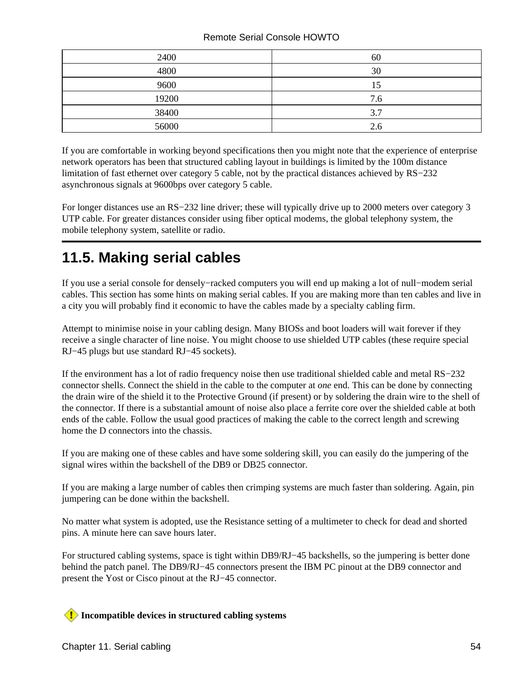| 2400  | 60  |
|-------|-----|
| 4800  | 30  |
| 9600  | 15  |
| 19200 | 7.6 |
| 38400 | 3.7 |
| 56000 | 2.6 |

If you are comfortable in working beyond specifications then you might note that the experience of enterprise network operators has been that structured cabling layout in buildings is limited by the 100m distance limitation of fast ethernet over category 5 cable, not by the practical distances achieved by RS−232 asynchronous signals at 9600bps over category 5 cable.

For longer distances use an RS−232 line driver; these will typically drive up to 2000 meters over category 3 UTP cable. For greater distances consider using fiber optical modems, the global telephony system, the mobile telephony system, satellite or radio.

# **11.5. Making serial cables**

If you use a serial console for densely−racked computers you will end up making a lot of null−modem serial cables. This section has some hints on making serial cables. If you are making more than ten cables and live in a city you will probably find it economic to have the cables made by a specialty cabling firm.

Attempt to minimise noise in your cabling design. Many BIOSs and boot loaders will wait forever if they receive a single character of line noise. You might choose to use shielded UTP cables (these require special RJ−45 plugs but use standard RJ−45 sockets).

If the environment has a lot of radio frequency noise then use traditional shielded cable and metal RS−232 connector shells. Connect the shield in the cable to the computer at *one* end. This can be done by connecting the drain wire of the shield it to the Protective Ground (if present) or by soldering the drain wire to the shell of the connector. If there is a substantial amount of noise also place a ferrite core over the shielded cable at both ends of the cable. Follow the usual good practices of making the cable to the correct length and screwing home the D connectors into the chassis.

If you are making one of these cables and have some soldering skill, you can easily do the jumpering of the signal wires within the backshell of the DB9 or DB25 connector.

If you are making a large number of cables then crimping systems are much faster than soldering. Again, pin jumpering can be done within the backshell.

No matter what system is adopted, use the Resistance setting of a multimeter to check for dead and shorted pins. A minute here can save hours later.

For structured cabling systems, space is tight within DB9/RJ−45 backshells, so the jumpering is better done behind the patch panel. The DB9/RJ−45 connectors present the IBM PC pinout at the DB9 connector and present the Yost or Cisco pinout at the RJ−45 connector.

### **Incompatible devices in structured cabling systems**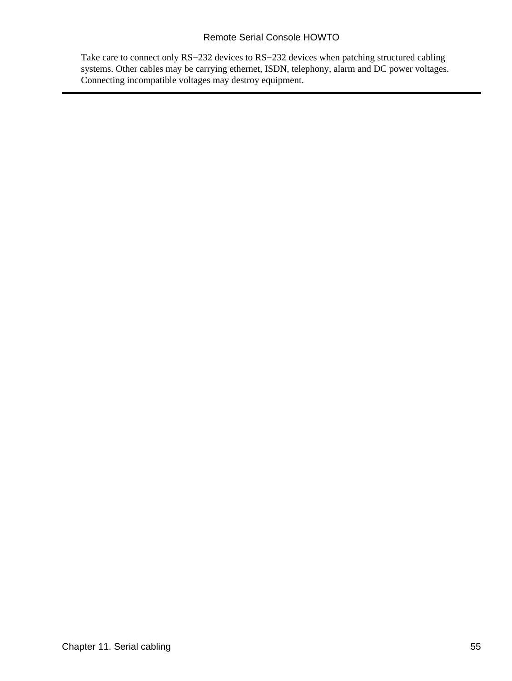Take care to connect only RS−232 devices to RS−232 devices when patching structured cabling systems. Other cables may be carrying ethernet, ISDN, telephony, alarm and DC power voltages. Connecting incompatible voltages may destroy equipment.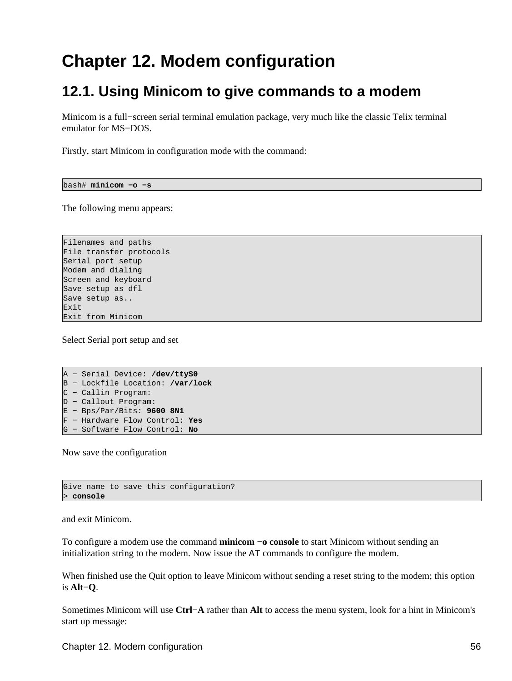# **Chapter 12. Modem configuration**

### <span id="page-61-0"></span>**12.1. Using Minicom to give commands to a modem**

Minicom is a full−screen serial terminal emulation package, very much like the classic Telix terminal emulator for MS−DOS.

Firstly, start Minicom in configuration mode with the command:

bash# **minicom −o −s**

The following menu appears:

Filenames and paths File transfer protocols Serial port setup Modem and dialing Screen and keyboard Save setup as dfl Save setup as.. Exit Exit from Minicom

Select Serial port setup and set

```
A − Serial Device: /dev/ttyS0
B − Lockfile Location: /var/lock
C − Callin Program:
D − Callout Program:
E − Bps/Par/Bits: 9600 8N1
F − Hardware Flow Control: Yes
G − Software Flow Control: No
```
Now save the configuration

```
Give name to save this configuration?
> console
```
and exit Minicom.

To configure a modem use the command **minicom −o console** to start Minicom without sending an initialization string to the modem. Now issue the AT commands to configure the modem.

When finished use the Quit option to leave Minicom without sending a reset string to the modem; this option is **Alt**−**Q**.

Sometimes Minicom will use **Ctrl**−**A** rather than **Alt** to access the menu system, look for a hint in Minicom's start up message: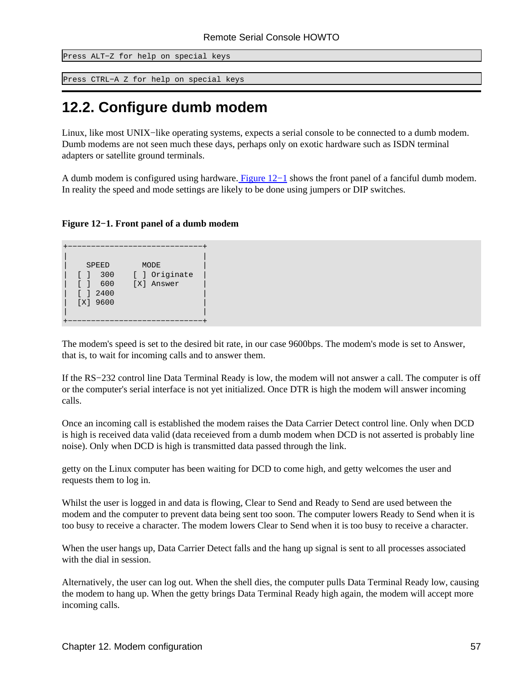```
Press ALT−Z for help on special keys
```

```
Press CTRL−A Z for help on special keys
```
# **12.2. Configure dumb modem**

Linux, like most UNIX−like operating systems, expects a serial console to be connected to a dumb modem. Dumb modems are not seen much these days, perhaps only on exotic hardware such as ISDN terminal adapters or satellite ground terminals.

A dumb modem is configured using hardware. [Figure 12−1](#page-62-0) shows the front panel of a fanciful dumb modem. In reality the speed and mode settings are likely to be done using jumpers or DIP switches.

<span id="page-62-0"></span>**Figure 12−1. Front panel of a dumb modem**

```
+−−−−−−−−−−−−−−−−−−−−−−−−−−−−−+
| |
   | SPEED MODE |
 [ ] 300 [ ] Originate
 [ ] 600 [X] Answer
 | [ ] 2400 |
 | [X] 9600 |
| |
+−−−−−−−−−−−−−−−−−−−−−−−−−−−−−+
```
The modem's speed is set to the desired bit rate, in our case 9600bps. The modem's mode is set to Answer, that is, to wait for incoming calls and to answer them.

If the RS−232 control line Data Terminal Ready is low, the modem will not answer a call. The computer is off or the computer's serial interface is not yet initialized. Once DTR is high the modem will answer incoming calls.

Once an incoming call is established the modem raises the Data Carrier Detect control line. Only when DCD is high is received data valid (data receieved from a dumb modem when DCD is not asserted is probably line noise). Only when DCD is high is transmitted data passed through the link.

getty on the Linux computer has been waiting for DCD to come high, and getty welcomes the user and requests them to log in.

Whilst the user is logged in and data is flowing, Clear to Send and Ready to Send are used between the modem and the computer to prevent data being sent too soon. The computer lowers Ready to Send when it is too busy to receive a character. The modem lowers Clear to Send when it is too busy to receive a character.

When the user hangs up, Data Carrier Detect falls and the hang up signal is sent to all processes associated with the dial in session.

Alternatively, the user can log out. When the shell dies, the computer pulls Data Terminal Ready low, causing the modem to hang up. When the getty brings Data Terminal Ready high again, the modem will accept more incoming calls.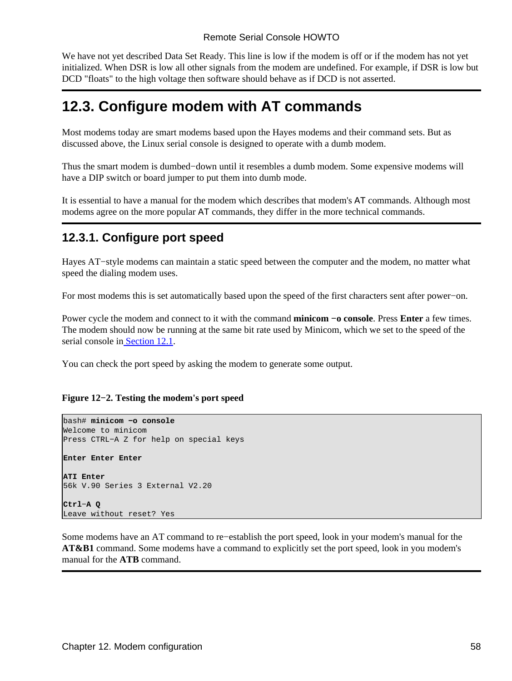We have not yet described Data Set Ready. This line is low if the modem is off or if the modem has not yet initialized. When DSR is low all other signals from the modem are undefined. For example, if DSR is low but DCD "floats" to the high voltage then software should behave as if DCD is not asserted.

# **12.3. Configure modem with AT commands**

Most modems today are smart modems based upon the Hayes modems and their command sets. But as discussed above, the Linux serial console is designed to operate with a dumb modem.

Thus the smart modem is dumbed−down until it resembles a dumb modem. Some expensive modems will have a DIP switch or board jumper to put them into dumb mode.

It is essential to have a manual for the modem which describes that modem's AT commands. Although most modems agree on the more popular AT commands, they differ in the more technical commands.

### **12.3.1. Configure port speed**

Hayes AT–style modems can maintain a static speed between the computer and the modem, no matter what speed the dialing modem uses.

For most modems this is set automatically based upon the speed of the first characters sent after power−on.

Power cycle the modem and connect to it with the command **minicom −o console**. Press **Enter** a few times. The modem should now be running at the same bit rate used by Minicom, which we set to the speed of the serial console in [Section 12.1](#page-61-0).

You can check the port speed by asking the modem to generate some output.

#### **Figure 12−2. Testing the modem's port speed**

```
bash# minicom −o console
Welcome to minicom
Press CTRL−A Z for help on special keys
Enter Enter Enter
ATI Enter
56k V.90 Series 3 External V2.20
Ctrl−A Q
Leave without reset? Yes
```
Some modems have an AT command to re−establish the port speed, look in your modem's manual for the **AT&B1** command. Some modems have a command to explicitly set the port speed, look in you modem's manual for the **ATB** command.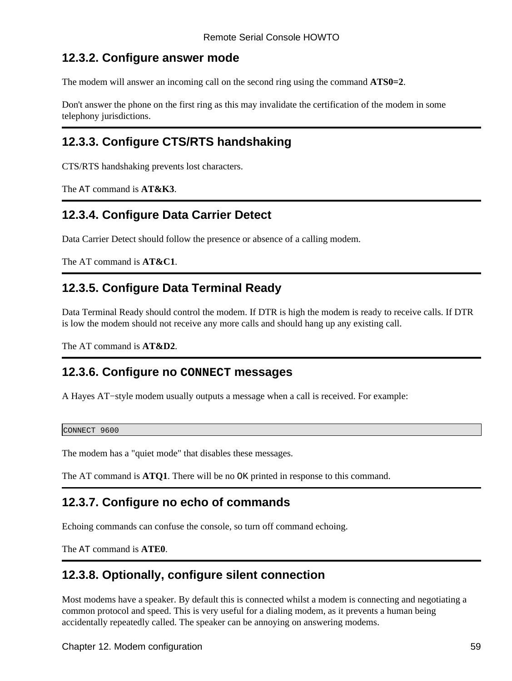### **12.3.2. Configure answer mode**

The modem will answer an incoming call on the second ring using the command **ATS0=2**.

Don't answer the phone on the first ring as this may invalidate the certification of the modem in some telephony jurisdictions.

### **12.3.3. Configure CTS/RTS handshaking**

CTS/RTS handshaking prevents lost characters.

The AT command is **AT&K3**.

### **12.3.4. Configure Data Carrier Detect**

Data Carrier Detect should follow the presence or absence of a calling modem.

The AT command is **AT&C1**.

### **12.3.5. Configure Data Terminal Ready**

Data Terminal Ready should control the modem. If DTR is high the modem is ready to receive calls. If DTR is low the modem should not receive any more calls and should hang up any existing call.

The AT command is **AT&D2**.

### **12.3.6. Configure no CONNECT messages**

A Hayes AT−style modem usually outputs a message when a call is received. For example:

```
CONNECT 9600
```
The modem has a "quiet mode" that disables these messages.

The AT command is **ATQ1**. There will be no OK printed in response to this command.

### **12.3.7. Configure no echo of commands**

Echoing commands can confuse the console, so turn off command echoing.

The AT command is **ATE0**.

### **12.3.8. Optionally, configure silent connection**

Most modems have a speaker. By default this is connected whilst a modem is connecting and negotiating a common protocol and speed. This is very useful for a dialing modem, as it prevents a human being accidentally repeatedly called. The speaker can be annoying on answering modems.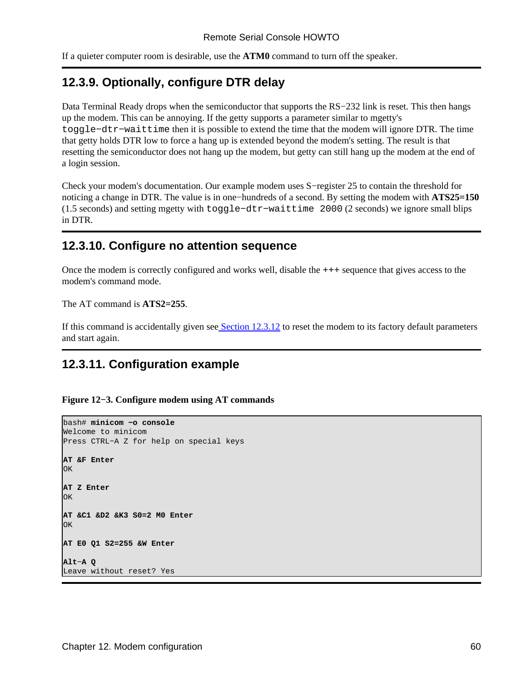If a quieter computer room is desirable, use the **ATM0** command to turn off the speaker.

### **12.3.9. Optionally, configure DTR delay**

Data Terminal Ready drops when the semiconductor that supports the RS−232 link is reset. This then hangs up the modem. This can be annoying. If the getty supports a parameter similar to mgetty's toggle−dtr−waittime then it is possible to extend the time that the modem will ignore DTR. The time that getty holds DTR low to force a hang up is extended beyond the modem's setting. The result is that resetting the semiconductor does not hang up the modem, but getty can still hang up the modem at the end of a login session.

Check your modem's documentation. Our example modem uses S−register 25 to contain the threshold for noticing a change in DTR. The value is in one−hundreds of a second. By setting the modem with **ATS25=150** (1.5 seconds) and setting mgetty with toggle−dtr−waittime 2000 (2 seconds) we ignore small blips in DTR.

### **12.3.10. Configure no attention sequence**

Once the modem is correctly configured and works well, disable the +++ sequence that gives access to the modem's command mode.

The AT command is **ATS2=255**.

If this command is accidentally given se[e Section 12.3.12](#page-66-0) to reset the modem to its factory default parameters and start again.

### **12.3.11. Configuration example**

**Figure 12−3. Configure modem using AT commands**

```
bash# minicom −o console
Welcome to minicom
Press CTRL−A Z for help on special keys
AT &F Enter
OK
AT Z Enter
OK
AT &C1 &D2 &K3 S0=2 M0 Enter
OK
AT E0 Q1 S2=255 &W Enter
Alt−A Q
Leave without reset? Yes
```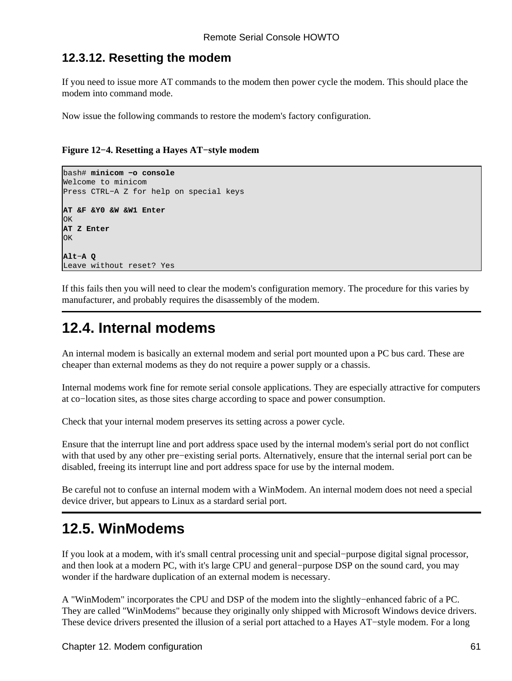### <span id="page-66-0"></span>**12.3.12. Resetting the modem**

If you need to issue more AT commands to the modem then power cycle the modem. This should place the modem into command mode.

Now issue the following commands to restore the modem's factory configuration.

#### **Figure 12−4. Resetting a Hayes AT−style modem**

```
bash# minicom −o console
Welcome to minicom
Press CTRL−A Z for help on special keys
AT &F &Y0 &W &W1 Enter
OK
AT Z Enter
OK
Alt−A Q
Leave without reset? Yes
```
If this fails then you will need to clear the modem's configuration memory. The procedure for this varies by manufacturer, and probably requires the disassembly of the modem.

### **12.4. Internal modems**

An internal modem is basically an external modem and serial port mounted upon a PC bus card. These are cheaper than external modems as they do not require a power supply or a chassis.

Internal modems work fine for remote serial console applications. They are especially attractive for computers at co−location sites, as those sites charge according to space and power consumption.

Check that your internal modem preserves its setting across a power cycle.

Ensure that the interrupt line and port address space used by the internal modem's serial port do not conflict with that used by any other pre−existing serial ports. Alternatively, ensure that the internal serial port can be disabled, freeing its interrupt line and port address space for use by the internal modem.

Be careful not to confuse an internal modem with a WinModem. An internal modem does not need a special device driver, but appears to Linux as a stardard serial port.

### **12.5. WinModems**

If you look at a modem, with it's small central processing unit and special−purpose digital signal processor, and then look at a modern PC, with it's large CPU and general−purpose DSP on the sound card, you may wonder if the hardware duplication of an external modem is necessary.

A "WinModem" incorporates the CPU and DSP of the modem into the slightly−enhanced fabric of a PC. They are called "WinModems" because they originally only shipped with Microsoft Windows device drivers. These device drivers presented the illusion of a serial port attached to a Hayes AT−style modem. For a long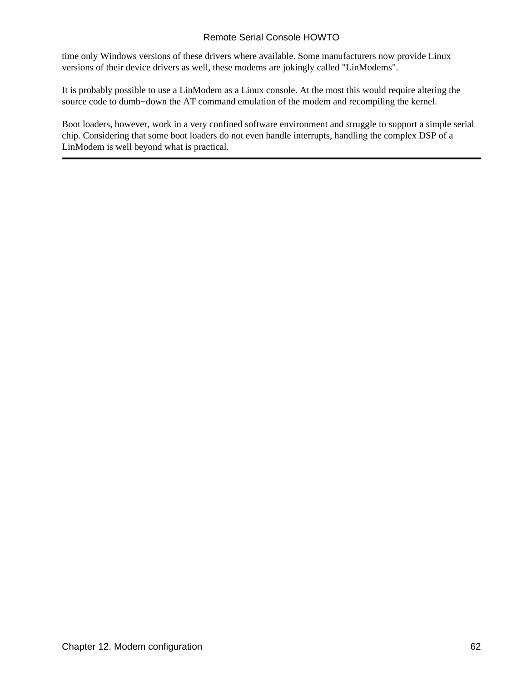time only Windows versions of these drivers where available. Some manufacturers now provide Linux versions of their device drivers as well, these modems are jokingly called "LinModems".

It is probably possible to use a LinModem as a Linux console. At the most this would require altering the source code to dumb−down the AT command emulation of the modem and recompiling the kernel.

Boot loaders, however, work in a very confined software environment and struggle to support a simple serial chip. Considering that some boot loaders do not even handle interrupts, handling the complex DSP of a LinModem is well beyond what is practical.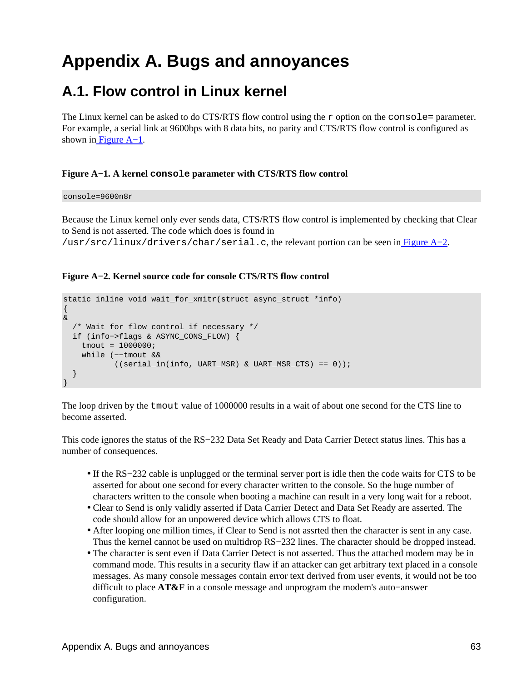# **Appendix A. Bugs and annoyances**

### **A.1. Flow control in Linux kernel**

The Linux kernel can be asked to do CTS/RTS flow control using the  $r$  option on the console = parameter. For example, a serial link at 9600bps with 8 data bits, no parity and CTS/RTS flow control is configured as shown i[n Figure A−1.](#page-68-0)

#### <span id="page-68-0"></span>**Figure A−1. A kernel console parameter with CTS/RTS flow control**

console=9600n8r

Because the Linux kernel only ever sends data, CTS/RTS flow control is implemented by checking that Clear to Send is not asserted. The code which does is found in

/usr/src/linux/drivers/char/serial.c, the relevant portion can be seen i[n Figure A−2.](#page-68-1)

#### <span id="page-68-1"></span>**Figure A−2. Kernel source code for console CTS/RTS flow control**

```
static inline void wait_for_xmitr(struct async_struct *info)
{
&
  /* Wait for flow control if necessary */
  if (info−>flags & ASYNC_CONS_FLOW) {
   t mout = 1000000;
    while (−−tmout &&
           ((serial_in(info, UARTMSR) & UNRTMSR_CTS) == 0)); } 
}
```
The loop driven by the tmout value of 1000000 results in a wait of about one second for the CTS line to become asserted.

This code ignores the status of the RS−232 Data Set Ready and Data Carrier Detect status lines. This has a number of consequences.

- If the RS–232 cable is unplugged or the terminal server port is idle then the code waits for CTS to be asserted for about one second for every character written to the console. So the huge number of characters written to the console when booting a machine can result in a very long wait for a reboot.
- Clear to Send is only validly asserted if Data Carrier Detect and Data Set Ready are asserted. The code should allow for an unpowered device which allows CTS to float.
- After looping one million times, if Clear to Send is not assrted then the character is sent in any case. Thus the kernel cannot be used on multidrop RS−232 lines. The character should be dropped instead.
- The character is sent even if Data Carrier Detect is not asserted. Thus the attached modem may be in command mode. This results in a security flaw if an attacker can get arbitrary text placed in a console messages. As many console messages contain error text derived from user events, it would not be too difficult to place **AT&F** in a console message and unprogram the modem's auto−answer configuration.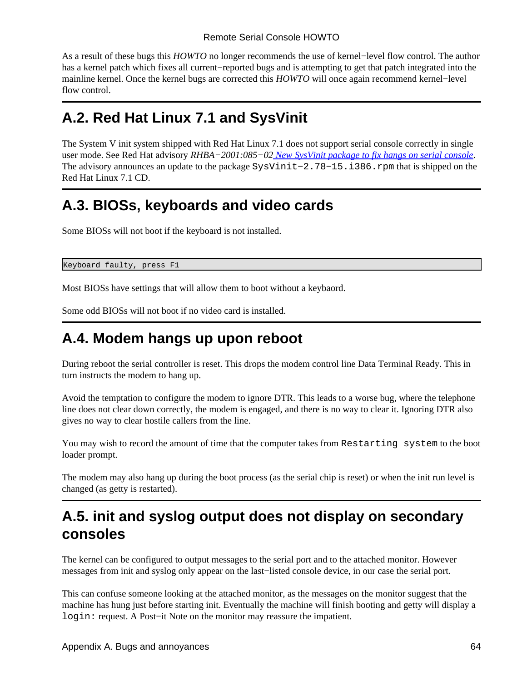As a result of these bugs this *HOWTO* no longer recommends the use of kernel−level flow control. The author has a kernel patch which fixes all current−reported bugs and is attempting to get that patch integrated into the mainline kernel. Once the kernel bugs are corrected this *HOWTO* will once again recommend kernel−level flow control.

# **A.2. Red Hat Linux 7.1 and SysVinit**

The System V init system shipped with Red Hat Linux 7.1 does not support serial console correctly in single user mode. See Red Hat advisory *RHBA−2001:085−02 [New SysVinit package to fix hangs on serial console](http://www.redhat.com/support/errata/RHBA-2001-085.html)*. The advisory announces an update to the package SysVinit−2.78−15.i386.rpm that is shipped on the Red Hat Linux 7.1 CD.

# **A.3. BIOSs, keyboards and video cards**

Some BIOSs will not boot if the keyboard is not installed.

Keyboard faulty, press F1

Most BIOSs have settings that will allow them to boot without a keybaord.

Some odd BIOSs will not boot if no video card is installed.

# **A.4. Modem hangs up upon reboot**

During reboot the serial controller is reset. This drops the modem control line Data Terminal Ready. This in turn instructs the modem to hang up.

Avoid the temptation to configure the modem to ignore DTR. This leads to a worse bug, where the telephone line does not clear down correctly, the modem is engaged, and there is no way to clear it. Ignoring DTR also gives no way to clear hostile callers from the line.

You may wish to record the amount of time that the computer takes from Restarting system to the boot loader prompt.

The modem may also hang up during the boot process (as the serial chip is reset) or when the init run level is changed (as getty is restarted).

# **A.5. init and syslog output does not display on secondary consoles**

The kernel can be configured to output messages to the serial port and to the attached monitor. However messages from init and syslog only appear on the last−listed console device, in our case the serial port.

This can confuse someone looking at the attached monitor, as the messages on the monitor suggest that the machine has hung just before starting init. Eventually the machine will finish booting and getty will display a login: request. A Post−it Note on the monitor may reassure the impatient.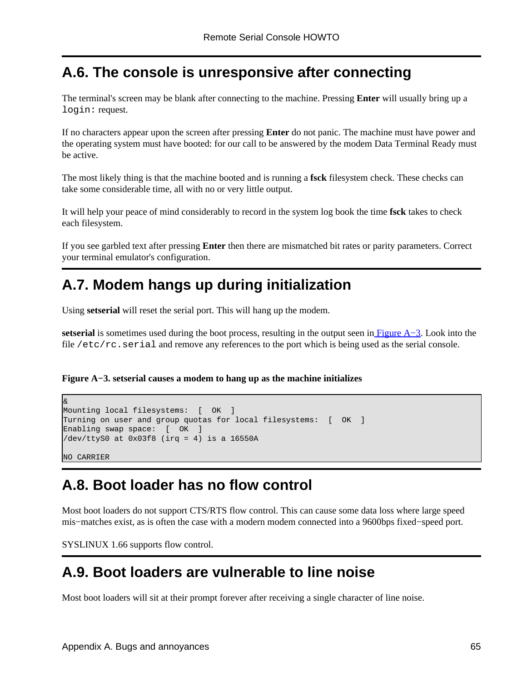### **A.6. The console is unresponsive after connecting**

The terminal's screen may be blank after connecting to the machine. Pressing **Enter** will usually bring up a login: request.

If no characters appear upon the screen after pressing **Enter** do not panic. The machine must have power and the operating system must have booted: for our call to be answered by the modem Data Terminal Ready must be active.

The most likely thing is that the machine booted and is running a **fsck** filesystem check. These checks can take some considerable time, all with no or very little output.

It will help your peace of mind considerably to record in the system log book the time **fsck** takes to check each filesystem.

If you see garbled text after pressing **Enter** then there are mismatched bit rates or parity parameters. Correct your terminal emulator's configuration.

# **A.7. Modem hangs up during initialization**

Using **setserial** will reset the serial port. This will hang up the modem.

setserial is sometimes used during the boot process, resulting in the output seen in [Figure A−3.](#page-70-0) Look into the file /etc/rc.serial and remove any references to the port which is being used as the serial console.

#### <span id="page-70-0"></span>**Figure A−3. setserial causes a modem to hang up as the machine initializes**

```
&
Mounting local filesystems: [ OK ]
Turning on user and group quotas for local filesystems: [ OK ]
Enabling swap space: [ OK ]
/\text{dev/ttyS0} at 0x03f8 (irq = 4) is a 16550A
NO CARRIER
```
### **A.8. Boot loader has no flow control**

Most boot loaders do not support CTS/RTS flow control. This can cause some data loss where large speed mis−matches exist, as is often the case with a modern modem connected into a 9600bps fixed−speed port.

SYSLINUX 1.66 supports flow control.

### **A.9. Boot loaders are vulnerable to line noise**

Most boot loaders will sit at their prompt forever after receiving a single character of line noise.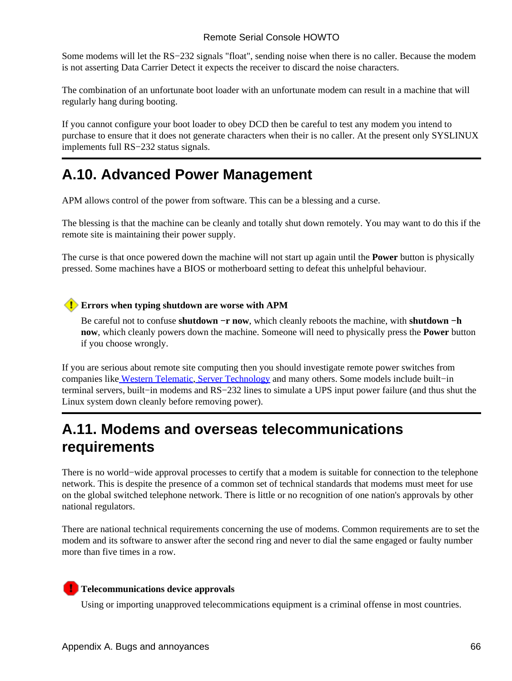Some modems will let the RS−232 signals "float", sending noise when there is no caller. Because the modem is not asserting Data Carrier Detect it expects the receiver to discard the noise characters.

The combination of an unfortunate boot loader with an unfortunate modem can result in a machine that will regularly hang during booting.

If you cannot configure your boot loader to obey DCD then be careful to test any modem you intend to purchase to ensure that it does not generate characters when their is no caller. At the present only SYSLINUX implements full RS−232 status signals.

### **A.10. Advanced Power Management**

APM allows control of the power from software. This can be a blessing and a curse.

The blessing is that the machine can be cleanly and totally shut down remotely. You may want to do this if the remote site is maintaining their power supply.

The curse is that once powered down the machine will not start up again until the **Power** button is physically pressed. Some machines have a BIOS or motherboard setting to defeat this unhelpful behaviour.

### **Errors when typing shutdown are worse with APM**

Be careful not to confuse **shutdown −r now**, which cleanly reboots the machine, with **shutdown −h now**, which cleanly powers down the machine. Someone will need to physically press the **Power** button if you choose wrongly.

If you are serious about remote site computing then you should investigate remote power switches from companies lik[e Western Telematic](http://www.wti.com/)[, Server Technology](http://www.servertech.com/) and many others. Some models include built−in terminal servers, built−in modems and RS−232 lines to simulate a UPS input power failure (and thus shut the Linux system down cleanly before removing power).

### **A.11. Modems and overseas telecommunications requirements**

There is no world–wide approval processes to certify that a modem is suitable for connection to the telephone network. This is despite the presence of a common set of technical standards that modems must meet for use on the global switched telephone network. There is little or no recognition of one nation's approvals by other national regulators.

There are national technical requirements concerning the use of modems. Common requirements are to set the modem and its software to answer after the second ring and never to dial the same engaged or faulty number more than five times in a row.

### **Telecommunications device approvals**

Using or importing unapproved telecommications equipment is a criminal offense in most countries.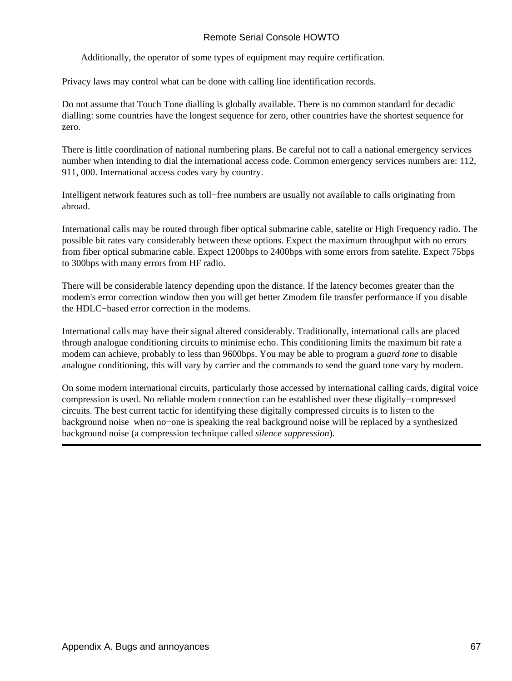Additionally, the operator of some types of equipment may require certification.

Privacy laws may control what can be done with calling line identification records.

Do not assume that Touch Tone dialling is globally available. There is no common standard for decadic dialling: some countries have the longest sequence for zero, other countries have the shortest sequence for zero.

There is little coordination of national numbering plans. Be careful not to call a national emergency services number when intending to dial the international access code. Common emergency services numbers are: 112, 911, 000. International access codes vary by country.

Intelligent network features such as toll−free numbers are usually not available to calls originating from abroad.

International calls may be routed through fiber optical submarine cable, satelite or High Frequency radio. The possible bit rates vary considerably between these options. Expect the maximum throughput with no errors from fiber optical submarine cable. Expect 1200bps to 2400bps with some errors from satelite. Expect 75bps to 300bps with many errors from HF radio.

There will be considerable latency depending upon the distance. If the latency becomes greater than the modem's error correction window then you will get better Zmodem file transfer performance if you disable the HDLC−based error correction in the modems.

International calls may have their signal altered considerably. Traditionally, international calls are placed through analogue conditioning circuits to minimise echo. This conditioning limits the maximum bit rate a modem can achieve, probably to less than 9600bps. You may be able to program a *guard tone* to disable analogue conditioning, this will vary by carrier and the commands to send the guard tone vary by modem.

On some modern international circuits, particularly those accessed by international calling cards, digital voice compression is used. No reliable modem connection can be established over these digitally−compressed circuits. The best current tactic for identifying these digitally compressed circuits is to listen to the background noise when no−one is speaking the real background noise will be replaced by a synthesized background noise (a compression technique called *silence suppression*).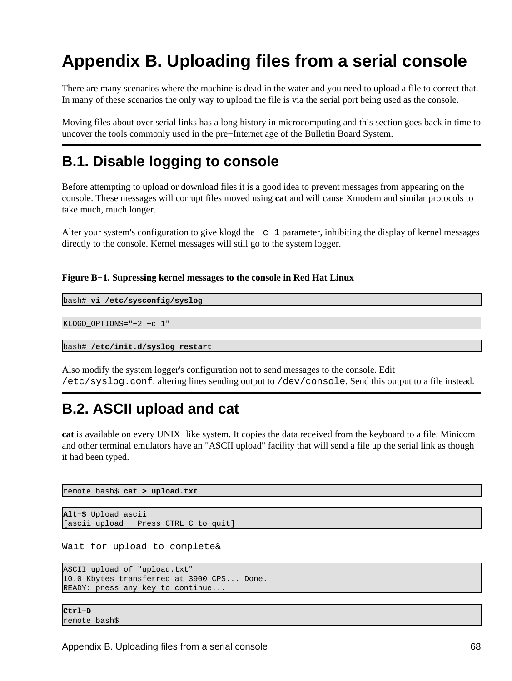# **Appendix B. Uploading files from a serial console**

There are many scenarios where the machine is dead in the water and you need to upload a file to correct that. In many of these scenarios the only way to upload the file is via the serial port being used as the console.

Moving files about over serial links has a long history in microcomputing and this section goes back in time to uncover the tools commonly used in the pre−Internet age of the Bulletin Board System.

### **B.1. Disable logging to console**

Before attempting to upload or download files it is a good idea to prevent messages from appearing on the console. These messages will corrupt files moved using **cat** and will cause Xmodem and similar protocols to take much, much longer.

Alter your system's configuration to give klogd the −c 1 parameter, inhibiting the display of kernel messages directly to the console. Kernel messages will still go to the system logger.

**Figure B−1. Supressing kernel messages to the console in Red Hat Linux**

```
bash# vi /etc/sysconfig/syslog
```
KLOGD\_OPTIONS="−2 −c 1"

```
bash# /etc/init.d/syslog restart
```
Also modify the system logger's configuration not to send messages to the console. Edit /etc/syslog.conf, altering lines sending output to /dev/console. Send this output to a file instead.

## **B.2. ASCII upload and cat**

**cat** is available on every UNIX−like system. It copies the data received from the keyboard to a file. Minicom and other terminal emulators have an "ASCII upload" facility that will send a file up the serial link as though it had been typed.

remote bash\$ **cat > upload.txt**

```
Alt−S Upload ascii
[ascii upload − Press CTRL−C to quit]
```
Wait for upload to complete&

```
ASCII upload of "upload.txt"
10.0 Kbytes transferred at 3900 CPS... Done.
READY: press any key to continue...
```
**Ctrl**−**D** remote bash\$

Appendix B. Uploading files from a serial console 68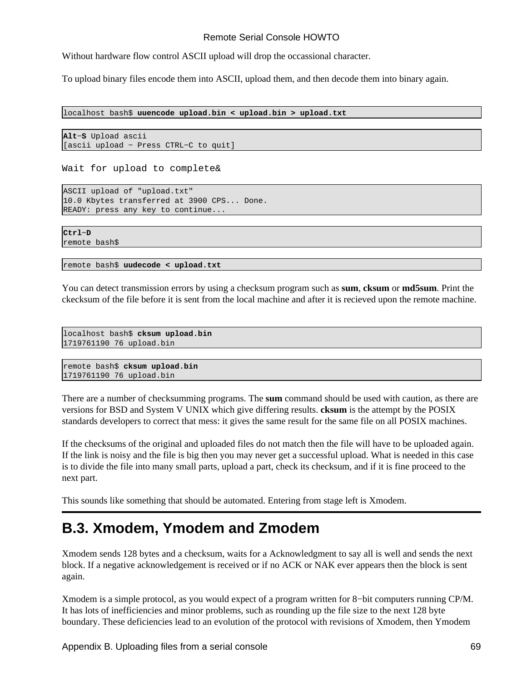Without hardware flow control ASCII upload will drop the occassional character.

To upload binary files encode them into ASCII, upload them, and then decode them into binary again.

localhost bash\$ **uuencode upload.bin < upload.bin > upload.txt**

```
Alt−S Upload ascii
[ascii upload − Press CTRL−C to quit]
```
Wait for upload to complete&

ASCII upload of "upload.txt" 10.0 Kbytes transferred at 3900 CPS... Done. READY: press any key to continue...

**Ctrl**−**D** remote bash\$

remote bash\$ **uudecode < upload.txt**

You can detect transmission errors by using a checksum program such as **sum**, **cksum** or **md5sum**. Print the ckecksum of the file before it is sent from the local machine and after it is recieved upon the remote machine.

```
localhost bash$ cksum upload.bin
1719761190 76 upload.bin
```

```
remote bash$ cksum upload.bin
1719761190 76 upload.bin
```
There are a number of checksumming programs. The **sum** command should be used with caution, as there are versions for BSD and System V UNIX which give differing results. **cksum** is the attempt by the POSIX standards developers to correct that mess: it gives the same result for the same file on all POSIX machines.

If the checksums of the original and uploaded files do not match then the file will have to be uploaded again. If the link is noisy and the file is big then you may never get a successful upload. What is needed in this case is to divide the file into many small parts, upload a part, check its checksum, and if it is fine proceed to the next part.

This sounds like something that should be automated. Entering from stage left is Xmodem.

## **B.3. Xmodem, Ymodem and Zmodem**

Xmodem sends 128 bytes and a checksum, waits for a Acknowledgment to say all is well and sends the next block. If a negative acknowledgement is received or if no ACK or NAK ever appears then the block is sent again.

Xmodem is a simple protocol, as you would expect of a program written for 8−bit computers running CP/M. It has lots of inefficiencies and minor problems, such as rounding up the file size to the next 128 byte boundary. These deficiencies lead to an evolution of the protocol with revisions of Xmodem, then Ymodem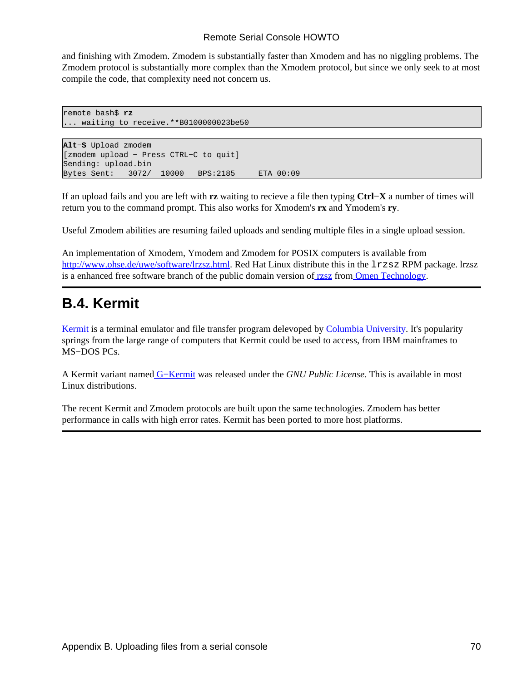and finishing with Zmodem. Zmodem is substantially faster than Xmodem and has no niggling problems. The Zmodem protocol is substantially more complex than the Xmodem protocol, but since we only seek to at most compile the code, that complexity need not concern us.

```
remote bash$ rz
... waiting to receive.**B0100000023be50
```
**Alt**−**S** Upload zmodem [zmodem upload − Press CTRL−C to quit] Sending: upload.bin Bytes Sent: 3072/ 10000 BPS:2185 ETA 00:09

If an upload fails and you are left with **rz** waiting to recieve a file then typing **Ctrl**−**X** a number of times will return you to the command prompt. This also works for Xmodem's **rx** and Ymodem's **ry**.

Useful Zmodem abilities are resuming failed uploads and sending multiple files in a single upload session.

An implementation of Xmodem, Ymodem and Zmodem for POSIX computers is available from <http://www.ohse.de/uwe/software/lrzsz.html>. Red Hat Linux distribute this in the lrzsz RPM package. lrzsz is a enhanced free software branch of the public domain version of [rzsz](ftp://ftp.cs.pdx.edu/pub/zmodem/rzsz.zip) fro[m Omen Technology](http://www.omen.com/).

## **B.4. Kermit**

[Kermit](http://www.kermit-project.org/) is a terminal emulator and file transfer program delevoped b[y Columbia University.](http://www.columbia.edu/) It's popularity springs from the large range of computers that Kermit could be used to access, from IBM mainframes to MS−DOS PCs.

A Kermit variant name[d G−Kermit](http://www.columbia.edu/kermit/gkermit.html) was released under the *GNU Public License*. This is available in most Linux distributions.

The recent Kermit and Zmodem protocols are built upon the same technologies. Zmodem has better performance in calls with high error rates. Kermit has been ported to more host platforms.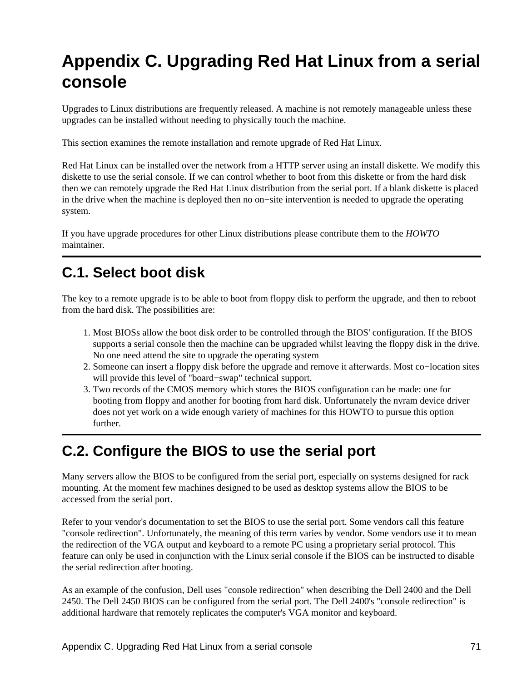# **Appendix C. Upgrading Red Hat Linux from a serial console**

Upgrades to Linux distributions are frequently released. A machine is not remotely manageable unless these upgrades can be installed without needing to physically touch the machine.

This section examines the remote installation and remote upgrade of Red Hat Linux.

Red Hat Linux can be installed over the network from a HTTP server using an install diskette. We modify this diskette to use the serial console. If we can control whether to boot from this diskette or from the hard disk then we can remotely upgrade the Red Hat Linux distribution from the serial port. If a blank diskette is placed in the drive when the machine is deployed then no on−site intervention is needed to upgrade the operating system.

If you have upgrade procedures for other Linux distributions please contribute them to the *HOWTO* maintainer.

# **C.1. Select boot disk**

The key to a remote upgrade is to be able to boot from floppy disk to perform the upgrade, and then to reboot from the hard disk. The possibilities are:

- 1. Most BIOSs allow the boot disk order to be controlled through the BIOS' configuration. If the BIOS supports a serial console then the machine can be upgraded whilst leaving the floppy disk in the drive. No one need attend the site to upgrade the operating system
- 2. Someone can insert a floppy disk before the upgrade and remove it afterwards. Most co–location sites will provide this level of "board−swap" technical support.
- 3. Two records of the CMOS memory which stores the BIOS configuration can be made: one for booting from floppy and another for booting from hard disk. Unfortunately the nvram device driver does not yet work on a wide enough variety of machines for this HOWTO to pursue this option further.

# **C.2. Configure the BIOS to use the serial port**

Many servers allow the BIOS to be configured from the serial port, especially on systems designed for rack mounting. At the moment few machines designed to be used as desktop systems allow the BIOS to be accessed from the serial port.

Refer to your vendor's documentation to set the BIOS to use the serial port. Some vendors call this feature "console redirection". Unfortunately, the meaning of this term varies by vendor. Some vendors use it to mean the redirection of the VGA output and keyboard to a remote PC using a proprietary serial protocol. This feature can only be used in conjunction with the Linux serial console if the BIOS can be instructed to disable the serial redirection after booting.

As an example of the confusion, Dell uses "console redirection" when describing the Dell 2400 and the Dell 2450. The Dell 2450 BIOS can be configured from the serial port. The Dell 2400's "console redirection" is additional hardware that remotely replicates the computer's VGA monitor and keyboard.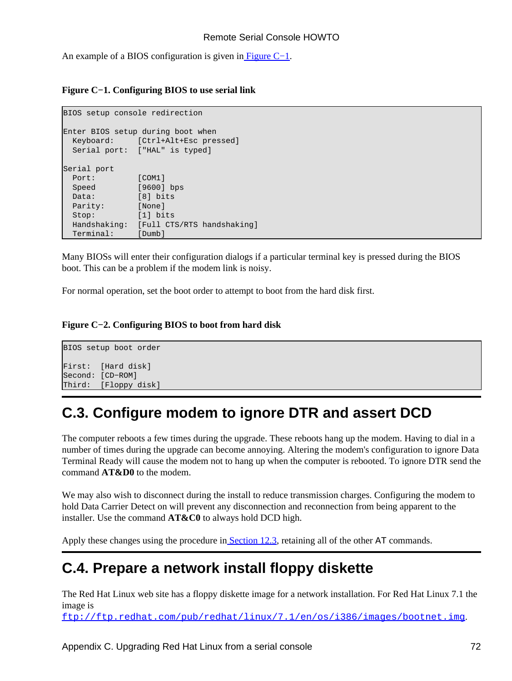An example of a BIOS configuration is given i[n Figure C−1.](#page-77-0)

### <span id="page-77-0"></span>**Figure C−1. Configuring BIOS to use serial link**

```
BIOS setup console redirection
Enter BIOS setup during boot when
  Keyboard: [Ctrl+Alt+Esc pressed]
  Serial port: ["HAL" is typed]
Serial port
 Port: [COM1]
  Speed [9600] bps
 Data: [8] bits
 Data:<br>Parity: [None]<br>[1] bi
  Stop: [1] bits
  Handshaking: [Full CTS/RTS handshaking]
 Terminal: [Dumb]
```
Many BIOSs will enter their configuration dialogs if a particular terminal key is pressed during the BIOS boot. This can be a problem if the modem link is noisy.

For normal operation, set the boot order to attempt to boot from the hard disk first.

### **Figure C−2. Configuring BIOS to boot from hard disk**

```
BIOS setup boot order
First: [Hard disk]
Second: [CD−ROM]
Third: [Floppy disk]
```
# **C.3. Configure modem to ignore DTR and assert DCD**

The computer reboots a few times during the upgrade. These reboots hang up the modem. Having to dial in a number of times during the upgrade can become annoying. Altering the modem's configuration to ignore Data Terminal Ready will cause the modem not to hang up when the computer is rebooted. To ignore DTR send the command **AT&D0** to the modem.

We may also wish to disconnect during the install to reduce transmission charges. Configuring the modem to hold Data Carrier Detect on will prevent any disconnection and reconnection from being apparent to the installer. Use the command **AT&C0** to always hold DCD high.

Apply these changes using the procedure in **Section 12.3**, retaining all of the other AT commands.

## **C.4. Prepare a network install floppy diskette**

The Red Hat Linux web site has a floppy diskette image for a network installation. For Red Hat Linux 7.1 the image is

<ftp://ftp.redhat.com/pub/redhat/linux/7.1/en/os/i386/images/bootnet.img>.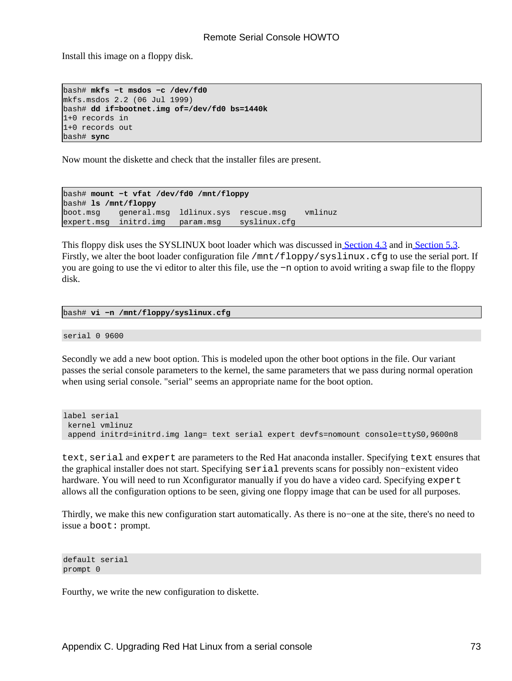Install this image on a floppy disk.

```
bash# mkfs −t msdos −c /dev/fd0
mkfs.msdos 2.2 (06 Jul 1999)
bash# dd if=bootnet.img of=/dev/fd0 bs=1440k
1+0 records in
1+0 records out
bash# sync
```
Now mount the diskette and check that the installer files are present.

```
bash# mount −t vfat /dev/fd0 /mnt/floppy
bash# ls /mnt/floppy
boot.msg general.msg ldlinux.sys rescue.msg vmlinuz
expert.msg initrd.img param.msg syslinux.cfg
```
This floppy disk uses the SYSLINUX boot loader which was discussed i[n Section 4.3](#page-22-0) and in [Section 5.3.](#page-27-0) Firstly, we alter the boot loader configuration file /mnt/floppy/syslinux.cfq to use the serial port. If you are going to use the vi editor to alter this file, use the −n option to avoid writing a swap file to the floppy disk.

```
bash# vi −n /mnt/floppy/syslinux.cfg
```
serial 0 9600

Secondly we add a new boot option. This is modeled upon the other boot options in the file. Our variant passes the serial console parameters to the kernel, the same parameters that we pass during normal operation when using serial console. "serial" seems an appropriate name for the boot option.

```
label serial
  kernel vmlinuz
 append initrd=initrd.img lang= text serial expert devfs=nomount console=ttyS0,9600n8
```
text, serial and expert are parameters to the Red Hat anaconda installer. Specifying text ensures that the graphical installer does not start. Specifying serial prevents scans for possibly non−existent video hardware. You will need to run Xconfigurator manually if you do have a video card. Specifying expert allows all the configuration options to be seen, giving one floppy image that can be used for all purposes.

Thirdly, we make this new configuration start automatically. As there is no−one at the site, there's no need to issue a boot: prompt.

default serial prompt 0

Fourthy, we write the new configuration to diskette.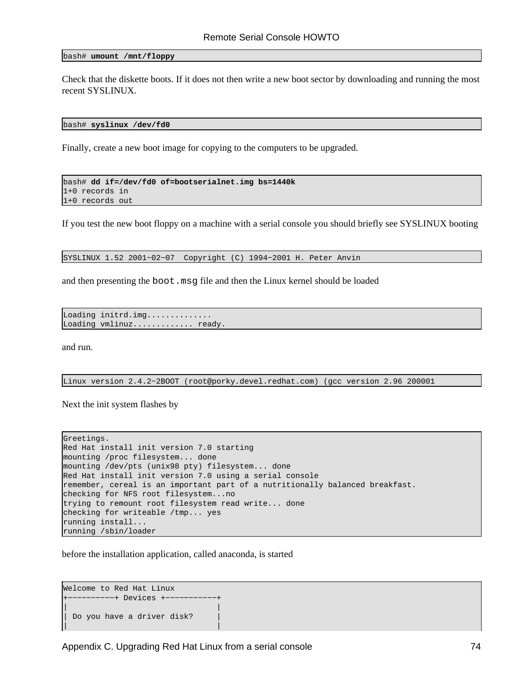bash# **umount /mnt/floppy**

Check that the diskette boots. If it does not then write a new boot sector by downloading and running the most recent SYSLINUX.

bash# **syslinux /dev/fd0**

Finally, create a new boot image for copying to the computers to be upgraded.

bash# **dd if=/dev/fd0 of=bootserialnet.img bs=1440k** 1+0 records in 1+0 records out

If you test the new boot floppy on a machine with a serial console you should briefly see SYSLINUX booting

SYSLINUX 1.52 2001−02−07 Copyright (C) 1994−2001 H. Peter Anvin

and then presenting the boot.msg file and then the Linux kernel should be loaded

Loading initrd.img.............. Loading vmlinuz.............. ready.

and run.

Linux version 2.4.2−2BOOT (root@porky.devel.redhat.com) (gcc version 2.96 200001

Next the init system flashes by

```
Greetings.
Red Hat install init version 7.0 starting
mounting /proc filesystem... done
mounting /dev/pts (unix98 pty) filesystem... done
Red Hat install init version 7.0 using a serial console
remember, cereal is an important part of a nutritionally balanced breakfast.
checking for NFS root filesystem...no
trying to remount root filesystem read write... done
checking for writeable /tmp... yes
running install...
running /sbin/loader
```
before the installation application, called anaconda, is started

```
Welcome to Red Hat Linux
+−−−−−−−−−−+ Devices +−−−−−−−−−−−+
| |
Do you have a driver disk?
| |
```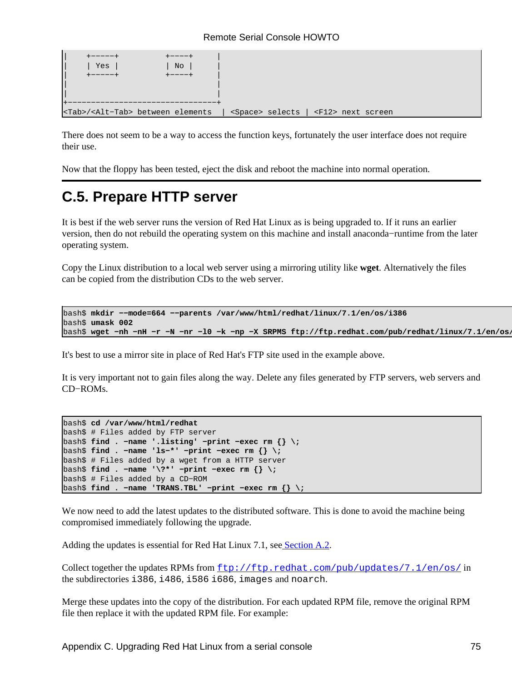```
| +−−−−−+ +−−−−+ |
   | Yes | | No |
| +−−−−−+ +−−−−+ |
| |
| |
+−−−−−−−−−−−−−−−−−−−−−−−−−−−−−−−−+
<Tab>/<Alt−Tab> between elements | <Space> selects | <F12> next screen
```
There does not seem to be a way to access the function keys, fortunately the user interface does not require their use.

Now that the floppy has been tested, eject the disk and reboot the machine into normal operation.

# **C.5. Prepare HTTP server**

It is best if the web server runs the version of Red Hat Linux as is being upgraded to. If it runs an earlier version, then do not rebuild the operating system on this machine and install anaconda−runtime from the later operating system.

Copy the Linux distribution to a local web server using a mirroring utility like **wget**. Alternatively the files can be copied from the distribution CDs to the web server.

```
bash$ mkdir −−mode=664 −−parents /var/www/html/redhat/linux/7.1/en/os/i386
bash$ umask 002
bash$ wget −nh −nH −r −N −nr −l0 −k −np −X SRPMS ftp://ftp.redhat.com/pub/redhat/linux/7.1/en/os/i386/ −P /var/www/html/redhat/linux/7.1/en/os/i386
```
It's best to use a mirror site in place of Red Hat's FTP site used in the example above.

It is very important not to gain files along the way. Delete any files generated by FTP servers, web servers and CD−ROMs.

```
bash$ cd /var/www/html/redhat
bash$ # Files added by FTP server
bash$ find . −name '.listing' −print −exec rm {} \;
bash$ find . −name 'ls−*' −print −exec rm {} \;
bash$ # Files added by a wget from a HTTP server
bash$ find . −name '\?*' −print −exec rm {} \;
bash$ # Files added by a CD−ROM
bash$ find . −name 'TRANS.TBL' −print −exec rm {} \;
```
We now need to add the latest updates to the distributed software. This is done to avoid the machine being compromised immediately following the upgrade.

Adding the updates is essential for Red Hat Linux 7.1, se[e Section A.2.](#page-69-0)

Collect together the updates RPMs from  $\underline{ftp://ftp.readhat.com/pub/updates/7.1/en/os/}$  in the subdirectories i386, i486, i586 i686, images and noarch.

Merge these updates into the copy of the distribution. For each updated RPM file, remove the original RPM file then replace it with the updated RPM file. For example: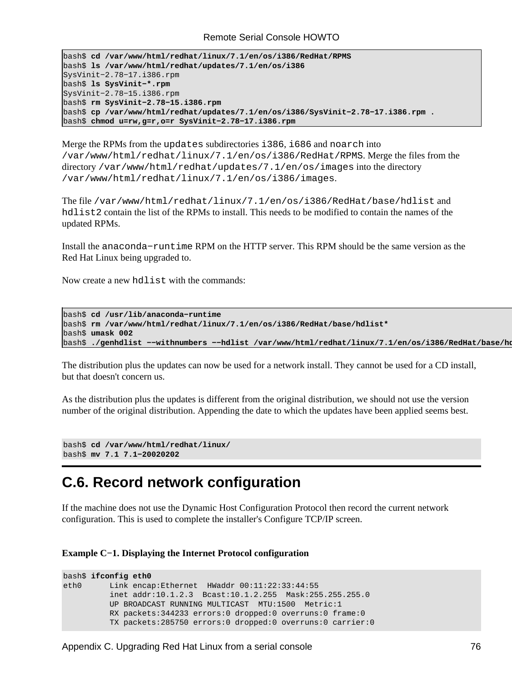```
bash$ cd /var/www/html/redhat/linux/7.1/en/os/i386/RedHat/RPMS
bash$ ls /var/www/html/redhat/updates/7.1/en/os/i386
SysVinit−2.78−17.i386.rpm
bash$ ls SysVinit−*.rpm
SysVinit−2.78−15.i386.rpm
bash$ rm SysVinit−2.78−15.i386.rpm
bash$ cp /var/www/html/redhat/updates/7.1/en/os/i386/SysVinit−2.78−17.i386.rpm .
bash$ chmod u=rw,g=r,o=r SysVinit−2.78−17.i386.rpm
```
Merge the RPMs from the updates subdirectories i386, i686 and noarch into /var/www/html/redhat/linux/7.1/en/os/i386/RedHat/RPMS. Merge the files from the directory /var/www/html/redhat/updates/7.1/en/os/images into the directory /var/www/html/redhat/linux/7.1/en/os/i386/images.

The file /var/www/html/redhat/linux/7.1/en/os/i386/RedHat/base/hdlist and hdlist2 contain the list of the RPMs to install. This needs to be modified to contain the names of the updated RPMs.

Install the anaconda−runtime RPM on the HTTP server. This RPM should be the same version as the Red Hat Linux being upgraded to.

Now create a new hdlist with the commands:

```
bash$ cd /usr/lib/anaconda−runtime
bash$ rm /var/www/html/redhat/linux/7.1/en/os/i386/RedHat/base/hdlist*
bash$ umask 002
bash$ ./genhdlist −−withnumbers −−hdlist /var/www/html/redhat/linux/7.1/en/os/i386/RedHat/base/hdlist /var/www/html/redhat/linux/7.1/en/os/i386
```
The distribution plus the updates can now be used for a network install. They cannot be used for a CD install, but that doesn't concern us.

As the distribution plus the updates is different from the original distribution, we should not use the version number of the original distribution. Appending the date to which the updates have been applied seems best.

```
bash$ cd /var/www/html/redhat/linux/
bash$ mv 7.1 7.1−20020202
```
### **C.6. Record network configuration**

If the machine does not use the Dynamic Host Configuration Protocol then record the current network configuration. This is used to complete the installer's Configure TCP/IP screen.

#### <span id="page-81-0"></span>**Example C−1. Displaying the Internet Protocol configuration**

```
bash$ ifconfig eth0
eth0 Link encap:Ethernet HWaddr 00:11:22:33:44:55 
           inet addr:10.1.2.3 Bcast:10.1.2.255 Mask:255.255.255.0
           UP BROADCAST RUNNING MULTICAST MTU:1500 Metric:1
           RX packets:344233 errors:0 dropped:0 overruns:0 frame:0
           TX packets:285750 errors:0 dropped:0 overruns:0 carrier:0
```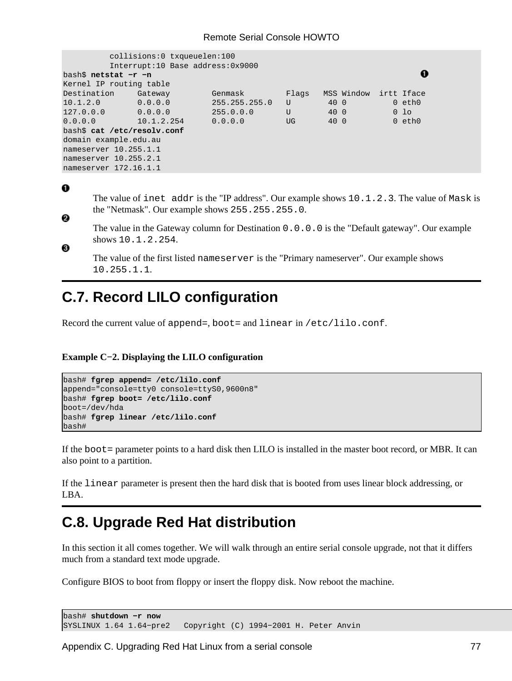```
 collisions:0 txqueuelen:100 
         Interrupt:10 Base address:0x9000
                                                            \Omegabash$ netstat −r −n
Kernel IP routing table
Destination Gateway Genmask Flags MSS Window irtt Iface
10.1.2.0 0.0.0.0 255.255.255.0 U 40 0 0 eth0
127.0.0.0 0.0.0.0 255.0.0.0 U 40 0 0 lo
0.0.0.0 10.1.2.254 0.0.0.0 UG 40.0bash$ cat /etc/resolv.conf
domain example.edu.au
nameserver 10.255.1.1
nameserver 10.255.2.1
nameserver 172.16.1.1
```

```
O
```
The value of inet addr is the "IP address". Our example shows 10.1.2.3. The value of Mask is the "Netmask". Our example shows 255.255.255.0.

0

ଛ

The value in the Gateway column for Destination 0.0.0.0 is the "Default gateway". Our example shows 10.1.2.254.

The value of the first listed nameserver is the "Primary nameserver". Our example shows 10.255.1.1.

# **C.7. Record LILO configuration**

Record the current value of append=, boot= and linear in /etc/lilo.conf.

### <span id="page-82-0"></span>**Example C−2. Displaying the LILO configuration**

```
bash# fgrep append= /etc/lilo.conf
append="console=tty0 console=ttyS0,9600n8"
bash# fgrep boot= /etc/lilo.conf
boot=/dev/hda
bash# fgrep linear /etc/lilo.conf
bash#
```
If the boot= parameter points to a hard disk then LILO is installed in the master boot record, or MBR. It can also point to a partition.

If the linear parameter is present then the hard disk that is booted from uses linear block addressing, or LBA.

## **C.8. Upgrade Red Hat distribution**

In this section it all comes together. We will walk through an entire serial console upgrade, not that it differs much from a standard text mode upgrade.

Configure BIOS to boot from floppy or insert the floppy disk. Now reboot the machine.

bash# **shutdown −r now** SYSLINUX 1.64 1.64−pre2 Copyright (C) 1994−2001 H. Peter Anvin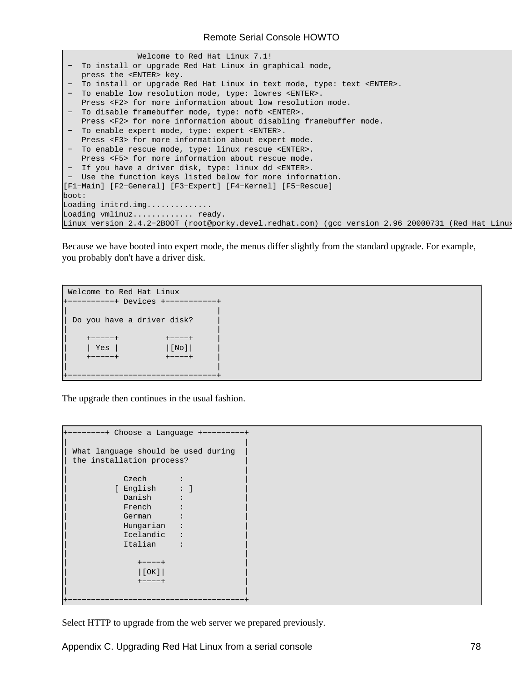Welcome to Red Hat Linux 7.1! − To install or upgrade Red Hat Linux in graphical mode, press the <ENTER> key. − To install or upgrade Red Hat Linux in text mode, type: text <ENTER>. − To enable low resolution mode, type: lowres <ENTER>. Press <F2> for more information about low resolution mode. − To disable framebuffer mode, type: nofb <ENTER>. Press <F2> for more information about disabling framebuffer mode. − To enable expert mode, type: expert <ENTER>. Press <F3> for more information about expert mode. − To enable rescue mode, type: linux rescue <ENTER>. Press <F5> for more information about rescue mode. − If you have a driver disk, type: linux dd <ENTER>. − Use the function keys listed below for more information. [F1−Main] [F2−General] [F3−Expert] [F4−Kernel] [F5−Rescue] boot: Loading initrd.img.............. Loading vmlinuz.............. ready. Linux version 2.4.2−2BOOT (root@porky.devel.redhat.com) (gcc version 2.96 20000731 (Red Hat Linux

Because we have booted into expert mode, the menus differ slightly from the standard upgrade. For example, you probably don't have a driver disk.

```
 Welcome to Red Hat Linux
 +−−−−−−−−−−+ Devices +−−−−−−−−−−−+
| |
Do you have a driver disk?
| |
   +−−−−−+ +−−−+ +−−−+
   | Yes | | |[No]|
   +−−−−−+ +−−−+ +−−−+
| |
+−−−−−−−−−−−−−−−−−−−−−−−−−−−−−−−−+
```
The upgrade then continues in the usual fashion.

```
+−−−−−−−−+ Choose a Language +−−−−−−−−−+
| |
What language should be used during
the installation process?
| |
| Czech : |
| [ English : ] |
       Danish :
       | French : |
       German :
       Hungarian :
       Icelandic :
       Italian :
| |
         | +−−−−+ |
         | |[OK]| |
         | +−−−−+ |
| |
+−−−−−−−−−−−−−−−−−−−−−−−−−−−−−−−−−−−−−−+
```
Select HTTP to upgrade from the web server we prepared previously.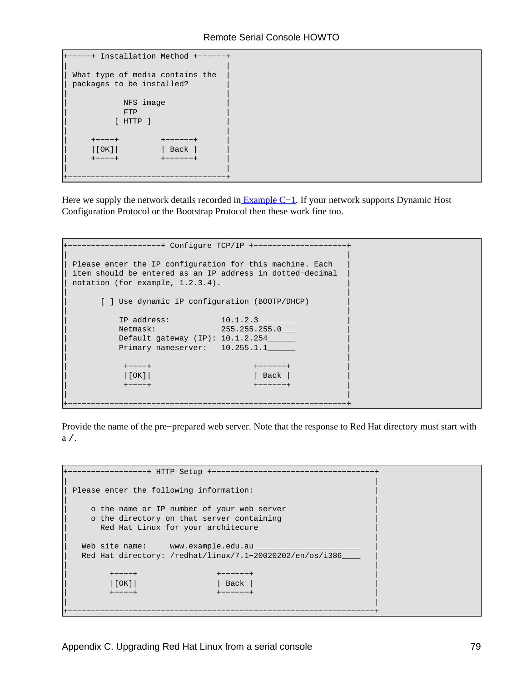```
+−−−−−+ Installation Method +−−−−−−+
| |
What type of media contains the
packages to be installed?
| |
       NFS image
       | FTP |
      | [ HTTP ] |
| |
   | +−−−−+ +−−−−−−+ |
   | |[OK]| | Back | |
   | +−−−−+ +−−−−−−+ |
| |
+−−−−−−−−−−−−−−−−−−−−−−−−−−−−−−−−−−+
```
Here we supply the network details recorded i[n Example C−1.](#page-81-0) If your network supports Dynamic Host Configuration Protocol or the Bootstrap Protocol then these work fine too.

```
+−−−−−−−−−−−−−−−−−−−−+ Configure TCP/IP +−−−−−−−−−−−−−−−−−−−−+
| |
| Please enter the IP configuration for this machine. Each |
item should be entered as an IP address in dotted-decimal
notation (for example, 1.2.3.4).
| |
    | [ ] Use dynamic IP configuration (BOOTP/DHCP) |
| |
| IP address: 10.1.2.3________ |
| Netmask: 255.255.255.0___ |
      Default gateway (IP): 10.1.2.254______
      Primary nameserver: 10.255.1.1_
| |
| +−−−−+ +−−−−−−+ |
       | |[OK]| | Back | |
       | +−−−−+ +−−−−−−+ |
| |
+−−−−−−−−−−−−−−−−−−−−−−−−−−−−−−−−−−−−−−−−−−−−−−−−−−−−−−−−−−−−+
```
Provide the name of the pre−prepared web server. Note that the response to Red Hat directory must start with a /.

```
+−−−−−−−−−−−−−−−−−+ HTTP Setup +−−−−−−−−−−−−−−−−−−−−−−−−−−−−−−−−−−−+
| |
Please enter the following information:
| |
  o the name or IP number of your web server
  o the directory on that server containing
   Red Hat Linux for your architecure
| |
 Web site name: www.example.edu.au_
 Red Hat directory: /redhat/linux/7.1-20020202/en/os/i386_
| |
| +−−−−+ +−−−−−−+ |
     | |[OK]| | Back | |
| +−−−−+ +−−−−−−+ |
| |
+−−−−−−−−−−−−−−−−−−−−−−−−−−−−−−−−−−−−−−−−−−−−−−−−−−−−−−−−−−−−−−−−−−+
```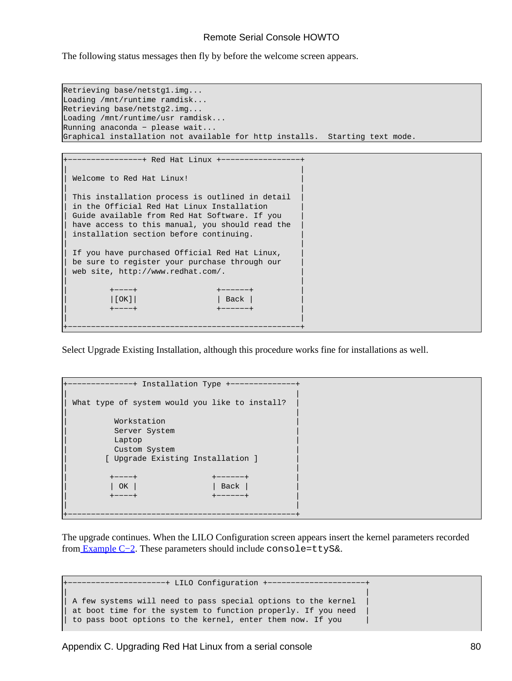The following status messages then fly by before the welcome screen appears.

Retrieving base/netstg1.img... Loading /mnt/runtime ramdisk... Retrieving base/netstg2.img... Loading /mnt/runtime/usr ramdisk... Running anaconda − please wait... Graphical installation not available for http installs. Starting text mode.

```
+−−−−−−−−−−−−−−−−+ Red Hat Linux +−−−−−−−−−−−−−−−−−+
| |
Welcome to Red Hat Linux!
| |
This installation process is outlined in detail
in the Official Red Hat Linux Installation
Guide available from Red Hat Software. If you
have access to this manual, you should read the
installation section before continuing.
| |
If you have purchased Official Red Hat Linux,
be sure to register your purchase through our
 web site, http://www.redhat.com/.
| |
      +−−−−+ +−−−−−+ +−−−−−+ +−−−−−+
      | |[OK]| | Back | |
      | +−−−−+ +−−−−−−+ |
| |
+−−−−−−−−−−−−−−−−−−−−−−−−−−−−−−−−−−−−−−−−−−−−−−−−−−+
```
Select Upgrade Existing Installation, although this procedure works fine for installations as well.

```
+−−−−−−−−−−−−−−+ Installation Type +−−−−−−−−−−−−−−+
| |
What type of system would you like to install?
| |
      Workstation
      Server System
      Laptop
      Custom System
     | [ Upgrade Existing Installation ] |
| |
     | +−−−−+ +−−−−−−+ |
     | | OK | | Back | |
     | +−−−−+ +−−−−−−+ |
| |
+−−−−−−−−−−−−−−−−−−−−−−−−−−−−−−−−−−−−−−−−−−−−−−−−−+
```
The upgrade continues. When the LILO Configuration screen appears insert the kernel parameters recorded fro[m Example C−2](#page-82-0). These parameters should include console=ttyS&.

+−−−−−−−−−−−−−−−−−−−−−+ LILO Configuration +−−−−−−−−−−−−−−−−−−−−−+ | | | A few systems will need to pass special options to the kernel | at boot time for the system to function properly. If you need | | to pass boot options to the kernel, enter them now. If you |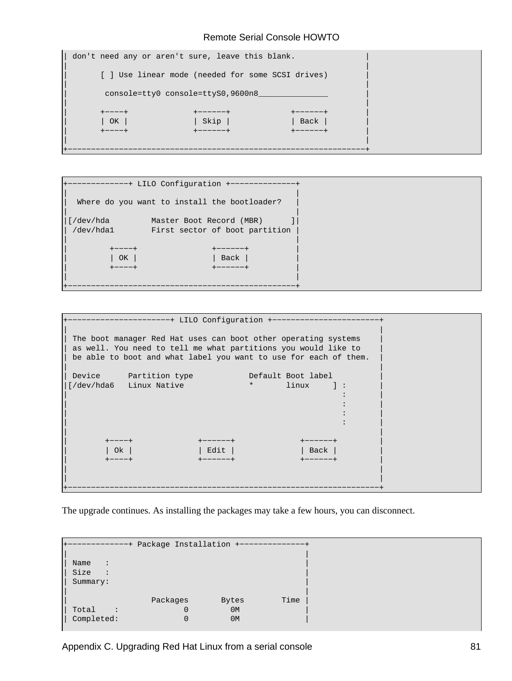| don't need any or aren't sure, leave this blank.  |                                   |                 |  |
|---------------------------------------------------|-----------------------------------|-----------------|--|
| [ ] Use linear mode (needed for some SCSI drives) |                                   |                 |  |
|                                                   | console=tty0 console=ttyS0,9600n8 |                 |  |
| $+ - - - - +$                                     | $+ - - - - - +$                   | $+ - - - - - +$ |  |
| OK                                                | Skip                              | Back            |  |
| $+ - - - - +$                                     | $+ - - - - - +$                   | -----+          |  |
|                                                   |                                   |                 |  |
|                                                   |                                   |                 |  |

|               | -+ LILO Configuration +-----------                         |  |
|---------------|------------------------------------------------------------|--|
|               |                                                            |  |
|               | Where do you want to install the bootloader?               |  |
| /dev/hda      |                                                            |  |
| /dev/hda1     | Master Boot Record (MBR)<br>First sector of boot partition |  |
|               |                                                            |  |
| $+ - - - - +$ | $+ - - - - - +$                                            |  |
| OK            | Back                                                       |  |
| $+ - - - - +$ | $+ - - - - - +$                                            |  |
|               |                                                            |  |
|               |                                                            |  |

|                         | The boot manager Red Hat uses can boot other operating systems<br>as well. You need to tell me what partitions you would like to<br>be able to boot and what label you want to use for each of them. |                  |                 |  |
|-------------------------|------------------------------------------------------------------------------------------------------------------------------------------------------------------------------------------------------|------------------|-----------------|--|
|                         | Device Partition type Default Boot label                                                                                                                                                             |                  |                 |  |
| [/dev/hda6 Linux Native |                                                                                                                                                                                                      | linux<br>$\star$ |                 |  |
|                         |                                                                                                                                                                                                      |                  |                 |  |
|                         |                                                                                                                                                                                                      |                  |                 |  |
|                         |                                                                                                                                                                                                      |                  |                 |  |
|                         |                                                                                                                                                                                                      |                  |                 |  |
|                         |                                                                                                                                                                                                      |                  |                 |  |
| $+ - - - - +$           | $+ - - - - - +$                                                                                                                                                                                      |                  | $+ - - - - - +$ |  |
| Ok                      | Edit                                                                                                                                                                                                 |                  | Back            |  |
| $+ - - - - +$           | $+ - - - - - +$                                                                                                                                                                                      |                  | $+ - - - - - +$ |  |
|                         |                                                                                                                                                                                                      |                  |                 |  |
|                         |                                                                                                                                                                                                      |                  |                 |  |
|                         |                                                                                                                                                                                                      |                  |                 |  |

The upgrade continues. As installing the packages may take a few hours, you can disconnect.

|                              | + Package Installation +- |                |      |  |
|------------------------------|---------------------------|----------------|------|--|
|                              |                           |                |      |  |
| Name<br>$\sim$ :             |                           |                |      |  |
| Size<br>$\sim$ $\sim$ $\sim$ |                           |                |      |  |
| Summary:                     |                           |                |      |  |
|                              |                           |                |      |  |
|                              | Packages                  | <b>Bytes</b>   | Time |  |
| Total                        |                           | 0 <sub>M</sub> |      |  |
| Completed:                   |                           | 0M             |      |  |
|                              |                           |                |      |  |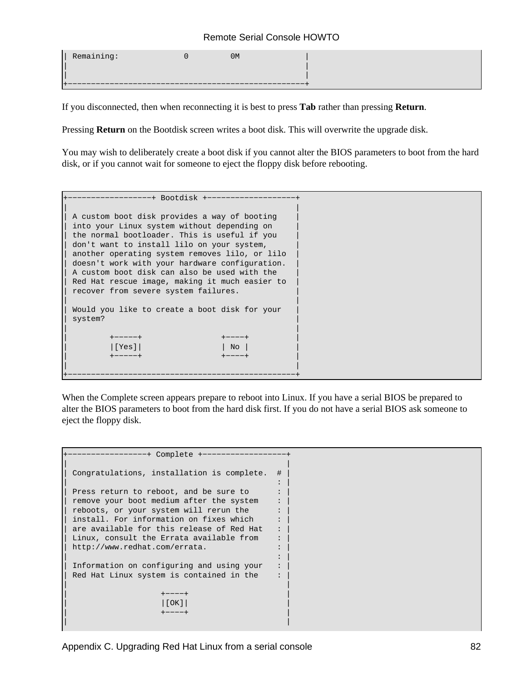| Remaining: | 0 <sub>M</sub> |  |
|------------|----------------|--|
|            |                |  |
|            |                |  |

If you disconnected, then when reconnecting it is best to press **Tab** rather than pressing **Return**.

Pressing **Return** on the Bootdisk screen writes a boot disk. This will overwrite the upgrade disk.

You may wish to deliberately create a boot disk if you cannot alter the BIOS parameters to boot from the hard disk, or if you cannot wait for someone to eject the floppy disk before rebooting.

```
+−−−−−−−−−−−−−−−−−−+ Bootdisk +−−−−−−−−−−−−−−−−−−−+
| |
| A custom boot disk provides a way of booting
into your Linux system without depending on
the normal bootloader. This is useful if you
don't want to install lilo on your system,
another operating system removes lilo, or lilo
doesn't work with your hardware configuration.
A custom boot disk can also be used with the
Red Hat rescue image, making it much easier to
recover from severe system failures.
| |
Would you like to create a boot disk for your
system?
| |
       | +−−−−−+ +−−−−+ |
       | |[Yes]| | No | |
       | +−−−−−+ +−−−−+ |
| |
+−−−−−−−−−−−−−−−−−−−−−−−−−−−−−−−−−−−−−−−−−−−−−−−−−+
```
When the Complete screen appears prepare to reboot into Linux. If you have a serial BIOS be prepared to alter the BIOS parameters to boot from the hard disk first. If you do not have a serial BIOS ask someone to eject the floppy disk.

```
+−−−−−−−−−−−−−−−−−+ Complete +−−−−−−−−−−−−−−−−−−+
| |
| Congratulations, installation is complete. # |
| : and the set of the set of the set of the set of the set of the set of the set of the set of the set of the set of the set of the set of the set of the set of the set of the set of the set of the set of the set of th
| Press return to reboot, and be sure to :
| remove your boot medium after the system :
| reboots, or your system will rerun the :
install. For information on fixes which :
 are available for this release of Red Hat \; :Linux, consult the Errata available from :
| http://www.redhat.com/errata. \cdot :
| : |
 Information on configuring and using your :
 Red Hat Linux system is contained in the \qquad :
| |
| +−−−−+ | +−−−−+ | +−−−−+ | +−−−−+ | +−−−−+ | +−−−−+ | +−−−−+ | +−−−−+ | +−−−−+ | +−−−−+ | +−−−−+ | +−−−−+ | +−−−−+ | +−−−−+ | +−−−−+ | +−−−−+ | +−−−−+ | +−−−−+ | +−−−−+ | +−−−−+ | +−−−−+ | +−−−−+ | +−−−−+ | +−−−−+ | +−−
                             | |[OK]| |
| +−−−−+ | +−−−−+ | +−−−−+ | +−−−−+ | +−−−−+ | +−−−−+ | +−−−−+ | +−−−−+ | +−−−−+ | +−−−−+ | +−−−−+ | +−−−−+ | +−−−−+ | +−−−−+ | +−−−−+ | +−−−−+ | +−−−−+ | +−−−−+ | +−−−−+ | +−−−−+ | +−−−−+ | +−−−−+ | +−−−−+ | +−−−−+ | +−−
| |
```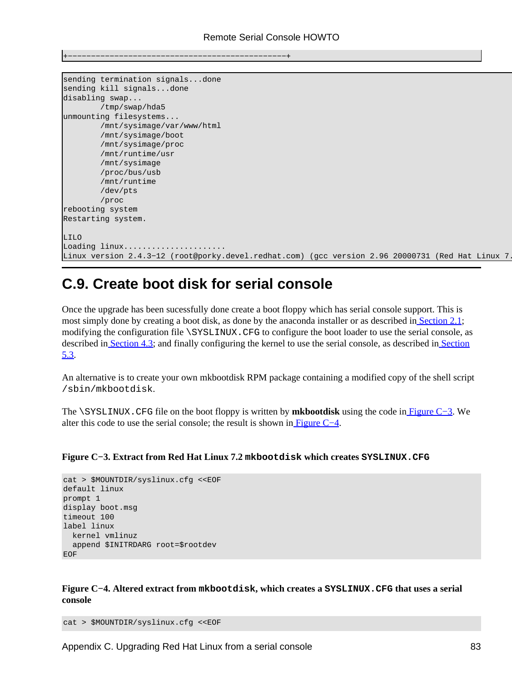+−−−−−−−−−−−−−−−−−−−−−−−−−−−−−−−−−−−−−−−−−−−−−−−+

```
sending termination signals...done
sending kill signals...done
disabling swap...
         /tmp/swap/hda5
unmounting filesystems...
        /mnt/sysimage/var/www/html
         /mnt/sysimage/boot
         /mnt/sysimage/proc
         /mnt/runtime/usr
         /mnt/sysimage
         /proc/bus/usb
         /mnt/runtime
         /dev/pts
         /proc
rebooting system
Restarting system.
LILO 
Loading linux.....................
Linux version 2.4.3-12 (root@porky.devel.redhat.com) (gcc version 2.96 20000731 (Red Hat Linux 7.
```
# **C.9. Create boot disk for serial console**

Once the upgrade has been sucessfully done create a boot floppy which has serial console support. This is most simply done by creating a boot disk, as done by the anaconda installer or as described i[n Section 2.1;](#page-10-0) modifying the configuration file \SYSLINUX.CFG to configure the boot loader to use the serial console, as described in [Section 4.3;](#page-22-0) and finally configuring the kernel to use the serial console, as described i[n Section](#page-27-0) [5.3.](#page-27-0)

An alternative is to create your own mkbootdisk RPM package containing a modified copy of the shell script /sbin/mkbootdisk.

The \SYSLINUX.CFG file on the boot floppy is written by **mkbootdisk** using the code i[n Figure C−3.](#page-88-0) We alter this code to use the serial console; the result is shown in [Figure C−4](#page-88-1).

#### <span id="page-88-0"></span>**Figure C−3. Extract from Red Hat Linux 7.2 mkbootdisk which creates SYSLINUX.CFG**

```
cat > $MOUNTDIR/syslinux.cfg <<EOF
default linux
prompt 1
display boot.msg
timeout 100
label linux
   kernel vmlinuz
   append $INITRDARG root=$rootdev
EOF
```
<span id="page-88-1"></span>**Figure C−4. Altered extract from mkbootdisk, which creates a SYSLINUX.CFG that uses a serial console**

```
cat > $MOUNTDIR/syslinux.cfg <<EOF
```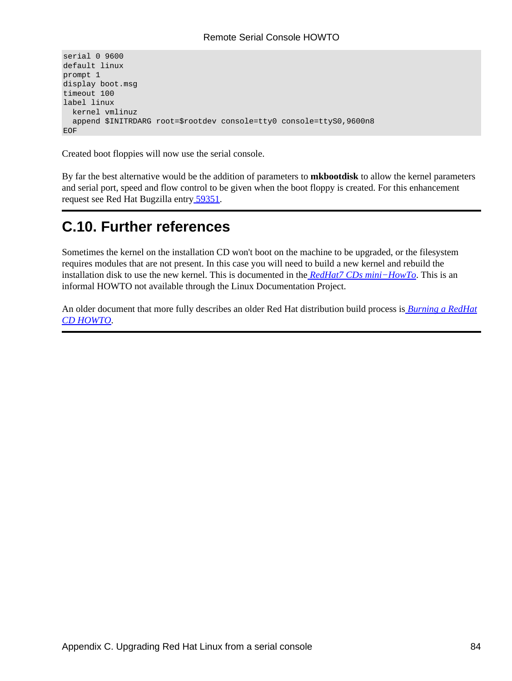```
serial 0 9600
default linux
prompt 1
display boot.msg
timeout 100
label linux
   kernel vmlinuz
   append $INITRDARG root=$rootdev console=tty0 console=ttyS0,9600n8
EOF
```
Created boot floppies will now use the serial console.

By far the best alternative would be the addition of parameters to **mkbootdisk** to allow the kernel parameters and serial port, speed and flow control to be given when the boot floppy is created. For this enhancement request see Red Hat Bugzilla entr[y 59351](https://bugzilla.redhat.com/bugzilla/show_bug.cgi?id=59351).

### **C.10. Further references**

Sometimes the kernel on the installation CD won't boot on the machine to be upgraded, or the filesystem requires modules that are not present. In this case you will need to build a new kernel and rebuild the installation disk to use the new kernel. This is documented in the *[RedHat7 CDs mini−HowTo](http://cambuca.ldhs.cetuc.puc-rio.br/RedHat7-CDs-HowTo.html)*. This is an informal HOWTO not available through the Linux Documentation Project.

An older document that more fully describes an older Red Hat distribution build process is *[Burning a RedHat](http://www.ibiblio.org/pub/Linux/docs/HOWTO/other-formats/html_single/RedHat-CD-HOWTO.html) [CD HOWTO](http://www.ibiblio.org/pub/Linux/docs/HOWTO/other-formats/html_single/RedHat-CD-HOWTO.html)*.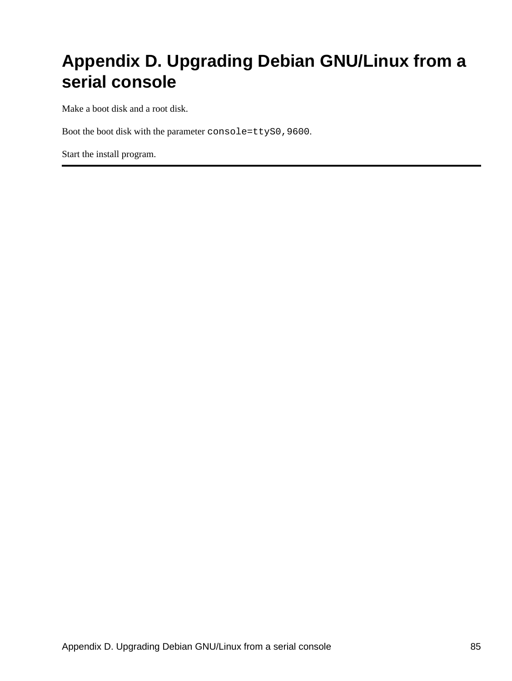# **Appendix D. Upgrading Debian GNU/Linux from a serial console**

Make a boot disk and a root disk.

Boot the boot disk with the parameter console=ttyS0,9600.

Start the install program.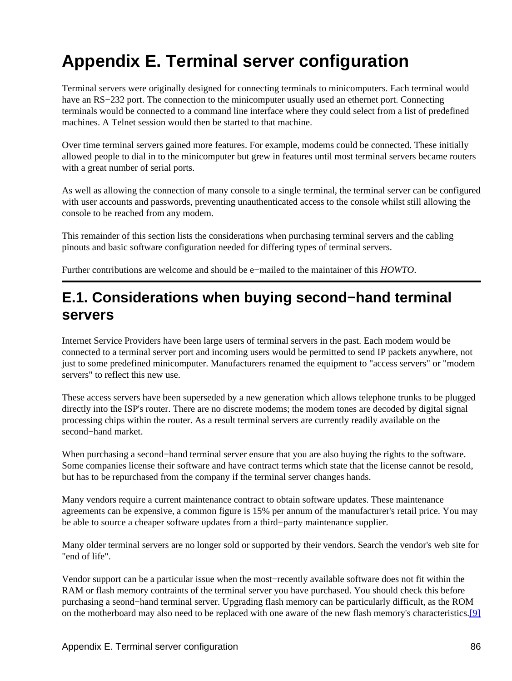# **Appendix E. Terminal server configuration**

Terminal servers were originally designed for connecting terminals to minicomputers. Each terminal would have an RS−232 port. The connection to the minicomputer usually used an ethernet port. Connecting terminals would be connected to a command line interface where they could select from a list of predefined machines. A Telnet session would then be started to that machine.

Over time terminal servers gained more features. For example, modems could be connected. These initially allowed people to dial in to the minicomputer but grew in features until most terminal servers became routers with a great number of serial ports.

As well as allowing the connection of many console to a single terminal, the terminal server can be configured with user accounts and passwords, preventing unauthenticated access to the console whilst still allowing the console to be reached from any modem.

This remainder of this section lists the considerations when purchasing terminal servers and the cabling pinouts and basic software configuration needed for differing types of terminal servers.

Further contributions are welcome and should be e−mailed to the maintainer of this *HOWTO*.

## **E.1. Considerations when buying second−hand terminal servers**

Internet Service Providers have been large users of terminal servers in the past. Each modem would be connected to a terminal server port and incoming users would be permitted to send IP packets anywhere, not just to some predefined minicomputer. Manufacturers renamed the equipment to "access servers" or "modem" servers" to reflect this new use.

These access servers have been superseded by a new generation which allows telephone trunks to be plugged directly into the ISP's router. There are no discrete modems; the modem tones are decoded by digital signal processing chips within the router. As a result terminal servers are currently readily available on the second−hand market.

When purchasing a second−hand terminal server ensure that you are also buying the rights to the software. Some companies license their software and have contract terms which state that the license cannot be resold, but has to be repurchased from the company if the terminal server changes hands.

Many vendors require a current maintenance contract to obtain software updates. These maintenance agreements can be expensive, a common figure is 15% per annum of the manufacturer's retail price. You may be able to source a cheaper software updates from a third−party maintenance supplier.

Many older terminal servers are no longer sold or supported by their vendors. Search the vendor's web site for "end of life".

<span id="page-91-0"></span>Vendor support can be a particular issue when the most−recently available software does not fit within the RAM or flash memory contraints of the terminal server you have purchased. You should check this before purchasing a seond−hand terminal server. Upgrading flash memory can be particularly difficult, as the ROM on the motherboard may also need to be replaced with one aware of the new flash memory's characteristics.[\[9\]](#page-100-0)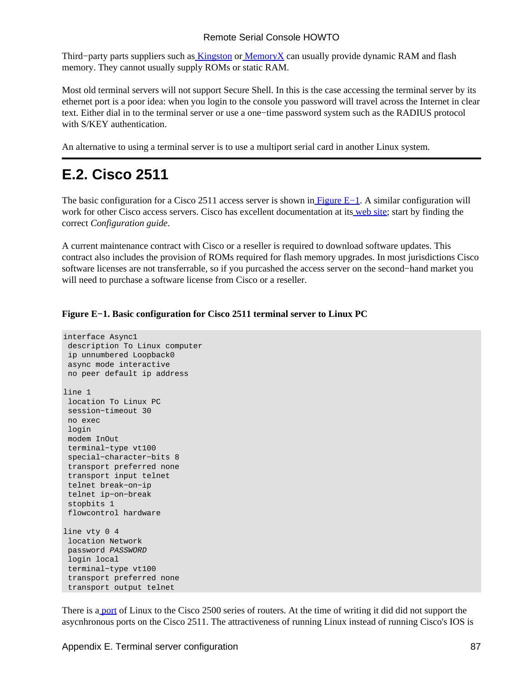Third–party parts suppliers such as [Kingston](http://www.kingston.com/) or [MemoryX](http://www.memoryx.net/) can usually provide dynamic RAM and flash memory. They cannot usually supply ROMs or static RAM.

Most old terminal servers will not support Secure Shell. In this is the case accessing the terminal server by its ethernet port is a poor idea: when you login to the console you password will travel across the Internet in clear text. Either dial in to the terminal server or use a one−time password system such as the RADIUS protocol with S/KEY authentication.

An alternative to using a terminal server is to use a multiport serial card in another Linux system.

# **E.2. Cisco 2511**

The basic configuration for a Cisco 2511 access server is shown in Figure E–1. A similar configuration will work for other Cisco access servers. Cisco has excellent documentation at it[s web site;](http://www.cisco.com/) start by finding the correct *Configuration guide*.

A current maintenance contract with Cisco or a reseller is required to download software updates. This contract also includes the provision of ROMs required for flash memory upgrades. In most jurisdictions Cisco software licenses are not transferrable, so if you purcashed the access server on the second−hand market you will need to purchase a software license from Cisco or a reseller.

<span id="page-92-0"></span>

|  | Figure E-1. Basic configuration for Cisco 2511 terminal server to Linux PC |  |  |  |
|--|----------------------------------------------------------------------------|--|--|--|

```
interface Async1
  description To Linux computer
  ip unnumbered Loopback0
  async mode interactive
  no peer default ip address
line 1
  location To Linux PC
  session−timeout 30
  no exec
  login
  modem InOut
  terminal−type vt100
  special−character−bits 8
  transport preferred none
  transport input telnet
  telnet break−on−ip
  telnet ip−on−break
  stopbits 1
  flowcontrol hardware
line vty 0 4
  location Network
  password PASSWORD
  login local
  terminal−type vt100
  transport preferred none
  transport output telnet
```
There is [a port](http://www.mcvax.org/~koen/uClinux-cisco2500/) of Linux to the Cisco 2500 series of routers. At the time of writing it did did not support the asycnhronous ports on the Cisco 2511. The attractiveness of running Linux instead of running Cisco's IOS is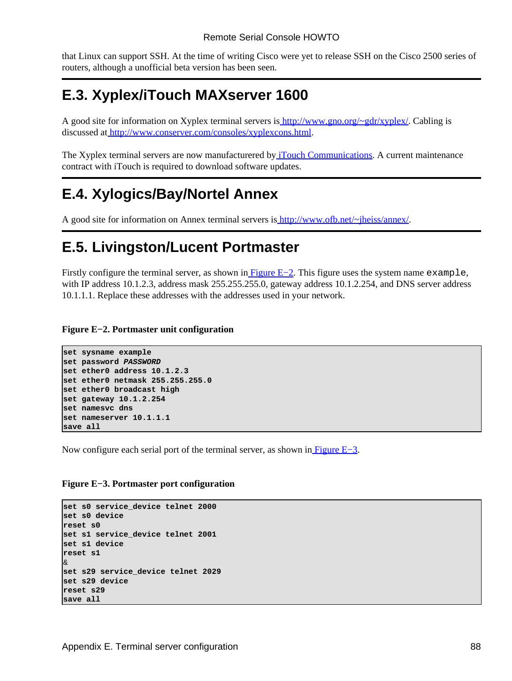that Linux can support SSH. At the time of writing Cisco were yet to release SSH on the Cisco 2500 series of routers, although a unofficial beta version has been seen.

### **E.3. Xyplex/iTouch MAXserver 1600**

A good site for information on Xyplex terminal servers i[s http://www.gno.org/~gdr/xyplex/](http://www.gno.org/~gdr/xyplex/). Cabling is discussed at [http://www.conserver.com/consoles/xyplexcons.html.](http://www.conserver.com/consoles/xyplexcons.html)

The Xyplex terminal servers are now manufacturered by *iTouch Communications*. A current maintenance contract with iTouch is required to download software updates.

## **E.4. Xylogics/Bay/Nortel Annex**

A good site for information on Annex terminal servers i[s http://www.ofb.net/~jheiss/annex/](http://www.ofb.net/~jheiss/annex/).

### <span id="page-93-2"></span>**E.5. Livingston/Lucent Portmaster**

Firstly configure the terminal server, as shown i[n Figure E−2.](#page-93-0) This figure uses the system name example, with IP address 10.1.2.3, address mask 255.255.255.0, gateway address 10.1.2.254, and DNS server address 10.1.1.1. Replace these addresses with the addresses used in your network.

#### <span id="page-93-0"></span>**Figure E−2. Portmaster unit configuration**

```
set sysname example
set password PASSWORD
set ether0 address 10.1.2.3
set ether0 netmask 255.255.255.0
set ether0 broadcast high
set gateway 10.1.2.254
set namesvc dns
set nameserver 10.1.1.1
save all
```
Now configure each serial port of the terminal server, as shown in [Figure E−3.](#page-93-1)

#### <span id="page-93-1"></span>**Figure E−3. Portmaster port configuration**

```
set s0 service_device telnet 2000
set s0 device
reset s0
set s1 service_device telnet 2001
set s1 device
reset s1
&
set s29 service_device telnet 2029
set s29 device
reset s29
save all
```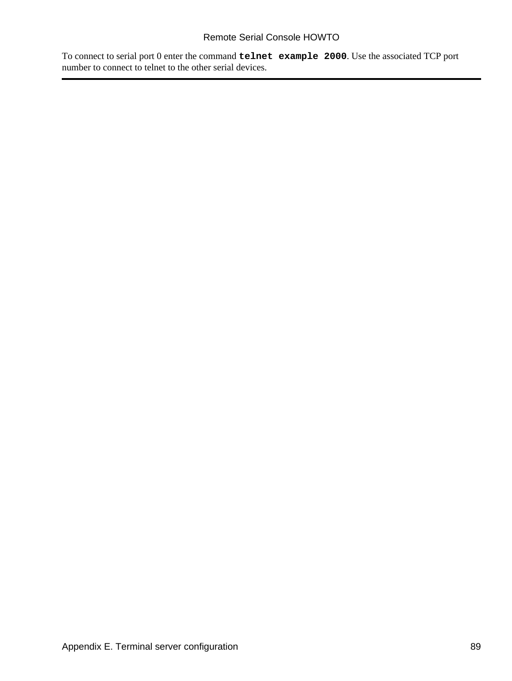To connect to serial port 0 enter the command **telnet example 2000**. Use the associated TCP port number to connect to telnet to the other serial devices.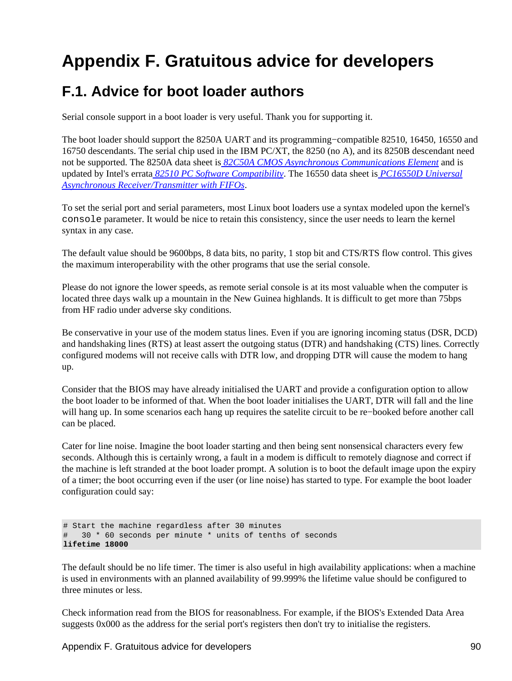# **Appendix F. Gratuitous advice for developers**

### <span id="page-95-0"></span>**F.1. Advice for boot loader authors**

Serial console support in a boot loader is very useful. Thank you for supporting it.

The boot loader should support the 8250A UART and its programming−compatible 82510, 16450, 16550 and 16750 descendants. The serial chip used in the IBM PC/XT, the 8250 (no A), and its 8250B descendant need not be supported. The 8250A data sheet is *[82C50A CMOS Asynchronous Communications Element](http://www.intersil.com/data/FN/FN2/FN2958/FN2958.pdf)* and is updated by Intel's errata *[82510 PC Software Compatibility](http://support.intel.com/support/controllers/peripheral/7513.htm)*. The 16550 data sheet is *[PC16550D Universal](http://www.national.com/ds/PC/PC16550D.pdf) [Asynchronous Receiver/Transmitter with FIFOs](http://www.national.com/ds/PC/PC16550D.pdf)*.

To set the serial port and serial parameters, most Linux boot loaders use a syntax modeled upon the kernel's console parameter. It would be nice to retain this consistency, since the user needs to learn the kernel syntax in any case.

The default value should be 9600bps, 8 data bits, no parity, 1 stop bit and CTS/RTS flow control. This gives the maximum interoperability with the other programs that use the serial console.

Please do not ignore the lower speeds, as remote serial console is at its most valuable when the computer is located three days walk up a mountain in the New Guinea highlands. It is difficult to get more than 75bps from HF radio under adverse sky conditions.

Be conservative in your use of the modem status lines. Even if you are ignoring incoming status (DSR, DCD) and handshaking lines (RTS) at least assert the outgoing status (DTR) and handshaking (CTS) lines. Correctly configured modems will not receive calls with DTR low, and dropping DTR will cause the modem to hang up.

Consider that the BIOS may have already initialised the UART and provide a configuration option to allow the boot loader to be informed of that. When the boot loader initialises the UART, DTR will fall and the line will hang up. In some scenarios each hang up requires the satelite circuit to be re−booked before another call can be placed.

Cater for line noise. Imagine the boot loader starting and then being sent nonsensical characters every few seconds. Although this is certainly wrong, a fault in a modem is difficult to remotely diagnose and correct if the machine is left stranded at the boot loader prompt. A solution is to boot the default image upon the expiry of a timer; the boot occurring even if the user (or line noise) has started to type. For example the boot loader configuration could say:

```
# Start the machine regardless after 30 minutes
# 30 * 60 seconds per minute * units of tenths of seconds
lifetime 18000
```
The default should be no life timer. The timer is also useful in high availability applications: when a machine is used in environments with an planned availability of 99.999% the lifetime value should be configured to three minutes or less.

Check information read from the BIOS for reasonablness. For example, if the BIOS's Extended Data Area suggests 0x000 as the address for the serial port's registers then don't try to initialise the registers.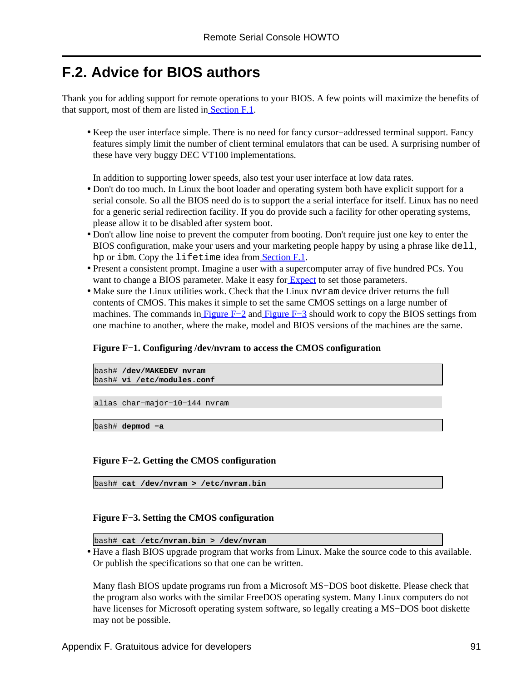### **F.2. Advice for BIOS authors**

Thank you for adding support for remote operations to your BIOS. A few points will maximize the benefits of that support, most of them are listed in [Section F.1.](#page-95-0)

Keep the user interface simple. There is no need for fancy cursor−addressed terminal support. Fancy • features simply limit the number of client terminal emulators that can be used. A surprising number of these have very buggy DEC VT100 implementations.

In addition to supporting lower speeds, also test your user interface at low data rates.

- Don't do too much. In Linux the boot loader and operating system both have explicit support for a serial console. So all the BIOS need do is to support the a serial interface for itself. Linux has no need for a generic serial redirection facility. If you do provide such a facility for other operating systems, please allow it to be disabled after system boot.
- Don't allow line noise to prevent the computer from booting. Don't require just one key to enter the BIOS configuration, make your users and your marketing people happy by using a phrase like dell, hp or ibm. Copy the lifetime idea from [Section F.1.](#page-95-0)
- Present a consistent prompt. Imagine a user with a supercomputer array of five hundred PCs. You want to change a BIOS parameter. Make it easy for **Expect** to set those parameters.
- Make sure the Linux utilities work. Check that the Linux nvram device driver returns the full contents of CMOS. This makes it simple to set the same CMOS settings on a large number of machines. The commands in [Figure F−2](#page-96-0) an[d Figure F−3](#page-96-1) should work to copy the BIOS settings from one machine to another, where the make, model and BIOS versions of the machines are the same.

#### **Figure F−1. Configuring /dev/nvram to access the CMOS configuration**

```
bash# /dev/MAKEDEV nvram
bash# vi /etc/modules.conf
```
alias char−major−10−144 nvram

bash# **depmod −a**

#### <span id="page-96-0"></span>**Figure F−2. Getting the CMOS configuration**

bash# **cat /dev/nvram > /etc/nvram.bin**

#### <span id="page-96-1"></span>**Figure F−3. Setting the CMOS configuration**

bash# **cat /etc/nvram.bin > /dev/nvram**

• Have a flash BIOS upgrade program that works from Linux. Make the source code to this available. Or publish the specifications so that one can be written.

Many flash BIOS update programs run from a Microsoft MS−DOS boot diskette. Please check that the program also works with the similar FreeDOS operating system. Many Linux computers do not have licenses for Microsoft operating system software, so legally creating a MS−DOS boot diskette may not be possible.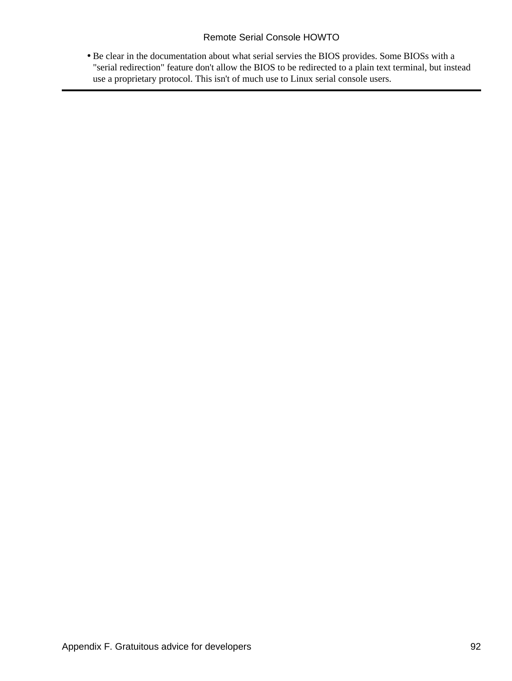• Be clear in the documentation about what serial servies the BIOS provides. Some BIOSs with a "serial redirection" feature don't allow the BIOS to be redirected to a plain text terminal, but instead use a proprietary protocol. This isn't of much use to Linux serial console users.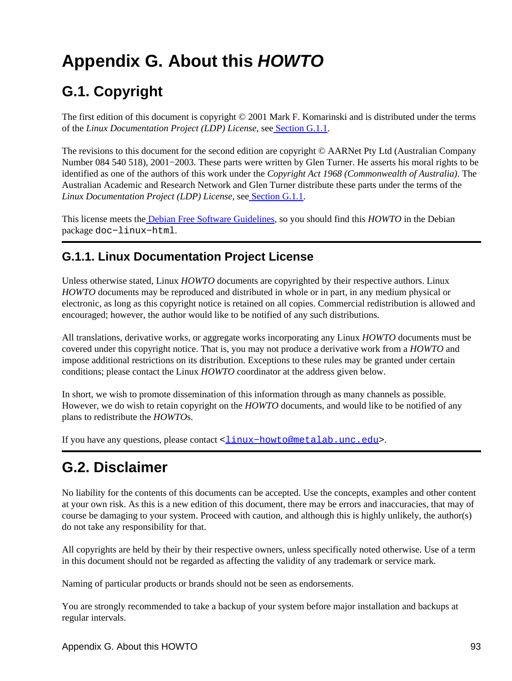# **Appendix G. About this HOWTO**

# **G.1. Copyright**

The first edition of this document is copyright © 2001 Mark F. Komarinski and is distributed under the terms of the *Linux Documentation Project (LDP) License*, see [Section G.1.1.](#page-98-0)

The revisions to this document for the second edition are copyright © AARNet Pty Ltd (Australian Company Number 084 540 518), 2001−2003. These parts were written by Glen Turner. He asserts his moral rights to be identified as one of the authors of this work under the *Copyright Act 1968 (Commonwealth of Australia)*. The Australian Academic and Research Network and Glen Turner distribute these parts under the terms of the *Linux Documentation Project (LDP) License*, see [Section G.1.1](#page-98-0).

This license meets the [Debian Free Software Guidelines](http://www.debian.org/social_contract.html#guidelines), so you should find this *HOWTO* in the Debian package doc−linux−html.

### <span id="page-98-0"></span>**G.1.1. Linux Documentation Project License**

Unless otherwise stated, Linux *HOWTO* documents are copyrighted by their respective authors. Linux *HOWTO* documents may be reproduced and distributed in whole or in part, in any medium physical or electronic, as long as this copyright notice is retained on all copies. Commercial redistribution is allowed and encouraged; however, the author would like to be notified of any such distributions.

All translations, derivative works, or aggregate works incorporating any Linux *HOWTO* documents must be covered under this copyright notice. That is, you may not produce a derivative work from a *HOWTO* and impose additional restrictions on its distribution. Exceptions to these rules may be granted under certain conditions; please contact the Linux *HOWTO* coordinator at the address given below.

In short, we wish to promote dissemination of this information through as many channels as possible. However, we do wish to retain copyright on the *HOWTO* documents, and would like to be notified of any plans to redistribute the *HOWTO*s.

If you have any questions, please contact <<u>linux-howto@metalab.unc.edu</u>>.

## **G.2. Disclaimer**

No liability for the contents of this documents can be accepted. Use the concepts, examples and other content at your own risk. As this is a new edition of this document, there may be errors and inaccuracies, that may of course be damaging to your system. Proceed with caution, and although this is highly unlikely, the author(s) do not take any responsibility for that.

All copyrights are held by their by their respective owners, unless specifically noted otherwise. Use of a term in this document should not be regarded as affecting the validity of any trademark or service mark.

Naming of particular products or brands should not be seen as endorsements.

You are strongly recommended to take a backup of your system before major installation and backups at regular intervals.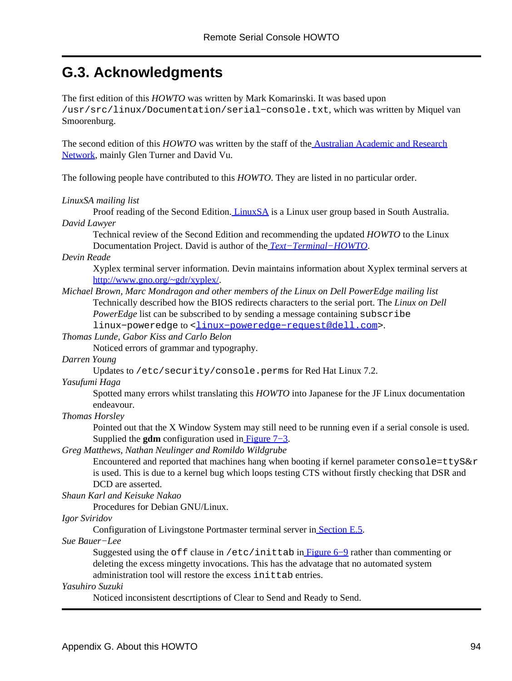## **G.3. Acknowledgments**

The first edition of this *HOWTO* was written by Mark Komarinski. It was based upon /usr/src/linux/Documentation/serial−console.txt, which was written by Miquel van Smoorenburg.

The second edition of this *HOWTO* was written by the staff of th[e Australian Academic and Research](http://www.aarnet.edu.au/) [Network](http://www.aarnet.edu.au/), mainly Glen Turner and David Vu.

The following people have contributed to this *HOWTO*. They are listed in no particular order.

*LinuxSA mailing list*

Proof reading of the Second Edition[. LinuxSA](http://www.linuxsa.org.au/) is a Linux user group based in South Australia. *David Lawyer*

Technical review of the Second Edition and recommending the updated *HOWTO* to the Linux Documentation Project. David is author of the *[Text−Terminal−HOWTO](http://www.tldp.org/HOWTO/Text-Terminal-HOWTO.html)*.

*Devin Reade*

Xyplex terminal server information. Devin maintains information about Xyplex terminal servers at <http://www.gno.org/~gdr/xyplex/>.

*Michael Brown, Marc Mondragon and other members of the Linux on Dell PowerEdge mailing list* Technically described how the BIOS redirects characters to the serial port. The *Linux on Dell PowerEdge* list can be subscribed to by sending a message containing subscribe

linux−poweredge to <[linux−poweredge−request@dell.com>](mailto:linux-poweredge-request@dell.com).

*Thomas Lunde, Gabor Kiss and Carlo Belon*

Noticed errors of grammar and typography.

*Darren Young*

Updates to /etc/security/console.perms for Red Hat Linux 7.2.

*Yasufumi Haga*

Spotted many errors whilst translating this *HOWTO* into Japanese for the JF Linux documentation endeavour.

*Thomas Horsley*

Pointed out that the X Window System may still need to be running even if a serial console is used. Supplied the **gdm** configuration used i[n Figure 7−3](#page-35-0).

*Greg Matthews, Nathan Neulinger and Romildo Wildgrube*

Encountered and reported that machines hang when booting if kernel parameter console=ttyS&r is used. This is due to a kernel bug which loops testing CTS without firstly checking that DSR and DCD are asserted.

*Shaun Karl and Keisuke Nakao*

Procedures for Debian GNU/Linux.

*Igor Sviridov*

Configuration of Livingstone Portmaster terminal server in [Section E.5](#page-93-2).

*Sue Bauer−Lee*

Suggested using the off clause in /etc/inittab i[n Figure 6−9](#page-32-0) rather than commenting or deleting the excess mingetty invocations. This has the advatage that no automated system administration tool will restore the excess inittab entries.

#### *Yasuhiro Suzuki*

Noticed inconsistent descrtiptions of Clear to Send and Ready to Send.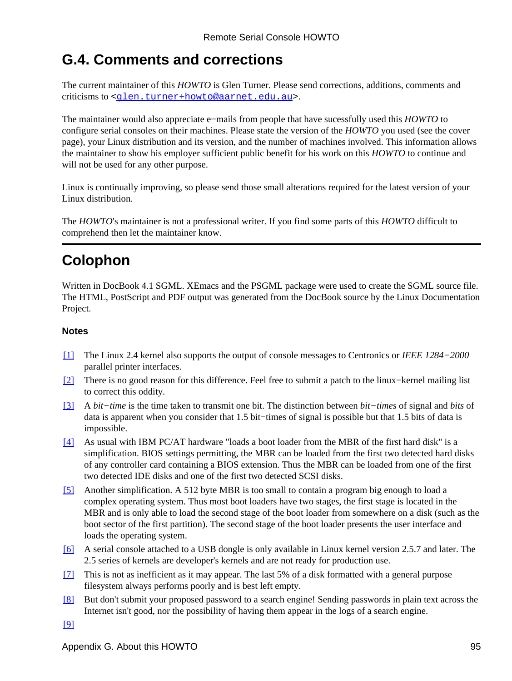# **G.4. Comments and corrections**

The current maintainer of this *HOWTO* is Glen Turner. Please send corrections, additions, comments and criticisms to <qlen.turner+howto@aarnet.edu.au>.

The maintainer would also appreciate e−mails from people that have sucessfully used this *HOWTO* to configure serial consoles on their machines. Please state the version of the *HOWTO* you used (see the cover page), your Linux distribution and its version, and the number of machines involved. This information allows the maintainer to show his employer sufficient public benefit for his work on this *HOWTO* to continue and will not be used for any other purpose.

Linux is continually improving, so please send those small alterations required for the latest version of your Linux distribution.

The *HOWTO*'s maintainer is not a professional writer. If you find some parts of this *HOWTO* difficult to comprehend then let the maintainer know.

# **Colophon**

Written in DocBook 4.1 SGML. XEmacs and the PSGML package were used to create the SGML source file. The HTML, PostScript and PDF output was generated from the DocBook source by the Linux Documentation Project.

### **Notes**

- [\[1\]](#page-7-0) The Linux 2.4 kernel also supports the output of console messages to Centronics or *IEEE 1284−2000* parallel printer interfaces.
- [\[2\]](#page-12-0) There is no good reason for this difference. Feel free to submit a patch to the linux−kernel mailing list to correct this oddity.
- [\[3\]](#page-13-0) A *bit−time* is the time taken to transmit one bit. The distinction between *bit−times* of signal and *bits* of data is apparent when you consider that 1.5 bit−times of signal is possible but that 1.5 bits of data is impossible.
- [\[4\]](#page-18-0) As usual with IBM PC/AT hardware "loads a boot loader from the MBR of the first hard disk" is a simplification. BIOS settings permitting, the MBR can be loaded from the first two detected hard disks of any controller card containing a BIOS extension. Thus the MBR can be loaded from one of the first two detected IDE disks and one of the first two detected SCSI disks.
- [\[5\]](#page-18-1) Another simplification. A 512 byte MBR is too small to contain a program big enough to load a complex operating system. Thus most boot loaders have two stages, the first stage is located in the MBR and is only able to load the second stage of the boot loader from somewhere on a disk (such as the boot sector of the first partition). The second stage of the boot loader presents the user interface and loads the operating system.
- [\[6\]](#page-24-0) A serial console attached to a USB dongle is only available in Linux kernel version 2.5.7 and later. The 2.5 series of kernels are developer's kernels and are not ready for production use.
- [\[7\]](#page-34-0) This is not as inefficient as it may appear. The last 5% of a disk formatted with a general purpose filesystem always performs poorly and is best left empty.
- [\[8\]](#page-43-0) But don't submit your proposed password to a search engine! Sending passwords in plain text across the Internet isn't good, nor the possibility of having them appear in the logs of a search engine.

<span id="page-100-0"></span>[\[9\]](#page-91-0)